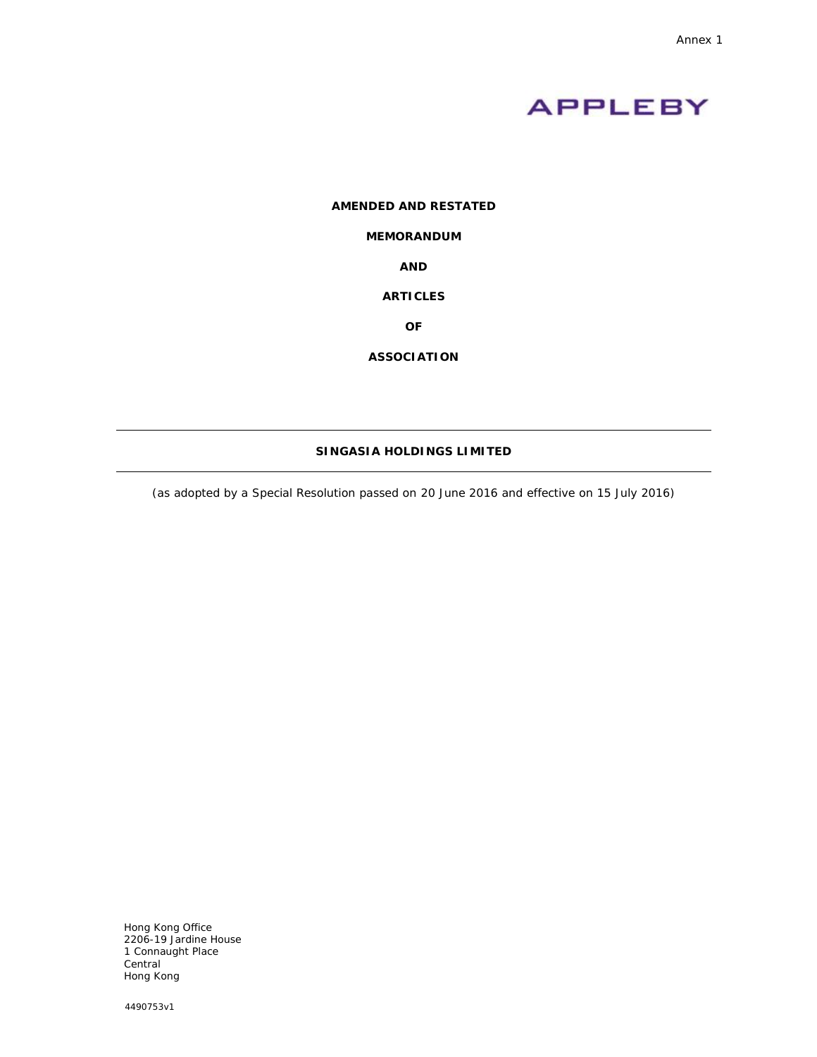

# **AMENDED AND RESTATED**

## **MEMORANDUM**

**AND**

## **ARTICLES**

**OF**

**ASSOCIATION**

# **SINGASIA HOLDINGS LIMITED**

(as adopted by a Special Resolution passed on 20 June 2016 and effective on 15 July 2016)

Hong Kong Office 2206-19 Jardine House 1 Connaught Place Central Hong Kong

4490753v1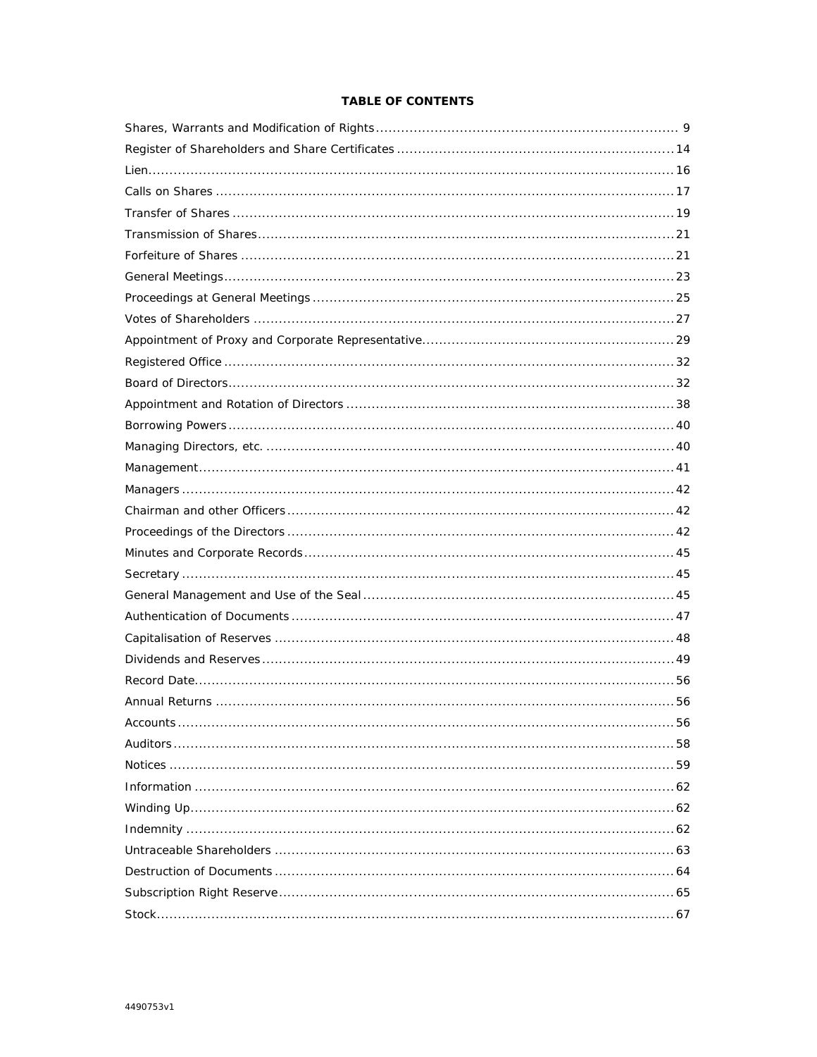# TABLE OF CONTENTS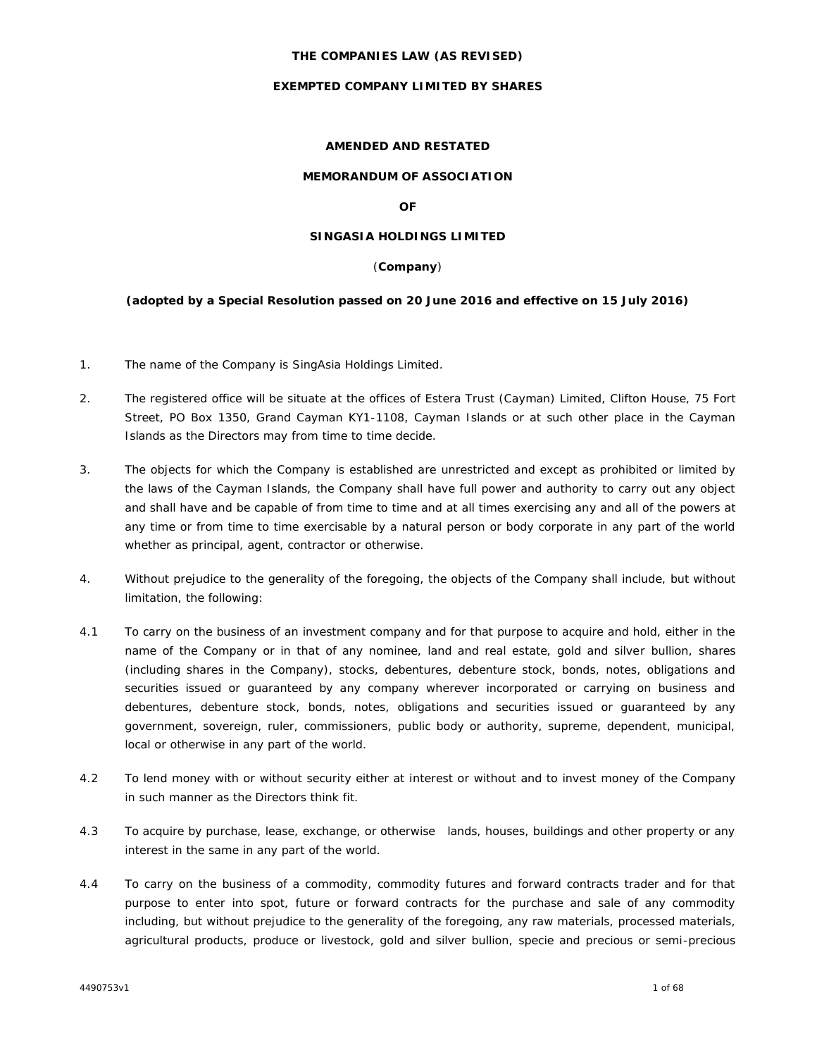## **THE COMPANIES LAW (AS REVISED)**

## **EXEMPTED COMPANY LIMITED BY SHARES**

# **AMENDED AND RESTATED**

## **MEMORANDUM OF ASSOCIATION**

**OF**

# **SINGASIA HOLDINGS LIMITED**

## (**Company**)

**(adopted by a Special Resolution passed on 20 June 2016 and effective on 15 July 2016)**

- 1. The name of the Company is SingAsia Holdings Limited.
- 2. The registered office will be situate at the offices of Estera Trust (Cayman) Limited, Clifton House, 75 Fort Street, PO Box 1350, Grand Cayman KY1-1108, Cayman Islands or at such other place in the Cayman Islands as the Directors may from time to time decide.
- 3. The objects for which the Company is established are unrestricted and except as prohibited or limited by the laws of the Cayman Islands, the Company shall have full power and authority to carry out any object and shall have and be capable of from time to time and at all times exercising any and all of the powers at any time or from time to time exercisable by a natural person or body corporate in any part of the world whether as principal, agent, contractor or otherwise.
- 4. Without prejudice to the generality of the foregoing, the objects of the Company shall include, but without limitation, the following:
- 4.1 To carry on the business of an investment company and for that purpose to acquire and hold, either in the name of the Company or in that of any nominee, land and real estate, gold and silver bullion, shares (including shares in the Company), stocks, debentures, debenture stock, bonds, notes, obligations and securities issued or guaranteed by any company wherever incorporated or carrying on business and debentures, debenture stock, bonds, notes, obligations and securities issued or guaranteed by any government, sovereign, ruler, commissioners, public body or authority, supreme, dependent, municipal, local or otherwise in any part of the world.
- 4.2 To lend money with or without security either at interest or without and to invest money of the Company in such manner as the Directors think fit.
- 4.3 To acquire by purchase, lease, exchange, or otherwise lands, houses, buildings and other property or any interest in the same in any part of the world.
- 4.4 To carry on the business of a commodity, commodity futures and forward contracts trader and for that purpose to enter into spot, future or forward contracts for the purchase and sale of any commodity including, but without prejudice to the generality of the foregoing, any raw materials, processed materials, agricultural products, produce or livestock, gold and silver bullion, specie and precious or semi-precious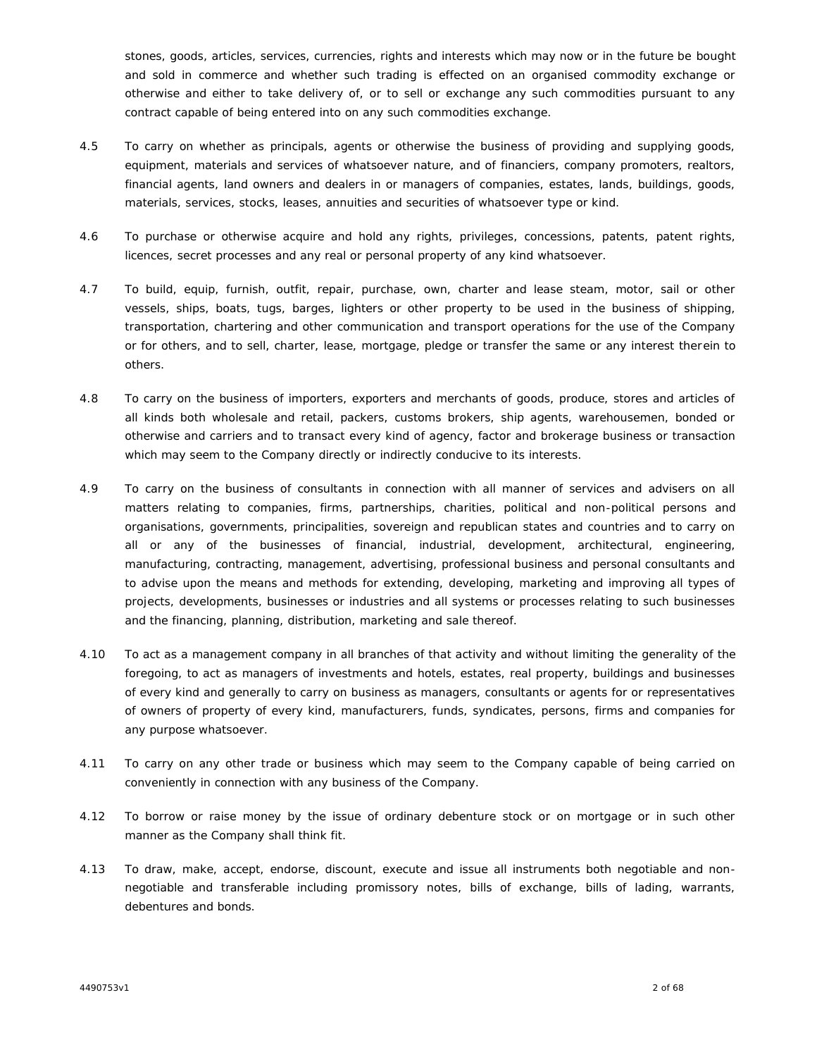stones, goods, articles, services, currencies, rights and interests which may now or in the future be bought and sold in commerce and whether such trading is effected on an organised commodity exchange or otherwise and either to take delivery of, or to sell or exchange any such commodities pursuant to any contract capable of being entered into on any such commodities exchange.

- 4.5 To carry on whether as principals, agents or otherwise the business of providing and supplying goods, equipment, materials and services of whatsoever nature, and of financiers, company promoters, realtors, financial agents, land owners and dealers in or managers of companies, estates, lands, buildings, goods, materials, services, stocks, leases, annuities and securities of whatsoever type or kind.
- 4.6 To purchase or otherwise acquire and hold any rights, privileges, concessions, patents, patent rights, licences, secret processes and any real or personal property of any kind whatsoever.
- 4.7 To build, equip, furnish, outfit, repair, purchase, own, charter and lease steam, motor, sail or other vessels, ships, boats, tugs, barges, lighters or other property to be used in the business of shipping, transportation, chartering and other communication and transport operations for the use of the Company or for others, and to sell, charter, lease, mortgage, pledge or transfer the same or any interest therein to others.
- 4.8 To carry on the business of importers, exporters and merchants of goods, produce, stores and articles of all kinds both wholesale and retail, packers, customs brokers, ship agents, warehousemen, bonded or otherwise and carriers and to transact every kind of agency, factor and brokerage business or transaction which may seem to the Company directly or indirectly conducive to its interests.
- 4.9 To carry on the business of consultants in connection with all manner of services and advisers on all matters relating to companies, firms, partnerships, charities, political and non-political persons and organisations, governments, principalities, sovereign and republican states and countries and to carry on all or any of the businesses of financial, industrial, development, architectural, engineering, manufacturing, contracting, management, advertising, professional business and personal consultants and to advise upon the means and methods for extending, developing, marketing and improving all types of projects, developments, businesses or industries and all systems or processes relating to such businesses and the financing, planning, distribution, marketing and sale thereof.
- 4.10 To act as a management company in all branches of that activity and without limiting the generality of the foregoing, to act as managers of investments and hotels, estates, real property, buildings and businesses of every kind and generally to carry on business as managers, consultants or agents for or representatives of owners of property of every kind, manufacturers, funds, syndicates, persons, firms and companies for any purpose whatsoever.
- 4.11 To carry on any other trade or business which may seem to the Company capable of being carried on conveniently in connection with any business of the Company.
- 4.12 To borrow or raise money by the issue of ordinary debenture stock or on mortgage or in such other manner as the Company shall think fit.
- 4.13 To draw, make, accept, endorse, discount, execute and issue all instruments both negotiable and non negotiable and transferable including promissory notes, bills of exchange, bills of lading, warrants, debentures and bonds.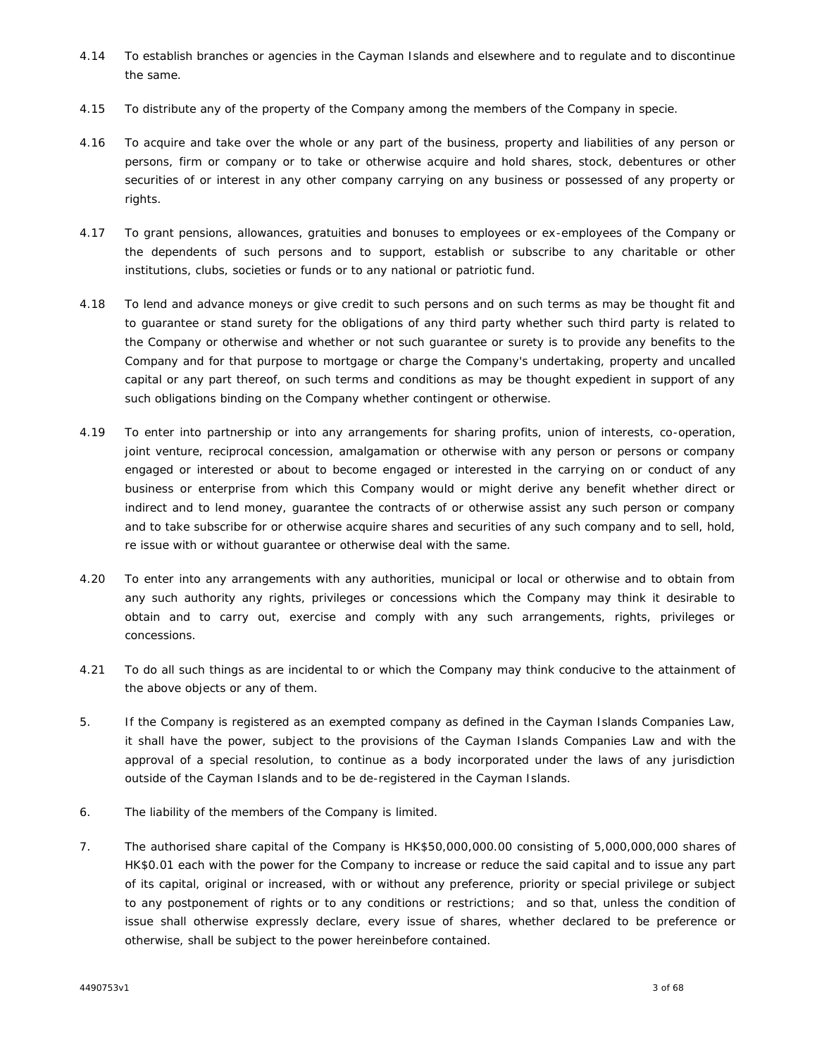- 4.14 To establish branches or agencies in the Cayman Islands and elsewhere and to regulate and to discontinue the same.
- 4.15 To distribute any of the property of the Company among the members of the Company in specie.
- 4.16 To acquire and take over the whole or any part of the business, property and liabilities of any person or persons, firm or company or to take or otherwise acquire and hold shares, stock, debentures or other securities of or interest in any other company carrying on any business or possessed of any property or rights.
- 4.17 To grant pensions, allowances, gratuities and bonuses to employees or ex-employees of the Company or the dependents of such persons and to support, establish or subscribe to any charitable or other institutions, clubs, societies or funds or to any national or patriotic fund.
- 4.18 To lend and advance moneys or give credit to such persons and on such terms as may be thought fit and to guarantee or stand surety for the obligations of any third party whether such third party is related to the Company or otherwise and whether or not such guarantee or surety is to provide any benefits to the Company and for that purpose to mortgage or charge the Company's undertaking, property and uncalled capital or any part thereof, on such terms and conditions as may be thought expedient in support of any such obligations binding on the Company whether contingent or otherwise.
- 4.19 To enter into partnership or into any arrangements for sharing profits, union of interests, co-operation, joint venture, reciprocal concession, amalgamation or otherwise with any person or persons or company engaged or interested or about to become engaged or interested in the carrying on or conduct of any business or enterprise from which this Company would or might derive any benefit whether direct or indirect and to lend money, guarantee the contracts of or otherwise assist any such person or company and to take subscribe for or otherwise acquire shares and securities of any such company and to sell, hold, re issue with or without guarantee or otherwise deal with the same.
- 4.20 To enter into any arrangements with any authorities, municipal or local or otherwise and to obtain from any such authority any rights, privileges or concessions which the Company may think it desirable to obtain and to carry out, exercise and comply with any such arrangements, rights, privileges or concessions.
- 4.21 To do all such things as are incidental to or which the Company may think conducive to the attainment of the above objects or any of them.
- 5. If the Company is registered as an exempted company as defined in the Cayman Islands Companies Law, it shall have the power, subject to the provisions of the Cayman Islands Companies Law and with the approval of a special resolution, to continue as a body incorporated under the laws of any jurisdiction outside of the Cayman Islands and to be de-registered in the Cayman Islands.
- 6. The liability of the members of the Company is limited.
- 7. The authorised share capital of the Company is HK\$50,000,000.00 consisting of 5,000,000,000 shares of HK\$0.01 each with the power for the Company to increase or reduce the said capital and to issue any part of its capital, original or increased, with or without any preference, priority or special privilege or subject to any postponement of rights or to any conditions or restrictions; and so that, unless the condition of issue shall otherwise expressly declare, every issue of shares, whether declared to be preference or otherwise, shall be subject to the power hereinbefore contained.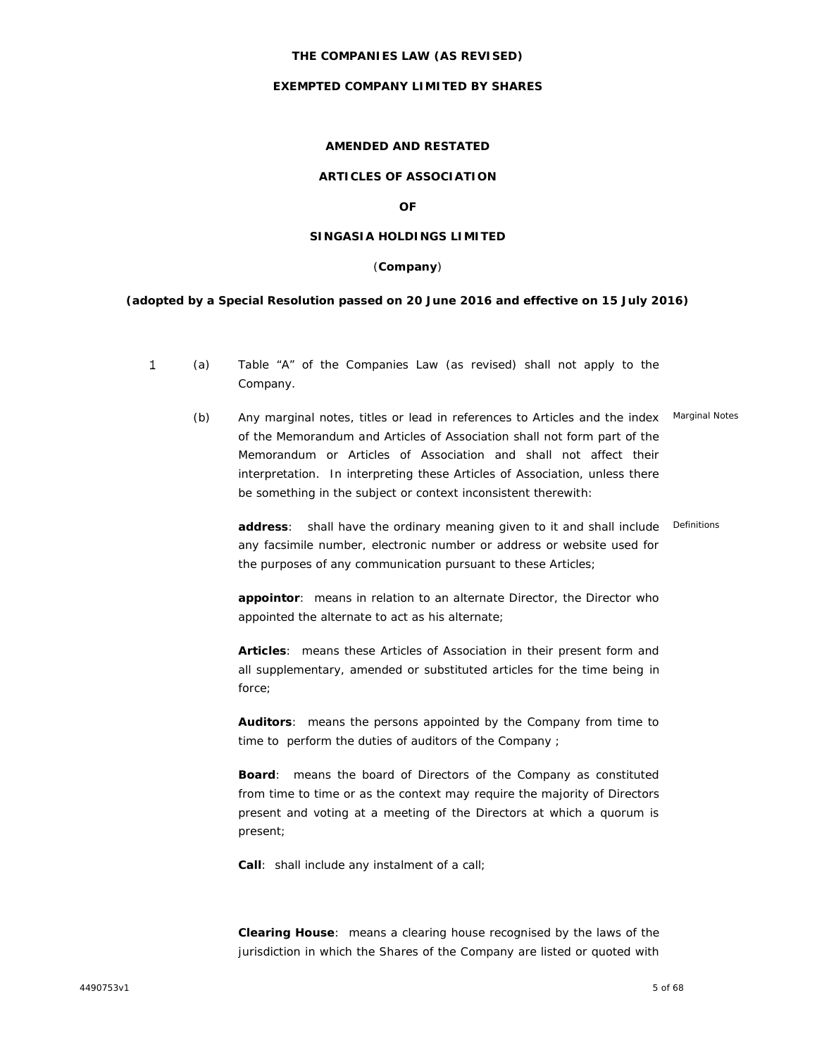#### **THE COMPANIES LAW (AS REVISED)**

## **EXEMPTED COMPANY LIMITED BY SHARES**

# **AMENDED AND RESTATED**

# **ARTICLES OF ASSOCIATION**

**OF**

# **SINGASIA HOLDINGS LIMITED**

#### (**Company**)

**(adopted by a Special Resolution passed on 20 June 2016 and effective on 15 July 2016)**

- 1 (a) Table "A" of the Companies Law (as revised) shall not apply to the Company.
	- (b) Any marginal notes, titles or lead in references to Articles and the index of the Memorandum and Articles of Association shall not form part of the Memorandum or Articles of Association and shall not affect their interpretation. In interpreting these Articles of Association, unless there be something in the subject or context inconsistent therewith: Marginal Notes

**address**: shall have the ordinary meaning given to it and shall include Definitions any facsimile number, electronic number or address or website used for the purposes of any communication pursuant to these Articles;

**appointor**: means in relation to an alternate Director, the Director who appointed the alternate to act as his alternate;

**Articles**: means these Articles of Association in their present form and all supplementary, amended or substituted articles for the time being in force;

**Auditors**: means the persons appointed by the Company from time to time to perform the duties of auditors of the Company ;

**Board**: means the board of Directors of the Company as constituted from time to time or as the context may require the majority of Directors present and voting at a meeting of the Directors at which a quorum is present;

**Call**: shall include any instalment of a call;

**Clearing House**: means a clearing house recognised by the laws of the jurisdiction in which the Shares of the Company are listed or quoted with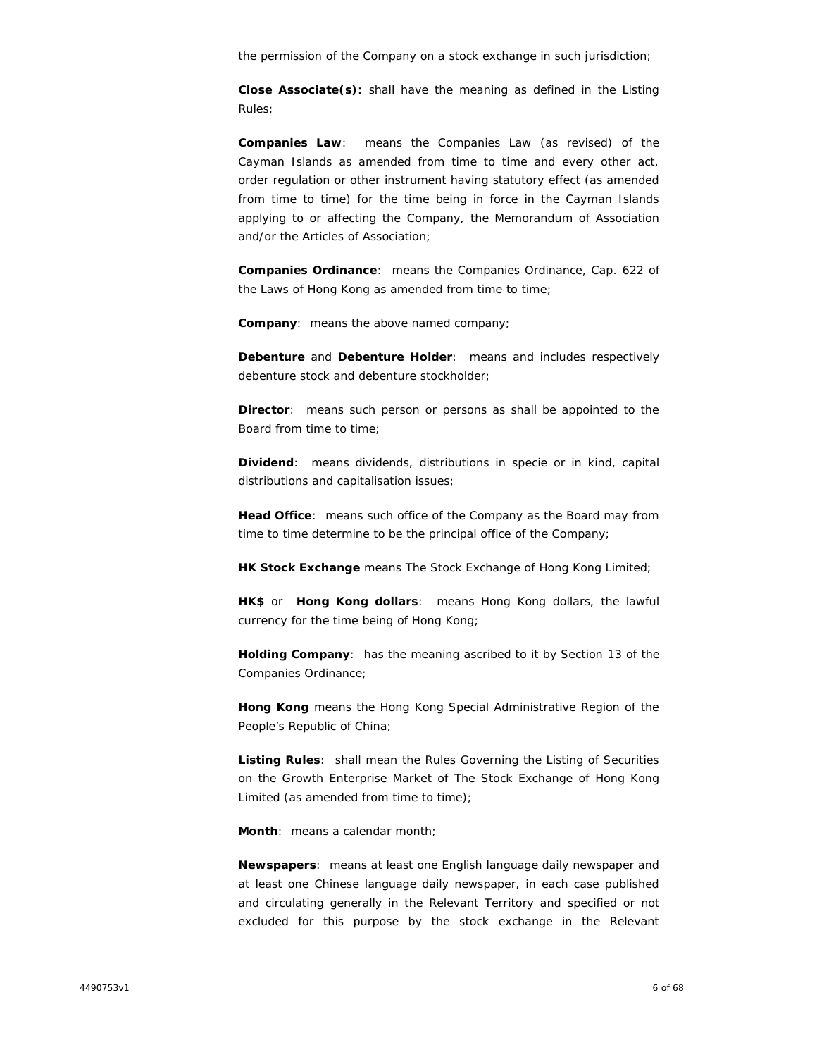the permission of the Company on a stock exchange in such jurisdiction;

**Close Associate(s):** shall have the meaning as defined in the Listing Rules;

**Companies Law**: means the Companies Law (as revised) of the Cayman Islands as amended from time to time and every other act, order regulation or other instrument having statutory effect (as amended from time to time) for the time being in force in the Cayman Islands applying to or affecting the Company, the Memorandum of Association and/or the Articles of Association;

**Companies Ordinance**: means the Companies Ordinance, Cap. 622 of the Laws of Hong Kong as amended from time to time;

**Company**: means the above named company;

**Debenture** and **Debenture Holder**: means and includes respectively debenture stock and debenture stockholder;

**Director**: means such person or persons as shall be appointed to the Board from time to time;

**Dividend**: means dividends, distributions in specie or in kind, capital distributions and capitalisation issues;

**Head Office**: means such office of the Company as the Board may from time to time determine to be the principal office of the Company;

**HK Stock Exchange** means The Stock Exchange of Hong Kong Limited;

**HK\$** or **Hong Kong dollars**: means Hong Kong dollars, the lawful currency for the time being of Hong Kong;

**Holding Company**: has the meaning ascribed to it by Section 13 of the Companies Ordinance;

**Hong Kong** means the Hong Kong Special Administrative Region of the People's Republic of China;

**Listing Rules**: shall mean the Rules Governing the Listing of Securities on the Growth Enterprise Market of The Stock Exchange of Hong Kong Limited (as amended from time to time);

**Month**: means a calendar month;

**Newspapers**: means at least one English language daily newspaper and at least one Chinese language daily newspaper, in each case published and circulating generally in the Relevant Territory and specified or not excluded for this purpose by the stock exchange in the Relevant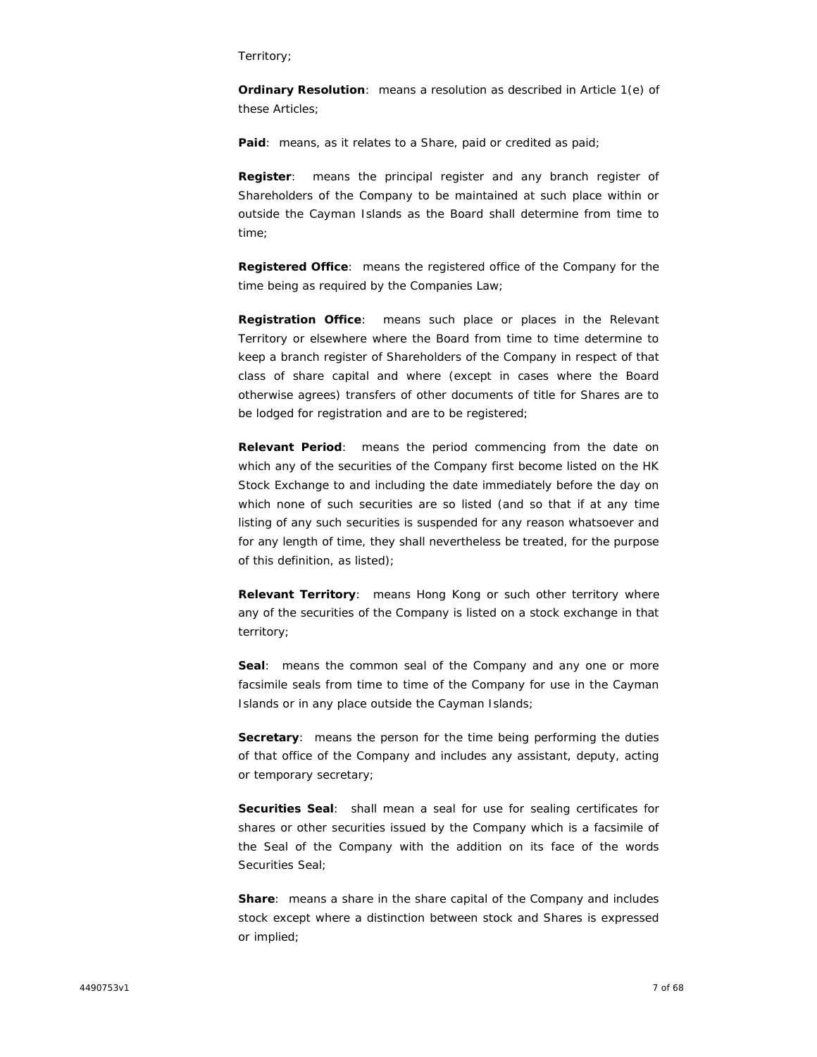#### Territory;

**Ordinary Resolution**: means a resolution as described in Article 1(e) of these Articles;

**Paid**: means, as it relates to a Share, paid or credited as paid;

**Register**: means the principal register and any branch register of Shareholders of the Company to be maintained at such place within or outside the Cayman Islands as the Board shall determine from time to time;

**Registered Office**: means the registered office of the Company for the time being as required by the Companies Law;

**Registration Office**: means such place or places in the Relevant Territory or elsewhere where the Board from time to time determine to keep a branch register of Shareholders of the Company in respect of that class of share capital and where (except in cases where the Board otherwise agrees) transfers of other documents of title for Shares are to be lodged for registration and are to be registered;

**Relevant Period**: means the period commencing from the date on which any of the securities of the Company first become listed on the HK Stock Exchange to and including the date immediately before the day on which none of such securities are so listed (and so that if at any time listing of any such securities is suspended for any reason whatsoever and for any length of time, they shall nevertheless be treated, for the purpose of this definition, as listed);

**Relevant Territory**: means Hong Kong or such other territory where any of the securities of the Company is listed on a stock exchange in that territory;

**Seal**: means the common seal of the Company and any one or more facsimile seals from time to time of the Company for use in the Cayman Islands or in any place outside the Cayman Islands;

**Secretary**: means the person for the time being performing the duties of that office of the Company and includes any assistant, deputy, acting or temporary secretary;

**Securities Seal**: shall mean a seal for use for sealing certificates for shares or other securities issued by the Company which is a facsimile of the Seal of the Company with the addition on its face of the words Securities Seal;

**Share**: means a share in the share capital of the Company and includes stock except where a distinction between stock and Shares is expressed or implied;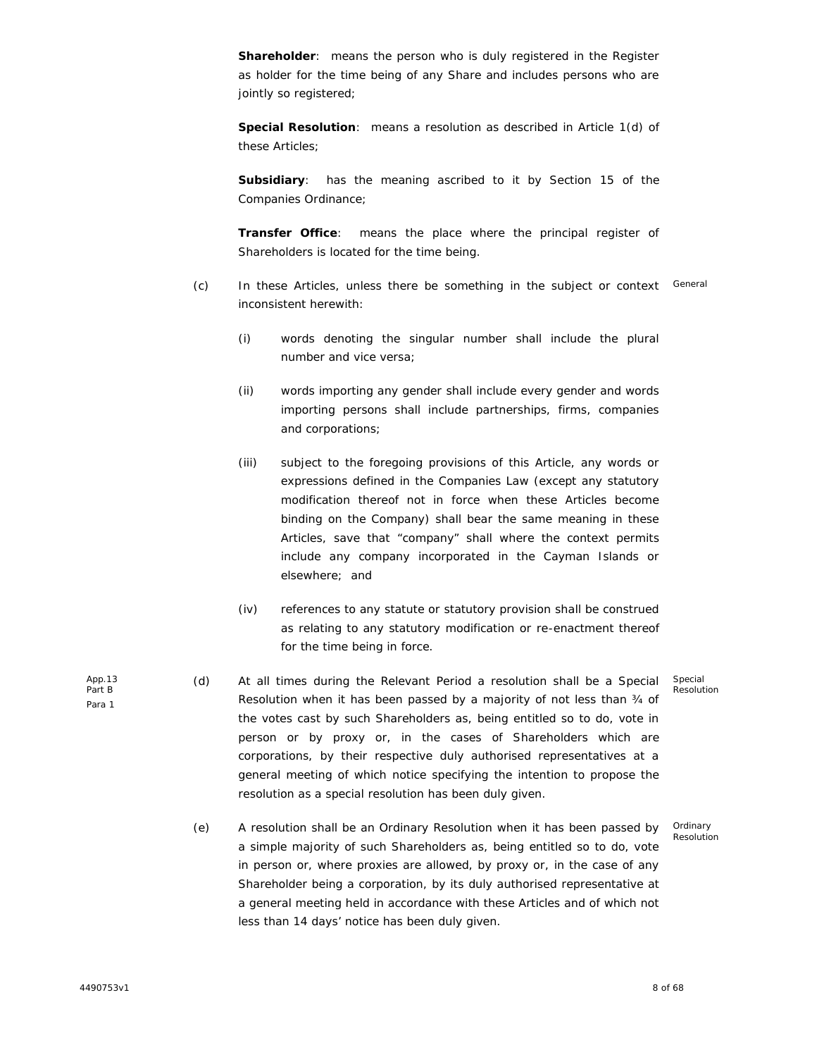**Shareholder**: means the person who is duly registered in the Register as holder for the time being of any Share and includes persons who are jointly so registered;

**Special Resolution**: means a resolution as described in Article 1(d) of these Articles;

**Subsidiary**: has the meaning ascribed to it by Section 15 of the Companies Ordinance;

**Transfer Office**: means the place where the principal register of Shareholders is located for the time being.

- (c) In these Articles, unless there be something in the subject or context General inconsistent herewith:
	- (i) words denoting the singular number shall include the plural number and vice versa;
	- (ii) words importing any gender shall include every gender and words importing persons shall include partnerships, firms, companies and corporations;
	- (iii) subject to the foregoing provisions of this Article, any words or expressions defined in the Companies Law (except any statutory modification thereof not in force when these Articles become binding on the Company) shall bear the same meaning in these Articles, save that "company" shall where the context permits include any company incorporated in the Cayman Islands or elsewhere; and
	- (iv) references to any statute or statutory provision shall be construed as relating to any statutory modification or re-enactment thereof for the time being in force.
- (d) At all times during the Relevant Period a resolution shall be a Special Resolution when it has been passed by a majority of not less than ¾ of the votes cast by such Shareholders as, being entitled so to do, vote in person or by proxy or, in the cases of Shareholders which are corporations, by their respective duly authorised representatives at a general meeting of which notice specifying the intention to propose the resolution as a special resolution has been duly given.
- (e) A resolution shall be an Ordinary Resolution when it has been passed by a simple majority of such Shareholders as, being entitled so to do, vote in person or, where proxies are allowed, by proxy or, in the case of any Shareholder being a corporation, by its duly authorised representative at a general meeting held in accordance with these Articles and of which not less than 14 days' notice has been duly given.

Special Resolution

Ordinary Resolution

App.13 Part B

Para 1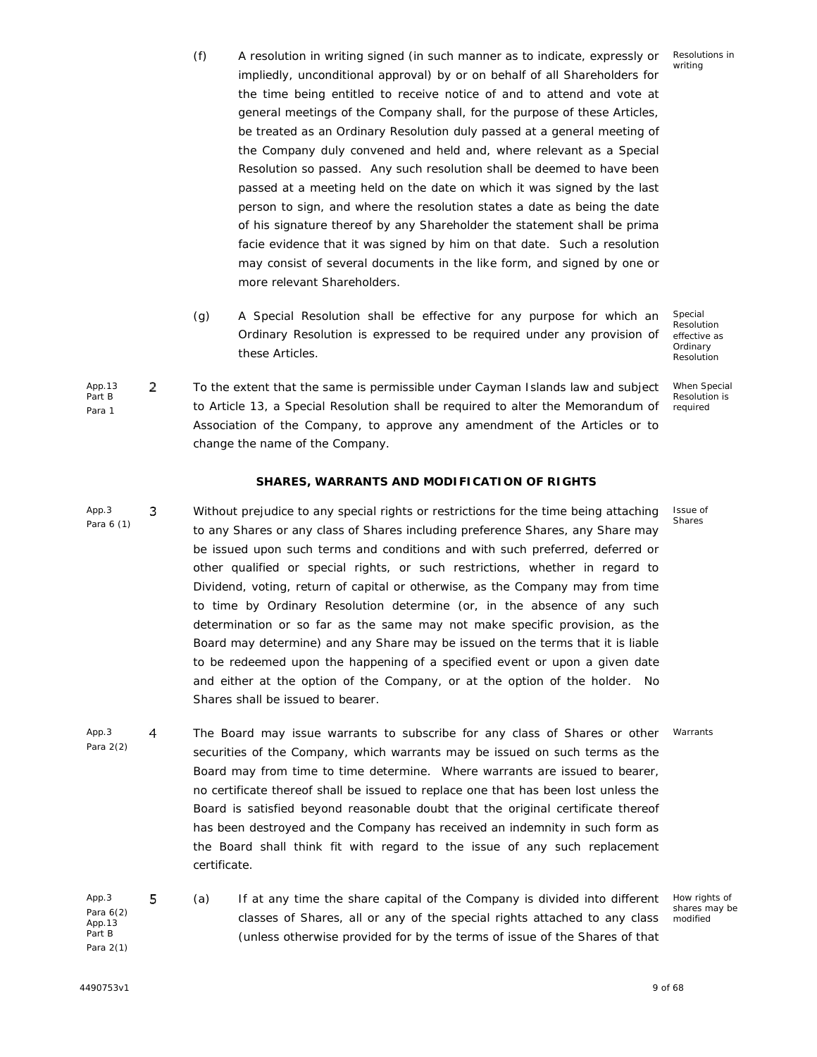How rights of shares may be modified

- (f) A resolution in writing signed (in such manner as to indicate, expressly or impliedly, unconditional approval) by or on behalf of all Shareholders for the time being entitled to receive notice of and to attend and vote at general meetings of the Company shall, for the purpose of these Articles, be treated as an Ordinary Resolution duly passed at a general meeting of the Company duly convened and held and, where relevant as a Special Resolution so passed. Any such resolution shall be deemed to have been passed at a meeting held on the date on which it was signed by the last person to sign, and where the resolution states a date as being the date of his signature thereof by any Shareholder the statement shall be prima facie evidence that it was signed by him on that date. Such a resolution may consist of several documents in the like form, and signed by one or more relevant Shareholders.
- (g) A Special Resolution shall be effective for any purpose for which an Ordinary Resolution is expressed to be required under any provision of these Articles.
- App.13 2 Part B Para 1 To the extent that the same is permissible under Cayman Islands law and subject x to Article 13, a Special Resolution shall be required to alter the Memorandum of Association of the Company, to approve any amendment of the Articles or to change the name of the Company.

## **SHARES, WARRANTS AND MODIFICATION OF RIGHTS**

- App.3 3 Para 6 (1) Without prejudice to any special rights or restrictions for the time being attaching to any Shares or any class of Shares including preference Shares, any Share may be issued upon such terms and conditions and with such preferred, deferred or other qualified or special rights, or such restrictions, whether in regard to Dividend, voting, return of capital or otherwise, as the Company may from time to time by Ordinary Resolution determine (or, in the absence of any such determination or so far as the same may not make specific provision, as the Board may determine) and any Share may be issued on the terms that it is liable to be redeemed upon the happening of a specified event or upon a given date and either at the option of the Company, or at the option of the holder. No Shares shall be issued to bearer.
- App.3 4 Para 2(2) The Board may issue warrants to subscribe for any class of Shares or other securities of the Company, which warrants may be issued on such terms as the Board may from time to time determine. Where warrants are issued to bearer, no certificate thereof shall be issued to replace one that has been lost unless the Board is satisfied beyond reasonable doubt that the original certificate thereof has been destroyed and the Company has received an indemnity in such form as the Board shall think fit with regard to the issue of any such replacement certificate. Warrants
- App.3 5 Para 6(2) App.13 Part B Para 2(1) (a) x If at any time the share capital of the Company is divided into different classes of Shares, all or any of the special rights attached to any class (unless otherwise provided for by the terms of issue of the Shares of that

Resolution effective as Ordinary Resolution

Special

When Special Resolution is required

Issue of Shares

Resolutions in writing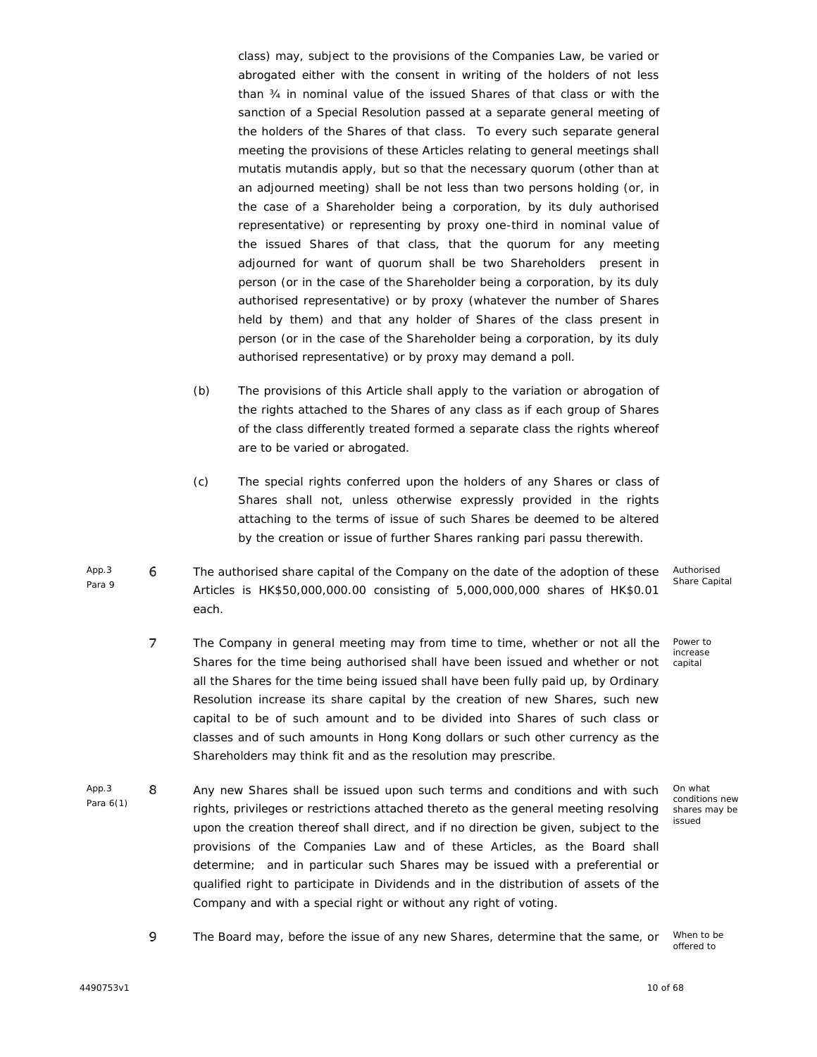class) may, subject to the provisions of the Companies Law, be varied or abrogated either with the consent in writing of the holders of not less than ¾ in nominal value of the issued Shares of that class or with the sanction of a Special Resolution passed at a separate general meeting of the holders of the Shares of that class. To every such separate general meeting the provisions of these Articles relating to general meetings shall *mutatis mutandis* apply, but so that the necessary quorum (other than at an adjourned meeting) shall be not less than two persons holding (or, in the case of a Shareholder being a corporation, by its duly authorised representative) or representing by proxy one-third in nominal value of the issued Shares of that class, that the quorum for any meeting adjourned for want of quorum shall be two Shareholders present in person (or in the case of the Shareholder being a corporation, by its duly authorised representative) or by proxy (whatever the number of Shares held by them) and that any holder of Shares of the class present in person (or in the case of the Shareholder being a corporation, by its duly authorised representative) or by proxy may demand a poll.

- (b) The provisions of this Article shall apply to the variation or abrogation of the rights attached to the Shares of any class as if each group of Shares of the class differently treated formed a separate class the rights whereof are to be varied or abrogated.
- (c) The special rights conferred upon the holders of any Shares or class of Shares shall not, unless otherwise expressly provided in the rights attaching to the terms of issue of such Shares be deemed to be altered by the creation or issue of further Shares ranking *pari passu* therewith.
- App.3 6 Para 9 The authorised share capital of the Company on the date of the adoption of these<br>Articles is HK\$50,000,000.00 consisting of 5,000,000,000 shares of HK\$0.01 each.
	- 7 The Company in general meeting may from time to time, whether or not all the Shares for the time being authorised shall have been issued and whether or not all the Shares for the time being issued shall have been fully paid up, by Ordinary Resolution increase its share capital by the creation of new Shares, such new capital to be of such amount and to be divided into Shares of such class or classes and of such amounts in Hong Kong dollars or such other currency as the Shareholders may think fit and as the resolution may prescribe.
- App.3 8 Para 6(1) Any new Shares shall be issued upon such terms and conditions and with such rights, privileges or restrictions attached thereto as the general meeting resolving upon the creation thereof shall direct, and if no direction be given, subject to the provisions of the Companies Law and of these Articles, as the Board shall determine; and in particular such Shares may be issued with a preferential or qualified right to participate in Dividends and in the distribution of assets of the Company and with a special right or without any right of voting.

Authorised Share Capital

Power to increase capital

On what conditions new shares may be issued

9 The Board may, before the issue of any new Shares, determine that the same, or When to be

offered to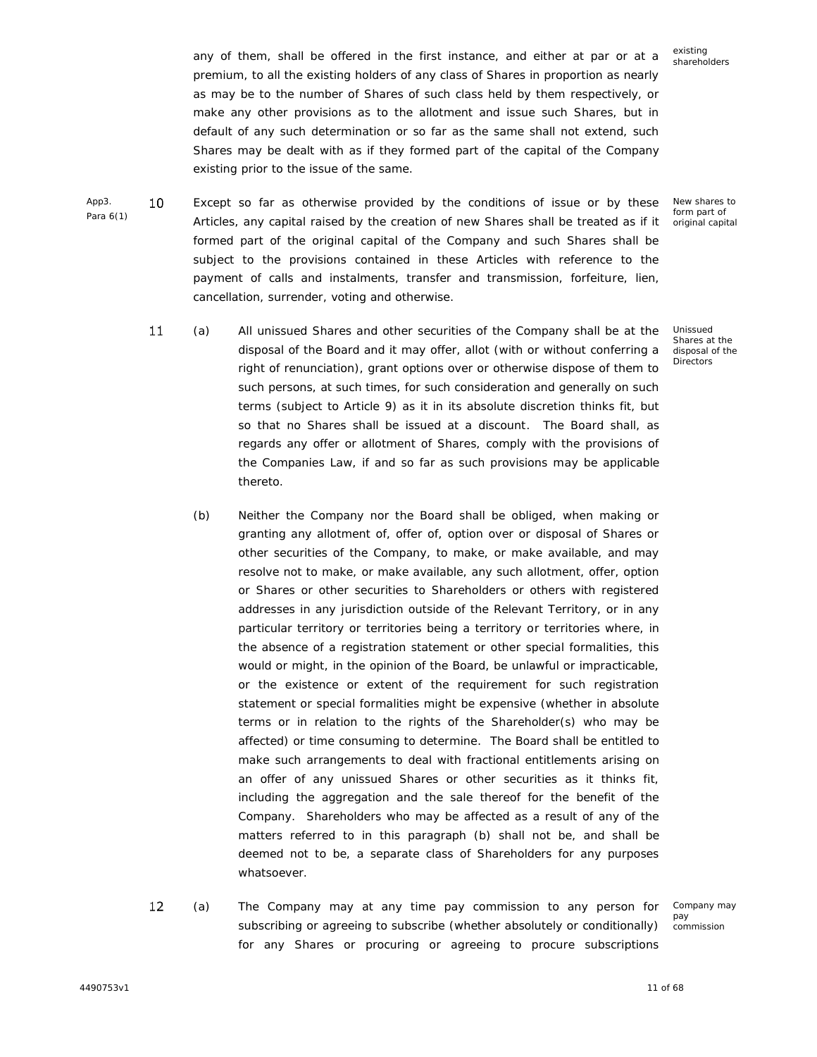any of them, shall be offered in the first instance, and either at par or at a premium, to all the existing holders of any class of Shares in proportion as nearly as may be to the number of Shares of such class held by them respectively, or make any other provisions as to the allotment and issue such Shares, but in default of any such determination or so far as the same shall not extend, such Shares may be dealt with as if they formed part of the capital of the Company existing prior to the issue of the same.

- 10 Except so far as otherwise provided by the conditions of issue or by these Articles, any capital raised by the creation of new Shares shall be treated as if it formed part of the original capital of the Company and such Shares shall be subject to the provisions contained in these Articles with reference to the payment of calls and instalments, transfer and transmission, forfeiture, lien, cancellation, surrender, voting and otherwise.
	- Unissued  $11$ (a) x All unissued Shares and other securities of the Company shall be at the Shares at the disposal of the Board and it may offer, allot (with or without conferring a disposal of the **Directors** right of renunciation), grant options over or otherwise dispose of them to such persons, at such times, for such consideration and generally on such terms (subject to Article 9) as it in its absolute discretion thinks fit, but so that no Shares shall be issued at a discount. The Board shall, as regards any offer or allotment of Shares, comply with the provisions of the Companies Law, if and so far as such provisions may be applicable thereto.
		- (b) Neither the Company nor the Board shall be obliged, when making or granting any allotment of, offer of, option over or disposal of Shares or other securities of the Company, to make, or make available, and may resolve not to make, or make available, any such allotment, offer, option or Shares or other securities to Shareholders or others with registered addresses in any jurisdiction outside of the Relevant Territory, or in any particular territory or territories being a territory or territories where, in the absence of a registration statement or other special formalities, this would or might, in the opinion of the Board, be unlawful or impracticable, or the existence or extent of the requirement for such registration statement or special formalities might be expensive (whether in absolute terms or in relation to the rights of the Shareholder(s) who may be affected) or time consuming to determine. The Board shall be entitled to make such arrangements to deal with fractional entitlements arising on an offer of any unissued Shares or other securities as it thinks fit, including the aggregation and the sale thereof for the benefit of the Company. Shareholders who may be affected as a result of any of the matters referred to in this paragraph (b) shall not be, and shall be deemed not to be, a separate class of Shareholders for any purposes whatsoever.
	- 12 (a) x The Company may at any time pay commission to any person for subscribing or agreeing to subscribe (whether absolutely or conditionally) for any Shares or procuring or agreeing to procure subscriptions

Company may pay commission

existing shareholders

New shares to form part of original capital

App3. Para 6(1)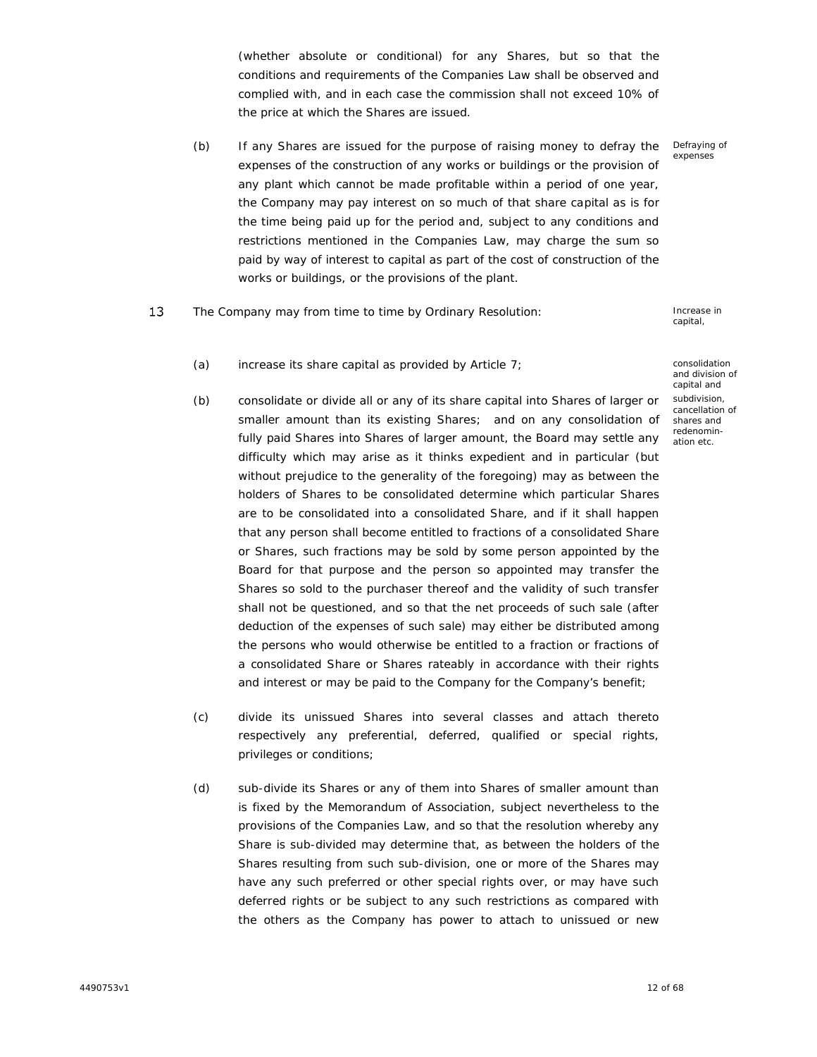(whether absolute or conditional) for any Shares, but so that the conditions and requirements of the Companies Law shall be observed and complied with, and in each case the commission shall not exceed 10% of the price at which the Shares are issued.

- (b) If any Shares are issued for the purpose of raising money to defray the expenses of the construction of any works or buildings or the provision of any plant which cannot be made profitable within a period of one year, the Company may pay interest on so much of that share capital as is for the time being paid up for the period and, subject to any conditions and restrictions mentioned in the Companies Law, may charge the sum so paid by way of interest to capital as part of the cost of construction of the works or buildings, or the provisions of the plant. Defraying of expenses
- 13 The Company may from time to time by Ordinary Resolution: The Company may from time to time by Ordinary Resolution:<br>
eapital,

capital,

and division of capital and

subdivision, cancellation of shares and redenomin ation etc.

- (a) increase its share capital as provided by Article 7; consolidation
- (b) consolidate or divide all or any of its share capital into Shares of larger or smaller amount than its existing Shares; and on any consolidation of fully paid Shares into Shares of larger amount, the Board may settle any difficulty which may arise as it thinks expedient and in particular (but without prejudice to the generality of the foregoing) may as between the holders of Shares to be consolidated determine which particular Shares are to be consolidated into a consolidated Share, and if it shall happen that any person shall become entitled to fractions of a consolidated Share or Shares, such fractions may be sold by some person appointed by the Board for that purpose and the person so appointed may transfer the Shares so sold to the purchaser thereof and the validity of such transfer shall not be questioned, and so that the net proceeds of such sale (after deduction of the expenses of such sale) may either be distributed among the persons who would otherwise be entitled to a fraction or fractions of a consolidated Share or Shares rateably in accordance with their rights and interest or may be paid to the Company for the Company's benefit;
- (c) divide its unissued Shares into several classes and attach thereto respectively any preferential, deferred, qualified or special rights, privileges or conditions;
- (d) sub-divide its Shares or any of them into Shares of smaller amount than is fixed by the Memorandum of Association, subject nevertheless to the provisions of the Companies Law, and so that the resolution whereby any Share is sub-divided may determine that, as between the holders of the Shares resulting from such sub-division, one or more of the Shares may have any such preferred or other special rights over, or may have such deferred rights or be subject to any such restrictions as compared with the others as the Company has power to attach to unissued or new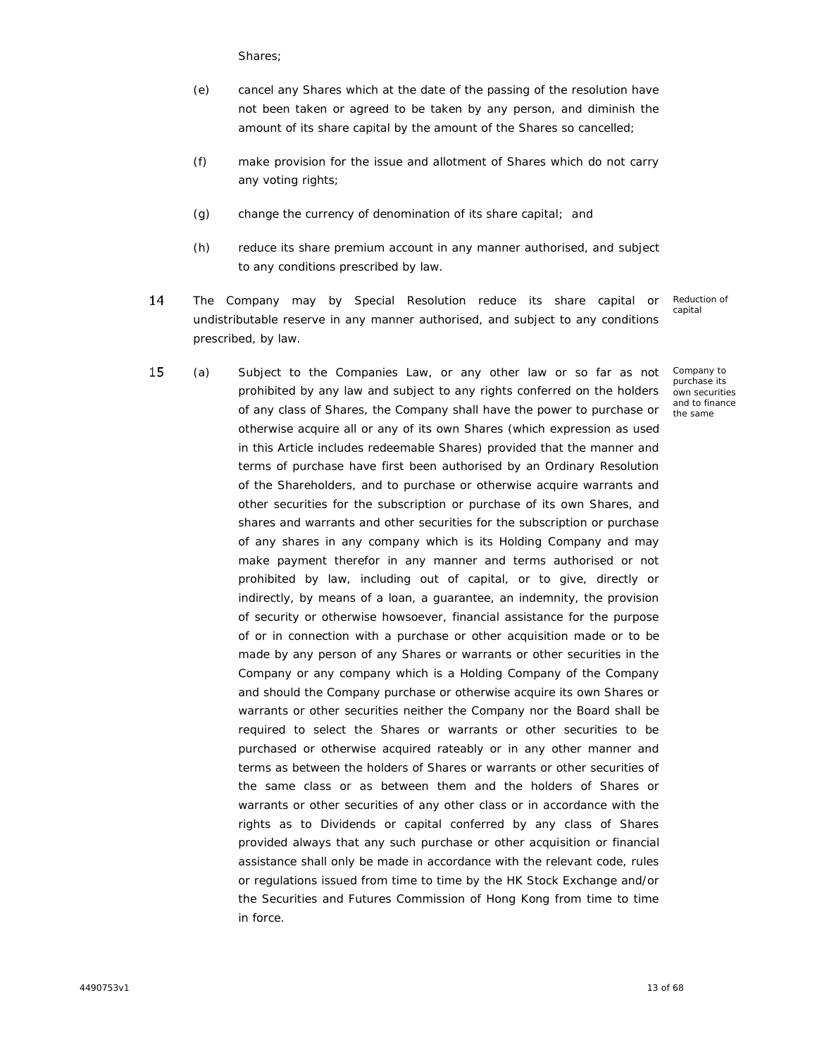Shares;

- (e) cancel any Shares which at the date of the passing of the resolution have not been taken or agreed to be taken by any person, and diminish the amount of its share capital by the amount of the Shares so cancelled;
- (f) make provision for the issue and allotment of Shares which do not carry any voting rights;
- (g) change the currency of denomination of its share capital; and
- (h) reduce its share premium account in any manner authorised, and subject to any conditions prescribed by law.
- 14 The Company may by Special Resolution reduce its share capital or<br>undistributable reserve in any manner authorised, and subject to any conditions prescribed, by law.

Reduction of capital

Company to purchase its own securities and to finance the same

15 (a) Subject to the Companies Law, or any other law or so far as not prohibited by any law and subject to any rights conferred on the holders of any class of Shares, the Company shall have the power to purchase or otherwise acquire all or any of its own Shares (which expression as used in this Article includes redeemable Shares) provided that the manner and terms of purchase have first been authorised by an Ordinary Resolution of the Shareholders, and to purchase or otherwise acquire warrants and other securities for the subscription or purchase of its own Shares, and shares and warrants and other securities for the subscription or purchase of any shares in any company which is its Holding Company and may make payment therefor in any manner and terms authorised or not prohibited by law, including out of capital, or to give, directly or indirectly, by means of a loan, a guarantee, an indemnity, the provision of security or otherwise howsoever, financial assistance for the purpose of or in connection with a purchase or other acquisition made or to be made by any person of any Shares or warrants or other securities in the Company or any company which is a Holding Company of the Company and should the Company purchase or otherwise acquire its own Shares or warrants or other securities neither the Company nor the Board shall be required to select the Shares or warrants or other securities to be purchased or otherwise acquired rateably or in any other manner and terms as between the holders of Shares or warrants or other securities of the same class or as between them and the holders of Shares or warrants or other securities of any other class or in accordance with the rights as to Dividends or capital conferred by any class of Shares provided always that any such purchase or other acquisition or financial assistance shall only be made in accordance with the relevant code, rules or regulations issued from time to time by the HK Stock Exchange and/or the Securities and Futures Commission of Hong Kong from time to time in force.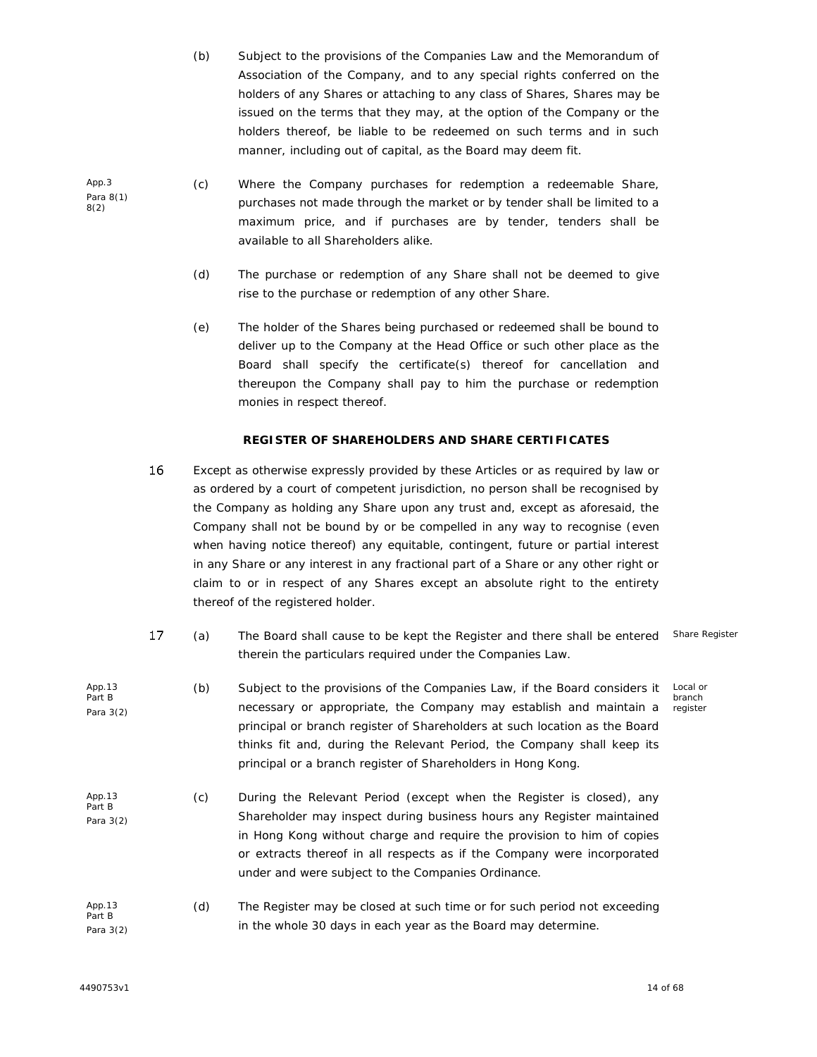- (b) Subject to the provisions of the Companies Law and the Memorandum of Association of the Company, and to any special rights conferred on the holders of any Shares or attaching to any class of Shares, Shares may be issued on the terms that they may, at the option of the Company or the holders thereof, be liable to be redeemed on such terms and in such manner, including out of capital, as the Board may deem fit.
- (c) Where the Company purchases for redemption a redeemable Share, purchases not made through the market or by tender shall be limited to a maximum price, and if purchases are by tender, tenders shall be available to all Shareholders alike.
	- (d) The purchase or redemption of any Share shall not be deemed to give rise to the purchase or redemption of any other Share.
	- (e) The holder of the Shares being purchased or redeemed shall be bound to deliver up to the Company at the Head Office or such other place as the Board shall specify the certificate(s) thereof for cancellation and thereupon the Company shall pay to him the purchase or redemption monies in respect thereof.

## **REGISTER OF SHAREHOLDERS AND SHARE CERTIFICATES**

- 16 Except as otherwise expressly provided by these Articles or as required by law or as ordered by a court of competent jurisdiction, no person shall be recognised by the Company as holding any Share upon any trust and, except as aforesaid, the Company shall not be bound by or be compelled in any way to recognise (even when having notice thereof) any equitable, contingent, future or partial interest in any Share or any interest in any fractional part of a Share or any other right or claim to or in respect of any Shares except an absolute right to the entirety thereof of the registered holder.
- 17 (a) x The Board shall cause to be kept the Register and there shall be entered therein the particulars required under the Companies Law.
- App.13 Part B Para 3(2) (b) Subject to the provisions of the Companies Law, if the Board considers it necessary or appropriate, the Company may establish and maintain a principal or branch register of Shareholders at such location as the Board thinks fit and, during the Relevant Period, the Company shall keep its principal or a branch register of Shareholders in Hong Kong.
- App.13 Part B Para 3(2) (c) During the Relevant Period (except when the Register is closed), any Shareholder may inspect during business hours any Register maintained in Hong Kong without charge and require the provision to him of copies or extracts thereof in all respects as if the Company were incorporated under and were subject to the Companies Ordinance.
- App.13 Part B Para 3(2) (d) The Register may be closed at such time or for such period not exceeding in the whole 30 days in each year as the Board may determine.

App.3 Para 8(1) 8(2)

Share Register

Local or branch register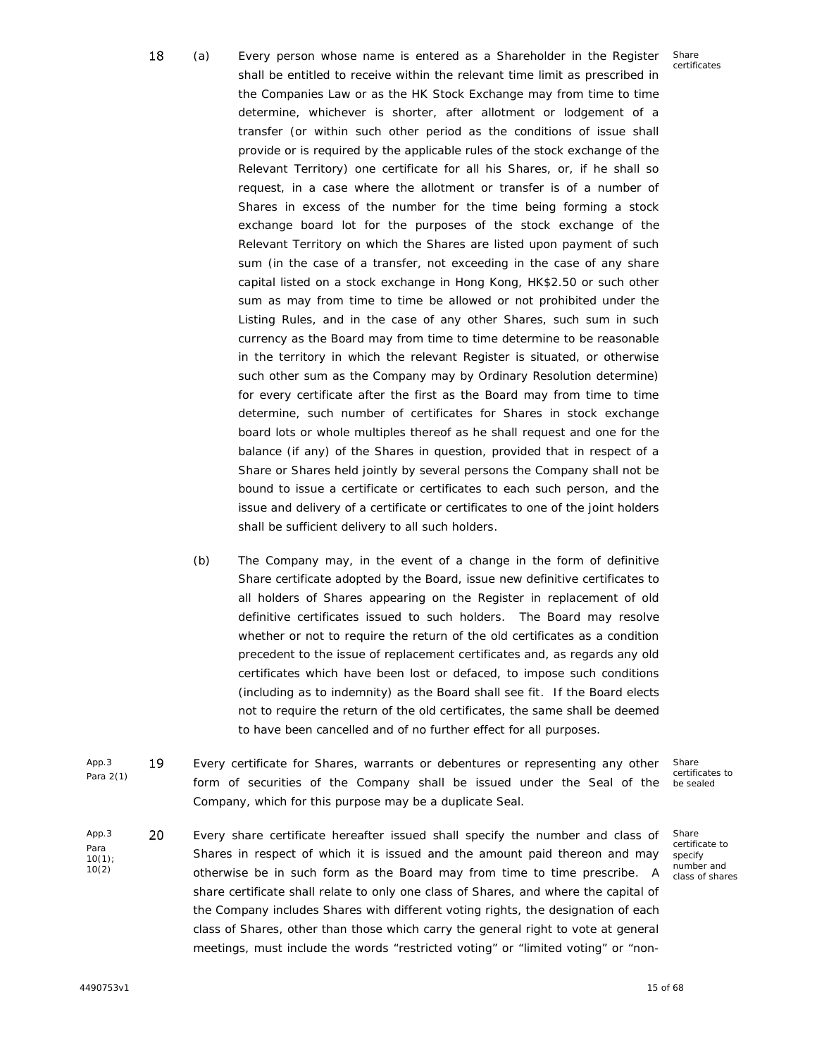- (a) x Every person whose name is entered as a Shareholder in the Register shall be entitled to receive within the relevant time limit as prescribed in the Companies Law or as the HK Stock Exchange may from time to time determine, whichever is shorter, after allotment or lodgement of a transfer (or within such other period as the conditions of issue shall provide or is required by the applicable rules of the stock exchange of the Relevant Territory) one certificate for all his Shares, or, if he shall so request, in a case where the allotment or transfer is of a number of Shares in excess of the number for the time being forming a stock exchange board lot for the purposes of the stock exchange of the Relevant Territory on which the Shares are listed upon payment of such sum (in the case of a transfer, not exceeding in the case of any share capital listed on a stock exchange in Hong Kong, HK\$2.50 or such other sum as may from time to time be allowed or not prohibited under the Listing Rules, and in the case of any other Shares, such sum in such currency as the Board may from time to time determine to be reasonable in the territory in which the relevant Register is situated, or otherwise such other sum as the Company may by Ordinary Resolution determine) for every certificate after the first as the Board may from time to time determine, such number of certificates for Shares in stock exchange board lots or whole multiples thereof as he shall request and one for the balance (if any) of the Shares in question, provided that in respect of a Share or Shares held jointly by several persons the Company shall not be bound to issue a certificate or certificates to each such person, and the issue and delivery of a certificate or certificates to one of the joint holders shall be sufficient delivery to all such holders.
- (b) The Company may, in the event of a change in the form of definitive Share certificate adopted by the Board, issue new definitive certificates to all holders of Shares appearing on the Register in replacement of old definitive certificates issued to such holders. The Board may resolve whether or not to require the return of the old certificates as a condition precedent to the issue of replacement certificates and, as regards any old certificates which have been lost or defaced, to impose such conditions (including as to indemnity) as the Board shall see fit. If the Board elects not to require the return of the old certificates, the same shall be deemed to have been cancelled and of no further effect for all purposes.
- App.3 19 Para 2(1) Every certificate for Shares, warrants or debentures or representing any other form of securities of the Company shall be issued under the Seal of the Company, which for this purpose may be a duplicate Seal.
- App.3 20 Para 10(1); 10(2) Every share certificate hereafter issued shall specify the number and class of Shares in respect of which it is issued and the amount paid thereon and may otherwise be in such form as the Board may from time to time prescribe. A share certificate shall relate to only one class of Shares, and where the capital of the Company includes Shares with different voting rights, the designation of each class of Shares, other than those which carry the general right to vote at general meetings, must include the words "restricted voting" or "limited voting" or "non-

certificates to be sealed

Share

Share certificate to specify number and class of shares

18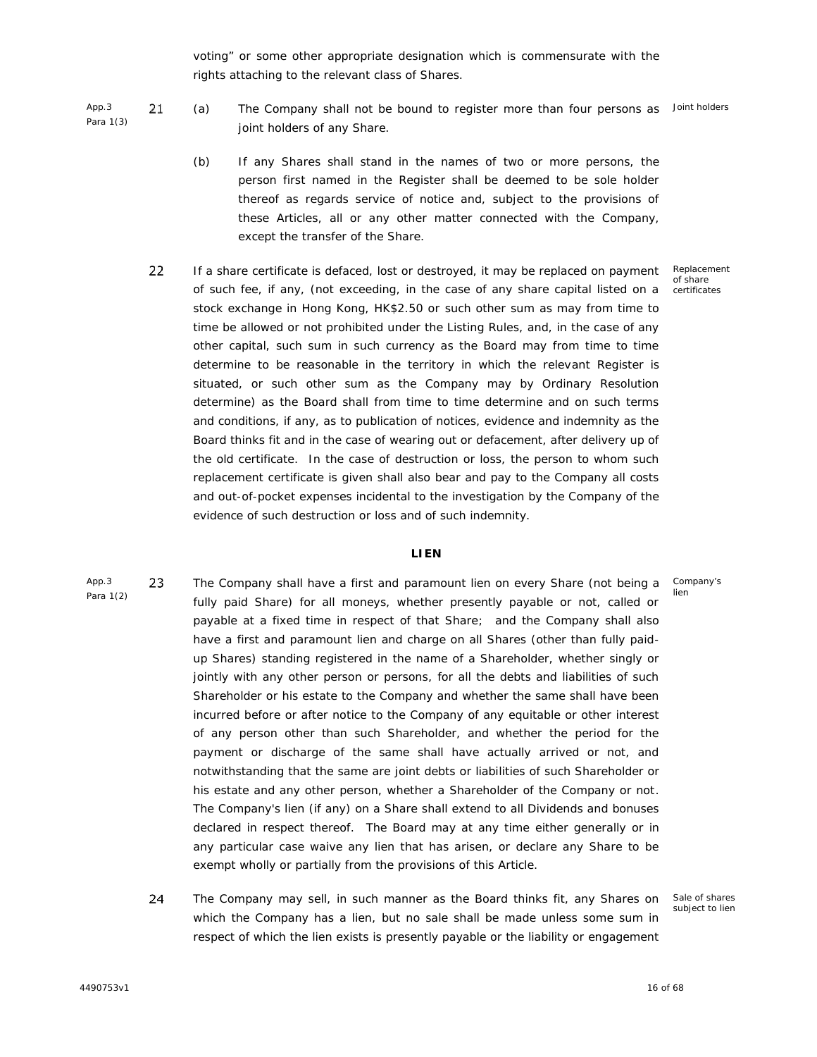voting" or some other appropriate designation which is commensurate with the rights attaching to the relevant class of Shares.

App.3 21 Para 1(3)

- (a) The Company shall not be bound to register more than four persons as Joint holders joint holders of any Share.
- (b) If any Shares shall stand in the names of two or more persons, the person first named in the Register shall be deemed to be sole holder thereof as regards service of notice and, subject to the provisions of these Articles, all or any other matter connected with the Company, except the transfer of the Share.
- 22 If a share certificate is defaced, lost or destroyed, it may be replaced on payment of such fee, if any, (not exceeding, in the case of any share capital listed on a stock exchange in Hong Kong, HK\$2.50 or such other sum as may from time to time be allowed or not prohibited under the Listing Rules, and, in the case of any other capital, such sum in such currency as the Board may from time to time determine to be reasonable in the territory in which the relevant Register is situated, or such other sum as the Company may by Ordinary Resolution determine) as the Board shall from time to time determine and on such terms and conditions, if any, as to publication of notices, evidence and indemnity as the Board thinks fit and in the case of wearing out or defacement, after delivery up of the old certificate. In the case of destruction or loss, the person to whom such replacement certificate is given shall also bear and pay to the Company all costs and out-of-pocket expenses incidental to the investigation by the Company of the evidence of such destruction or loss and of such indemnity.

#### **LIEN**

- App.3 23 Para 1(2) The Company shall have a first and paramount lien on every Share (not being a fully paid Share) for all moneys, whether presently payable or not, called or payable at a fixed time in respect of that Share; and the Company shall also have a first and paramount lien and charge on all Shares (other than fully paid up Shares) standing registered in the name of a Shareholder, whether singly or jointly with any other person or persons, for all the debts and liabilities of such Shareholder or his estate to the Company and whether the same shall have been incurred before or after notice to the Company of any equitable or other interest of any person other than such Shareholder, and whether the period for the payment or discharge of the same shall have actually arrived or not, and notwithstanding that the same are joint debts or liabilities of such Shareholder or his estate and any other person, whether a Shareholder of the Company or not. The Company's lien (if any) on a Share shall extend to all Dividends and bonuses declared in respect thereof. The Board may at any time either generally or in any particular case waive any lien that has arisen, or declare any Share to be exempt wholly or partially from the provisions of this Article.
	- 24 The Company may sell, in such manner as the Board thinks fit, any Shares on which the Company has a lien, but no sale shall be made unless some sum in Sale of shares subject to lienrespect of which the lien exists is presently payable or the liability or engagement

Company's lien

Replacement of share certificates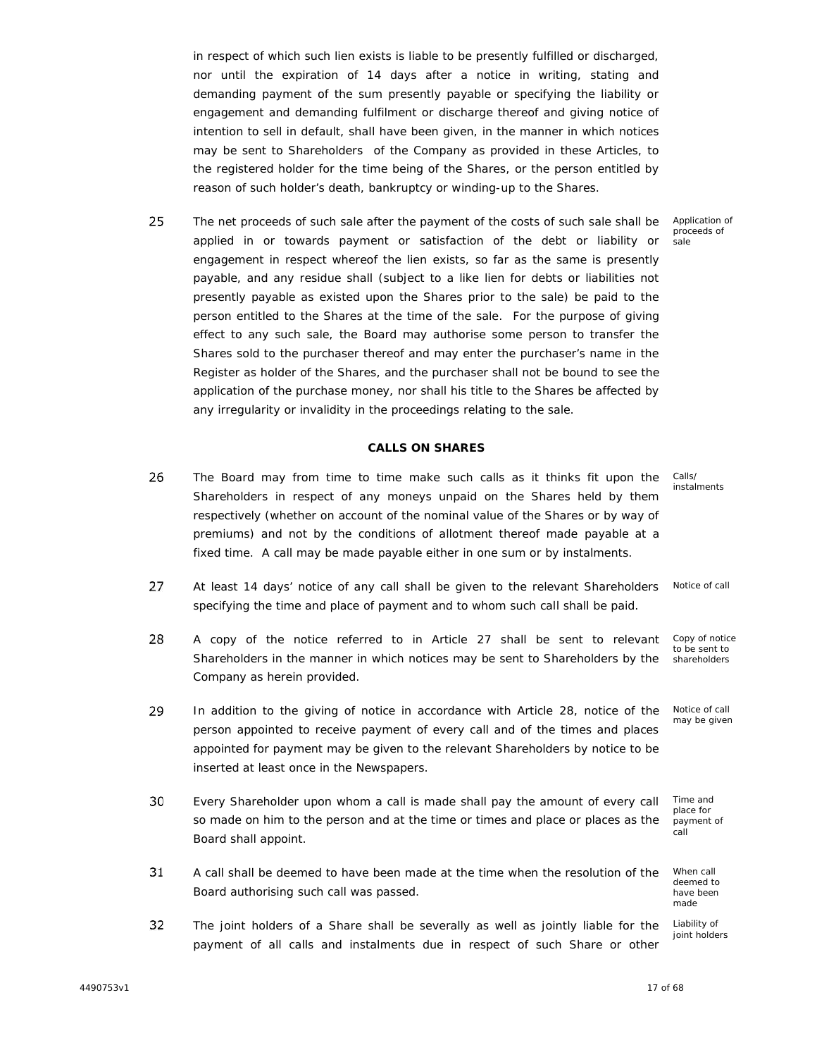in respect of which such lien exists is liable to be presently fulfilled or discharged, nor until the expiration of 14 days after a notice in writing, stating and demanding payment of the sum presently payable or specifying the liability or engagement and demanding fulfilment or discharge thereof and giving notice of intention to sell in default, shall have been given, in the manner in which notices may be sent to Shareholders of the Company as provided in these Articles, to the registered holder for the time being of the Shares, or the person entitled by reason of such holder's death, bankruptcy or winding-up to the Shares.

25 The net proceeds of such sale after the payment of the costs of such sale shall be applied in or towards payment or satisfaction of the debt or liability or engagement in respect whereof the lien exists, so far as the same is presently payable, and any residue shall (subject to a like lien for debts or liabilities not presently payable as existed upon the Shares prior to the sale) be paid to the person entitled to the Shares at the time of the sale. For the purpose of giving effect to any such sale, the Board may authorise some person to transfer the Shares sold to the purchaser thereof and may enter the purchaser's name in the Register as holder of the Shares, and the purchaser shall not be bound to see the application of the purchase money, nor shall his title to the Shares be affected by any irregularity or invalidity in the proceedings relating to the sale.

## **CALLS ON SHARES**

- 26 Calls/ The Board may from time to time make such calls as it thinks fit upon the Shareholders in respect of any moneys unpaid on the Shares held by them respectively (whether on account of the nominal value of the Shares or by way of premiums) and not by the conditions of allotment thereof made payable at a fixed time. A call may be made payable either in one sum or by instalments.
- 27 Notice of call At least 14 days' notice of any call shall be given to the relevant Shareholders specifying the time and place of payment and to whom such call shall be paid.
- 28 Copy of notice A copy of the notice referred to in Article 27 shall be sent to relevant Shareholders in the manner in which notices may be sent to Shareholders by the shareholders Company as herein provided.
- 29 In addition to the giving of notice in accordance with Article 28, notice of the person appointed to receive payment of every call and of the times and places appointed for payment may be given to the relevant Shareholders by notice to be inserted at least once in the Newspapers.
- 30 Every Shareholder upon whom a call is made shall pay the amount of every call so made on him to the person and at the time or times and place or places as the Board shall appoint.
- 31 A call shall be deemed to have been made at the time when the resolution of the Board authorising such call was passed.
- 32 The joint holders of a Share shall be severally as well as jointly liable for the payment of all calls and instalments due in respect of such Share or other

4490753v1 17 of 68

Application of proceeds of sale

instalments

to be sent to

Notice of call may be given

Time and place for payment of call

When call deemed to have been made

Liability of joint holders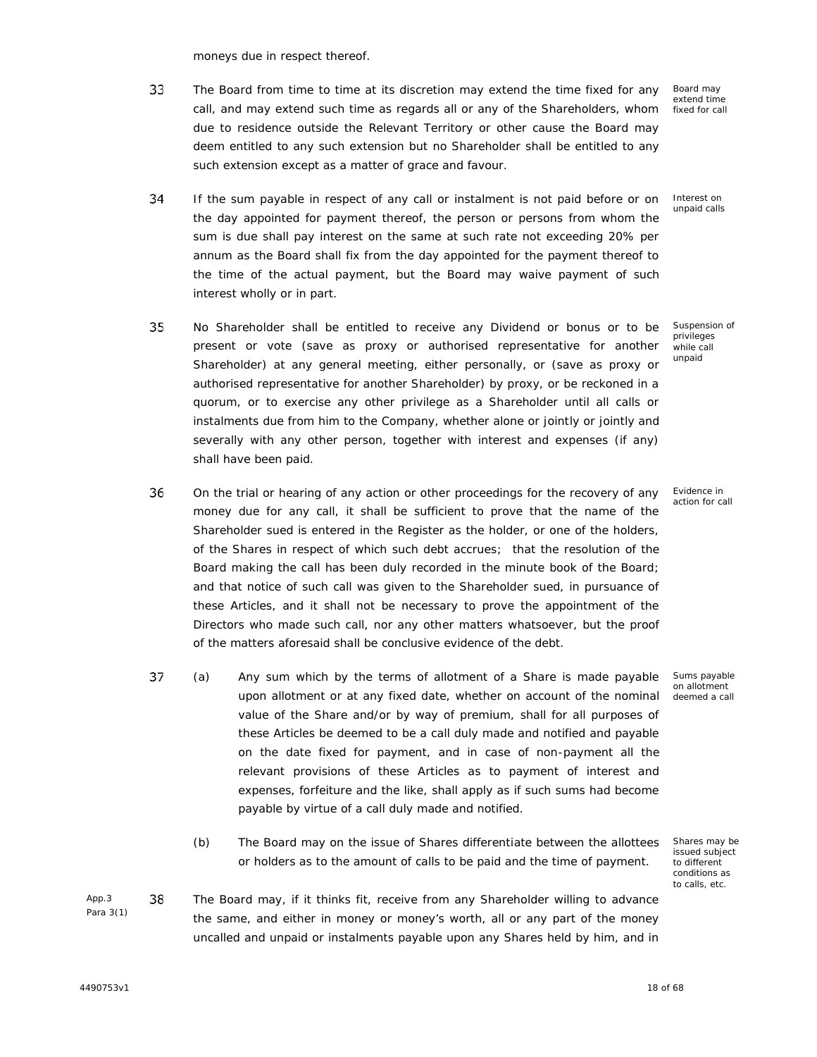moneys due in respect thereof.

33 The Board from time to time at its discretion may extend the time fixed for any call, and may extend such time as regards all or any of the Shareholders, whom due to residence outside the Relevant Territory or other cause the Board may deem entitled to any such extension but no Shareholder shall be entitled to any such extension except as a matter of grace and favour.

Board may extend time fixed for call

Interest on unpaid calls

Suspension of privileges while call unpaid

- 34 If the sum payable in respect of any call or instalment is not paid before or on the day appointed for payment thereof, the person or persons from whom the sum is due shall pay interest on the same at such rate not exceeding 20% per annum as the Board shall fix from the day appointed for the payment thereof to the time of the actual payment, but the Board may waive payment of such interest wholly or in part.
- 35 No Shareholder shall be entitled to receive any Dividend or bonus or to be present or vote (save as proxy or authorised representative for another Shareholder) at any general meeting, either personally, or (save as proxy or authorised representative for another Shareholder) by proxy, or be reckoned in a quorum, or to exercise any other privilege as a Shareholder until all calls or instalments due from him to the Company, whether alone or jointly or jointly and severally with any other person, together with interest and expenses (if any) shall have been paid.
- 36 On the trial or hearing of any action or other proceedings for the recovery of any money due for any call, it shall be sufficient to prove that the name of the Shareholder sued is entered in the Register as the holder, or one of the holders, of the Shares in respect of which such debt accrues; that the resolution of the Board making the call has been duly recorded in the minute book of the Board; and that notice of such call was given to the Shareholder sued, in pursuance of these Articles, and it shall not be necessary to prove the appointment of the Directors who made such call, nor any other matters whatsoever, but the proof of the matters aforesaid shall be conclusive evidence of the debt.
- 37 (a) x Any sum which by the terms of allotment of a Share is made payable upon allotment or at any fixed date, whether on account of the nominal value of the Share and/or by way of premium, shall for all purposes of these Articles be deemed to be a call duly made and notified and payable on the date fixed for payment, and in case of non-payment all the relevant provisions of these Articles as to payment of interest and expenses, forfeiture and the like, shall apply as if such sums had become payable by virtue of a call duly made and notified.
	- (b) The Board may on the issue of Shares differentiate between the allottees or holders as to the amount of calls to be paid and the time of payment.
- App.3 38 Para 3(1) The Board may, if it thinks fit, receive from any Shareholder willing to advance the same, and either in money or money's worth, all or any part of the money uncalled and unpaid or instalments payable upon any Shares held by him, and in

Evidence in action for call

Sums payable on allotment deemed a call

Shares may be issued subject to different conditions as to calls, etc.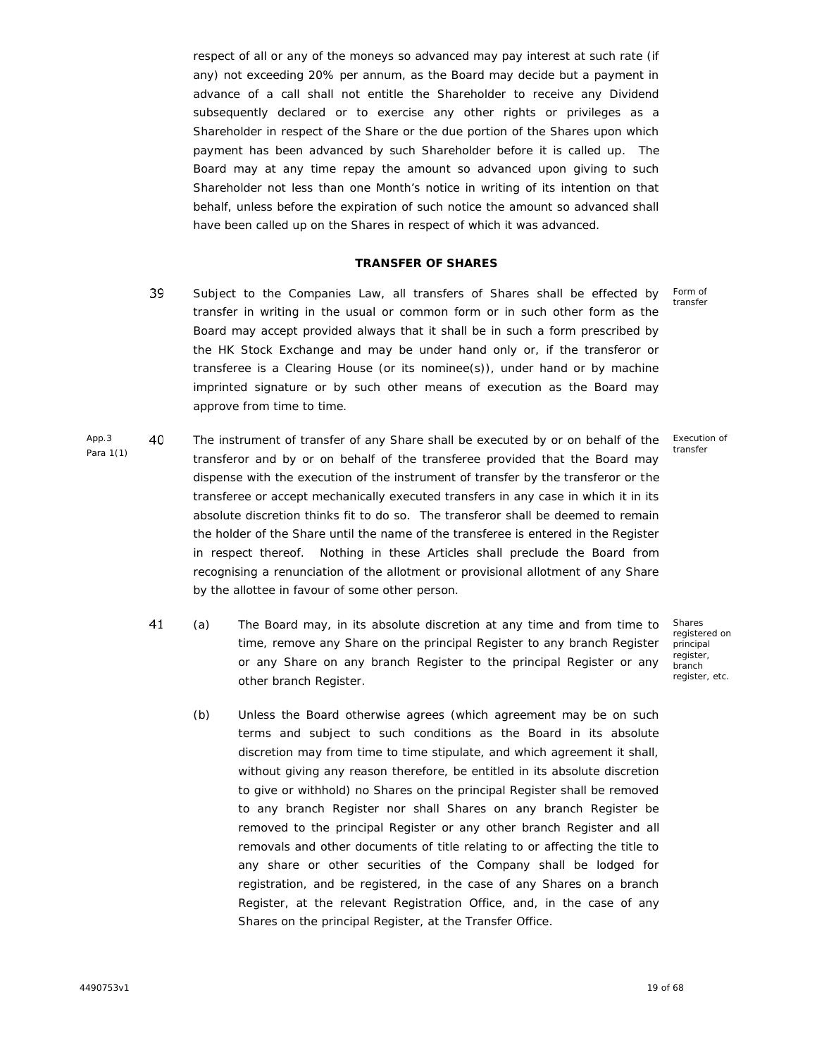respect of all or any of the moneys so advanced may pay interest at such rate (if any) not exceeding 20% per annum, as the Board may decide but a payment in advance of a call shall not entitle the Shareholder to receive any Dividend subsequently declared or to exercise any other rights or privileges as a Shareholder in respect of the Share or the due portion of the Shares upon which payment has been advanced by such Shareholder before it is called up. The Board may at any time repay the amount so advanced upon giving to such Shareholder not less than one Month's notice in writing of its intention on that behalf, unless before the expiration of such notice the amount so advanced shall have been called up on the Shares in respect of which it was advanced.

#### **TRANSFER OF SHARES**

- 39 Subject to the Companies Law, all transfers of Shares shall be effected by transfer in writing in the usual or common form or in such other form as the Board may accept provided always that it shall be in such a form prescribed by the HK Stock Exchange and may be under hand only or, if the transferor or transferee is a Clearing House (or its nominee(s)), under hand or by machine imprinted signature or by such other means of execution as the Board may approve from time to time.
- App.3 40 Para 1(1) The instrument of transfer of any Share shall be executed by or on behalf of the transferor and by or on behalf of the transferee provided that the Board may dispense with the execution of the instrument of transfer by the transferor or the transferee or accept mechanically executed transfers in any case in which it in its absolute discretion thinks fit to do so. The transferor shall be deemed to remain the holder of the Share until the name of the transferee is entered in the Register in respect thereof. Nothing in these Articles shall preclude the Board from recognising a renunciation of the allotment or provisional allotment of any Share by the allottee in favour of some other person.
	- 41 (a) x The Board may, in its absolute discretion at any time and from time to time, remove any Share on the principal Register to any branch Register or any Share on any branch Register to the principal Register or any other branch Register.
		- (b) Unless the Board otherwise agrees (which agreement may be on such terms and subject to such conditions as the Board in its absolute discretion may from time to time stipulate, and which agreement it shall, without giving any reason therefore, be entitled in its absolute discretion to give or withhold) no Shares on the principal Register shall be removed to any branch Register nor shall Shares on any branch Register be removed to the principal Register or any other branch Register and all removals and other documents of title relating to or affecting the title to any share or other securities of the Company shall be lodged for registration, and be registered, in the case of any Shares on a branch Register, at the relevant Registration Office, and, in the case of any Shares on the principal Register, at the Transfer Office.

Form of transfer

Execution of transfer

Shares registered on principal register, branch register, etc.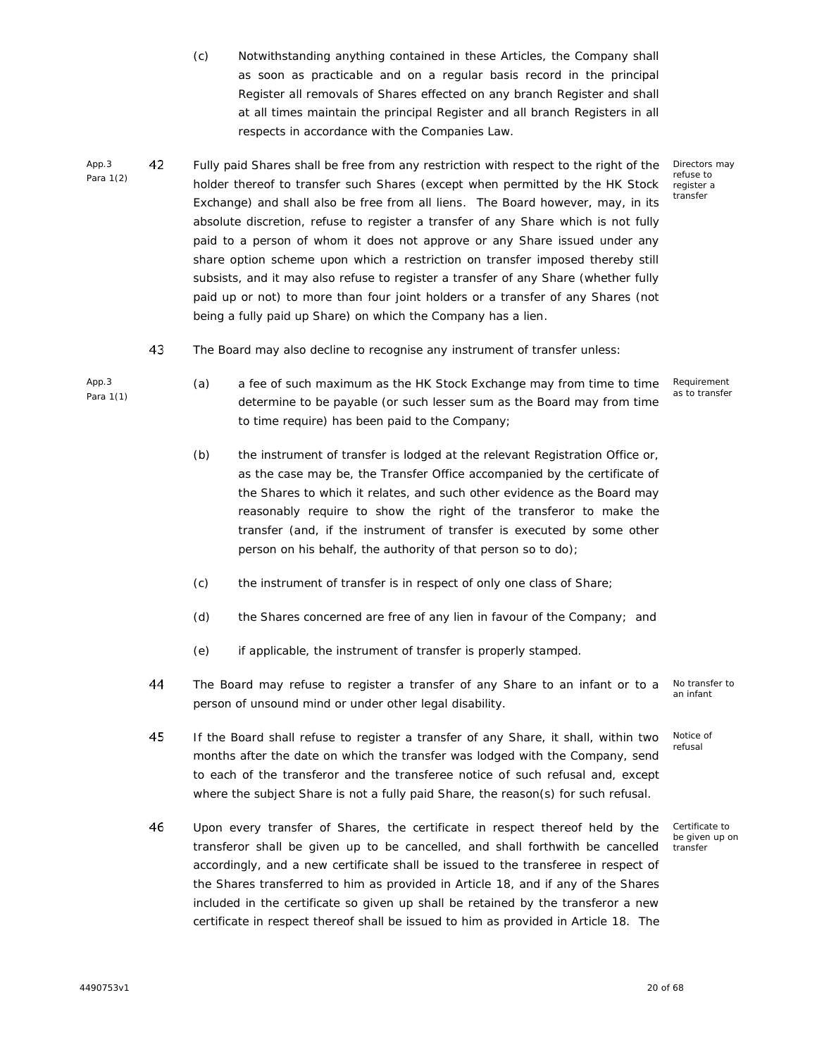- (c) Notwithstanding anything contained in these Articles, the Company shall as soon as practicable and on a regular basis record in the principal Register all removals of Shares effected on any branch Register and shall at all times maintain the principal Register and all branch Registers in all respects in accordance with the Companies Law.
- App.3 42 Para 1(2) Fully paid Shares shall be free from any restriction with respect to the right of the holder thereof to transfer such Shares (except when permitted by the HK Stock Exchange) and shall also be free from all liens. The Board however, may, in its absolute discretion, refuse to register a transfer of any Share which is not fully paid to a person of whom it does not approve or any Share issued under any share option scheme upon which a restriction on transfer imposed thereby still subsists, and it may also refuse to register a transfer of any Share (whether fully paid up or not) to more than four joint holders or a transfer of any Shares (not being a fully paid up Share) on which the Company has a lien.

Directors may refuse to register a transfer

- 43 The Board may also decline to recognise any instrument of transfer unless:
	- (a) a fee of such maximum as the HK Stock Exchange may from time to time determine to be payable (or such lesser sum as the Board may from time to time require) has been paid to the Company;

Requirement as to transfer

- (b) the instrument of transfer is lodged at the relevant Registration Office or, as the case may be, the Transfer Office accompanied by the certificate of the Shares to which it relates, and such other evidence as the Board may reasonably require to show the right of the transferor to make the transfer (and, if the instrument of transfer is executed by some other person on his behalf, the authority of that person so to do);
- (c) the instrument of transfer is in respect of only one class of Share;
- (d) the Shares concerned are free of any lien in favour of the Company; and
- (e) if applicable, the instrument of transfer is properly stamped.
- 44 The Board may refuse to register a transfer of any Share to an infant or to a an infant person of unsound mind or under other legal disability.

45 If the Board shall refuse to register a transfer of any Share, it shall, within two months after the date on which the transfer was lodged with the Company, send to each of the transferor and the transferee notice of such refusal and, except where the subject Share is not a fully paid Share, the reason(s) for such refusal.

46 Upon every transfer of Shares, the certificate in respect thereof held by the transferor shall be given up to be cancelled, and shall forthwith be cancelled accordingly, and a new certificate shall be issued to the transferee in respect of the Shares transferred to him as provided in Article 18, and if any of the Shares included in the certificate so given up shall be retained by the transferor a new certificate in respect thereof shall be issued to him as provided in Article 18. The

No transfer to

Notice of refusal

Certificate to be given up on transfer

App.3 Para 1(1)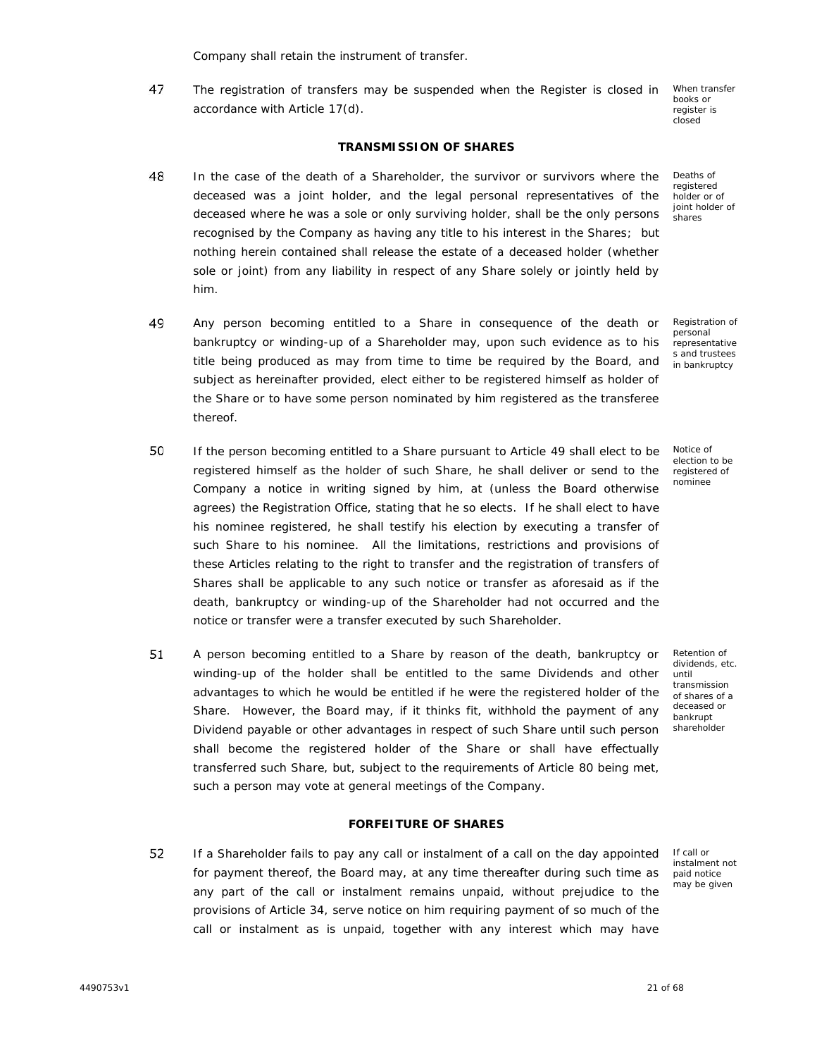Company shall retain the instrument of transfer.

47 The registration of transfers may be suspended when the Register is closed in When transfer<br>accordance with Article 17(d).

books or register is closed

Deaths of registered holder or of joint holder of shares

# **TRANSMISSION OF SHARES**

- 48 In the case of the death of a Shareholder, the survivor or survivors where the deceased was a joint holder, and the legal personal representatives of the deceased where he was a sole or only surviving holder, shall be the only persons recognised by the Company as having any title to his interest in the Shares; but nothing herein contained shall release the estate of a deceased holder (whether sole or joint) from any liability in respect of any Share solely or jointly held by him.
- 49 Any person becoming entitled to a Share in consequence of the death or bankruptcy or winding-up of a Shareholder may, upon such evidence as to his title being produced as may from time to time be required by the Board, and subject as hereinafter provided, elect either to be registered himself as holder of the Share or to have some person nominated by him registered as the transferee thereof.
- 50 If the person becoming entitled to a Share pursuant to Article 49 shall elect to be registered himself as the holder of such Share, he shall deliver or send to the Company a notice in writing signed by him, at (unless the Board otherwise agrees) the Registration Office, stating that he so elects. If he shall elect to have his nominee registered, he shall testify his election by executing a transfer of such Share to his nominee. All the limitations, restrictions and provisions of these Articles relating to the right to transfer and the registration of transfers of Shares shall be applicable to any such notice or transfer as aforesaid as if the death, bankruptcy or winding-up of the Shareholder had not occurred and the notice or transfer were a transfer executed by such Shareholder.
- 51 A person becoming entitled to a Share by reason of the death, bankruptcy or winding-up of the holder shall be entitled to the same Dividends and other advantages to which he would be entitled if he were the registered holder of the Share. However, the Board may, if it thinks fit, withhold the payment of any Dividend payable or other advantages in respect of such Share until such person shall become the registered holder of the Share or shall have effectually transferred such Share, but, subject to the requirements of Article 80 being met, such a person may vote at general meetings of the Company.

## **FORFEITURE OF SHARES**

52 If a Shareholder fails to pay any call or instalment of a call on the day appointed for payment thereof, the Board may, at any time thereafter during such time as any part of the call or instalment remains unpaid, without prejudice to the provisions of Article 34, serve notice on him requiring payment of so much of the call or instalment as is unpaid, together with any interest which may have

Registration of personal representative s and trustees in bankruptcy

Notice of election to be registered of nominee

Retention of dividends, etc. until transmission of shares of a deceased or bankrupt shareholder

If call or instalment not paid notice may be given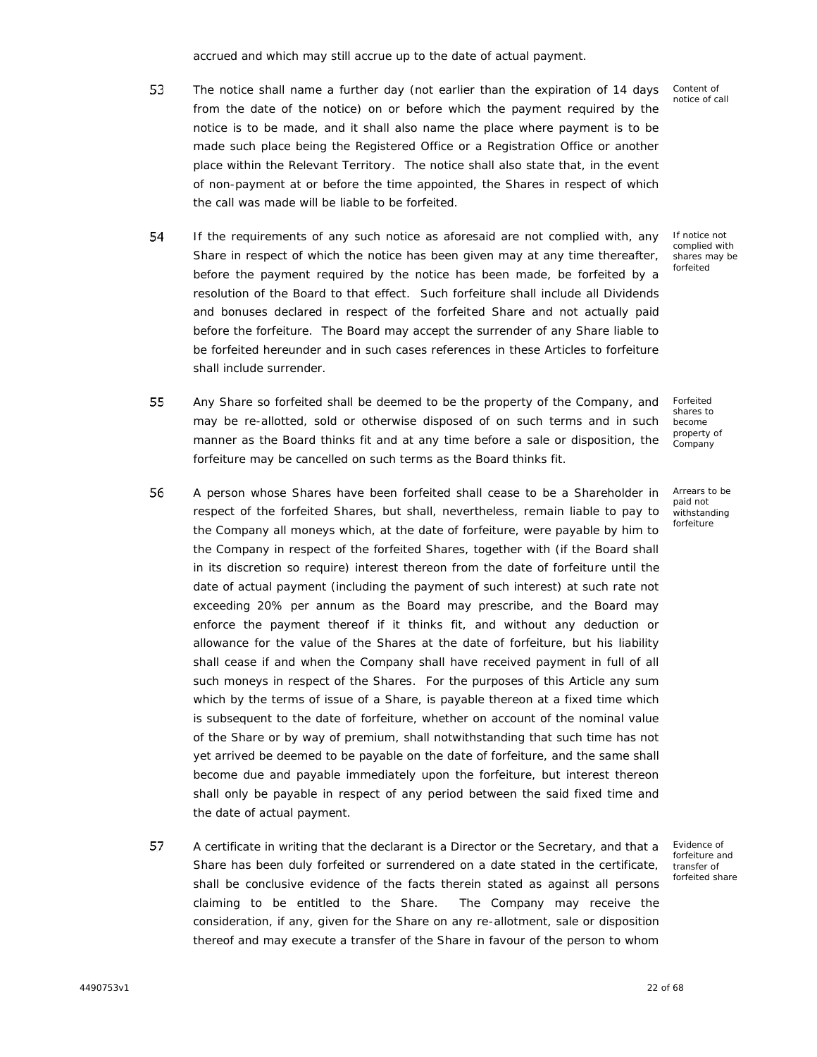accrued and which may still accrue up to the date of actual payment.

- 53 The notice shall name a further day (not earlier than the expiration of 14 days from the date of the notice) on or before which the payment required by the notice is to be made, and it shall also name the place where payment is to be made such place being the Registered Office or a Registration Office or another place within the Relevant Territory. The notice shall also state that, in the event of non-payment at or before the time appointed, the Shares in respect of which the call was made will be liable to be forfeited.
- 54 If the requirements of any such notice as aforesaid are not complied with, any Share in respect of which the notice has been given may at any time thereafter, before the payment required by the notice has been made, be forfeited by a resolution of the Board to that effect. Such forfeiture shall include all Dividends and bonuses declared in respect of the forfeited Share and not actually paid before the forfeiture. The Board may accept the surrender of any Share liable to be forfeited hereunder and in such cases references in these Articles to forfeiture shall include surrender.
- 55 Any Share so forfeited shall be deemed to be the property of the Company, and may be re-allotted, sold or otherwise disposed of on such terms and in such manner as the Board thinks fit and at any time before a sale or disposition, the forfeiture may be cancelled on such terms as the Board thinks fit.
- 56 A person whose Shares have been forfeited shall cease to be a Shareholder in respect of the forfeited Shares, but shall, nevertheless, remain liable to pay to the Company all moneys which, at the date of forfeiture, were payable by him to the Company in respect of the forfeited Shares, together with (if the Board shall in its discretion so require) interest thereon from the date of forfeiture until the date of actual payment (including the payment of such interest) at such rate not exceeding 20% per annum as the Board may prescribe, and the Board may enforce the payment thereof if it thinks fit, and without any deduction or allowance for the value of the Shares at the date of forfeiture, but his liability shall cease if and when the Company shall have received payment in full of all such moneys in respect of the Shares. For the purposes of this Article any sum which by the terms of issue of a Share, is payable thereon at a fixed time which is subsequent to the date of forfeiture, whether on account of the nominal value of the Share or by way of premium, shall notwithstanding that such time has not yet arrived be deemed to be payable on the date of forfeiture, and the same shall become due and payable immediately upon the forfeiture, but interest thereon shall only be payable in respect of any period between the said fixed time and the date of actual payment.
- 57 A certificate in writing that the declarant is a Director or the Secretary, and that a Share has been duly forfeited or surrendered on a date stated in the certificate, shall be conclusive evidence of the facts therein stated as against all persons claiming to be entitled to the Share. The Company may receive the consideration, if any, given for the Share on any re-allotment, sale or disposition thereof and may execute a transfer of the Share in favour of the person to whom

Content of notice of call

If notice not complied with shares may be forfeited

Forfeited shares to become property of Company

Arrears to be paid not withstanding forfeiture

Evidence of forfeiture and transfer of forfeited share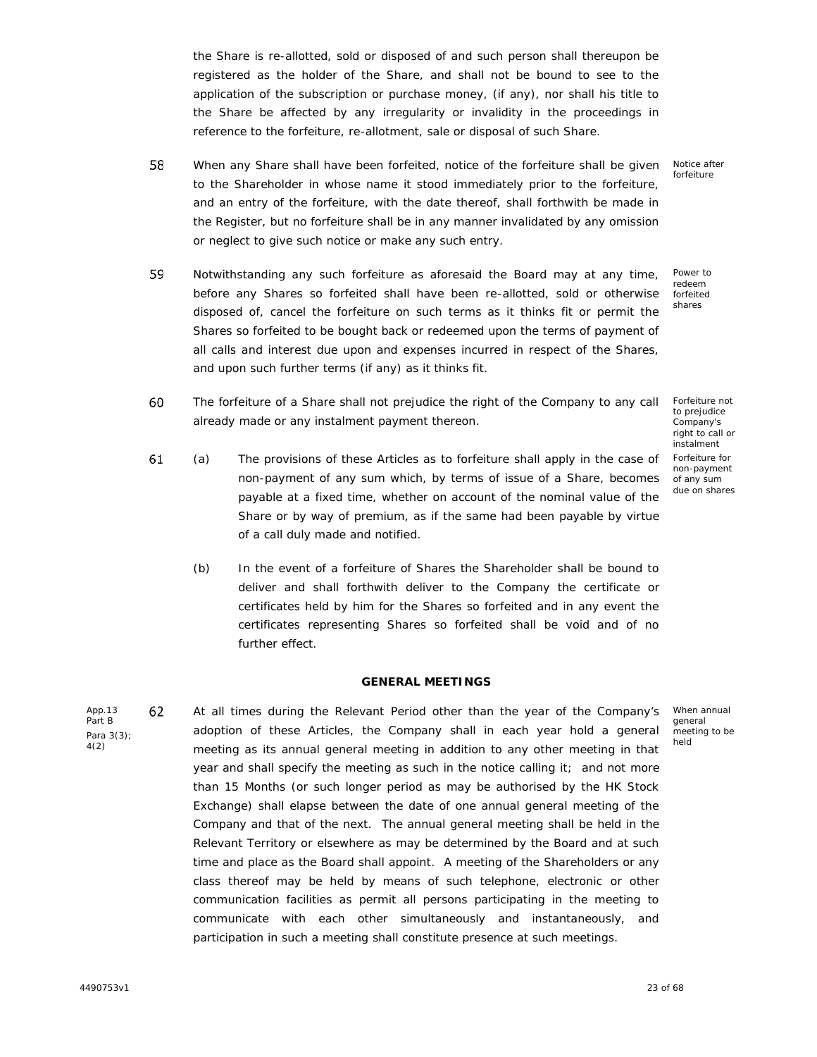the Share is re-allotted, sold or disposed of and such person shall thereupon be registered as the holder of the Share, and shall not be bound to see to the application of the subscription or purchase money, (if any), nor shall his title to the Share be affected by any irregularity or invalidity in the proceedings in reference to the forfeiture, re-allotment, sale or disposal of such Share.

- 58 When any Share shall have been forfeited, notice of the forfeiture shall be given to the Shareholder in whose name it stood immediately prior to the forfeiture, and an entry of the forfeiture, with the date thereof, shall forthwith be made in the Register, but no forfeiture shall be in any manner invalidated by any omission or neglect to give such notice or make any such entry.
- 59 Notwithstanding any such forfeiture as aforesaid the Board may at any time, before any Shares so forfeited shall have been re-allotted, sold or otherwise disposed of, cancel the forfeiture on such terms as it thinks fit or permit the Shares so forfeited to be bought back or redeemed upon the terms of payment of all calls and interest due upon and expenses incurred in respect of the Shares, and upon such further terms (if any) as it thinks fit.
- 60 The forfeiture of a Share shall not prejudice the right of the Company to any call already made or any instalment payment thereon.
- 61 (a) x The provisions of these Articles as to forfeiture shall apply in the case of non-payment of any sum which, by terms of issue of a Share, becomes payable at a fixed time, whether on account of the nominal value of the Share or by way of premium, as if the same had been payable by virtue of a call duly made and notified.
	- (b) In the event of a forfeiture of Shares the Shareholder shall be bound to deliver and shall forthwith deliver to the Company the certificate or certificates held by him for the Shares so forfeited and in any event the certificates representing Shares so forfeited shall be void and of no further effect.

## **GENERAL MEETINGS**

App.13 62 Part B Para 3(3); 4(2) At all times during the Relevant Period other than the year of the Company's adoption of these Articles, the Company shall in each year hold a general meeting as its annual general meeting in addition to any other meeting in that year and shall specify the meeting as such in the notice calling it; and not more than 15 Months (or such longer period as may be authorised by the HK Stock Exchange) shall elapse between the date of one annual general meeting of the Company and that of the next. The annual general meeting shall be held in the Relevant Territory or elsewhere as may be determined by the Board and at such time and place as the Board shall appoint. A meeting of the Shareholders or any class thereof may be held by means of such telephone, electronic or other communication facilities as permit all persons participating in the meeting to communicate with each other simultaneously and instantaneously, and participation in such a meeting shall constitute presence at such meetings.

Notice after forfeiture

Power to redeem forfeited shares

Forfeiture not to prejudice Company's right to call or instalment Forfeiture for non-payment of any sum due on shares

When annual general meeting to be held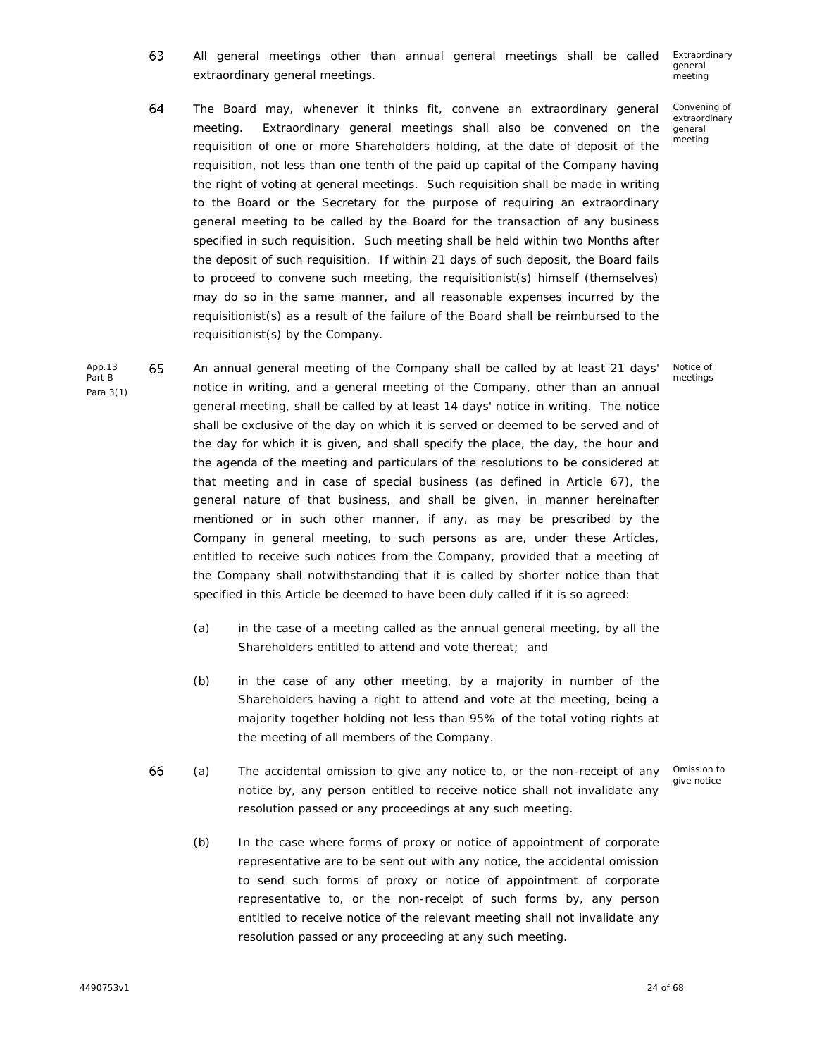63 Extraordinary All general meetings other than annual general meetings shall be called extraordinary general meetings. general meeting

> Convening of extraordinary general meeting

Notice of meetings

- 64 The Board may, whenever it thinks fit, convene an extraordinary general meeting. Extraordinary general meetings shall also be convened on the requisition of one or more Shareholders holding, at the date of deposit of the requisition, not less than one tenth of the paid up capital of the Company having the right of voting at general meetings. Such requisition shall be made in writing to the Board or the Secretary for the purpose of requiring an extraordinary general meeting to be called by the Board for the transaction of any business specified in such requisition. Such meeting shall be held within two Months after the deposit of such requisition. If within 21 days of such deposit, the Board fails to proceed to convene such meeting, the requisitionist(s) himself (themselves) may do so in the same manner, and all reasonable expenses incurred by the requisitionist(s) as a result of the failure of the Board shall be reimbursed to the requisitionist(s) by the Company.
- App.13 65 An annual general meeting of the Company shall be called by at least 21 days' notice in writing, and a general meeting of the Company, other than an annual general meeting, shall be called by at least 14 days' notice in writing. The notice shall be exclusive of the day on which it is served or deemed to be served and of the day for which it is given, and shall specify the place, the day, the hour and the agenda of the meeting and particulars of the resolutions to be considered at that meeting and in case of special business (as defined in Article 67), the general nature of that business, and shall be given, in manner hereinafter mentioned or in such other manner, if any, as may be prescribed by the Company in general meeting, to such persons as are, under these Articles, entitled to receive such notices from the Company, provided that a meeting of the Company shall notwithstanding that it is called by shorter notice than that specified in this Article be deemed to have been duly called if it is so agreed:
	- (a) in the case of a meeting called as the annual general meeting, by all the Shareholders entitled to attend and vote thereat; and
	- (b) in the case of any other meeting, by a majority in number of the Shareholders having a right to attend and vote at the meeting, being a majority together holding not less than 95% of the total voting rights at the meeting of all members of the Company.
	- 66 Omission to (a) x The accidental omission to give any notice to, or the non-receipt of any give notice notice by, any person entitled to receive notice shall not invalidate any resolution passed or any proceedings at any such meeting.
		- (b) In the case where forms of proxy or notice of appointment of corporate representative are to be sent out with any notice, the accidental omission to send such forms of proxy or notice of appointment of corporate representative to, or the non-receipt of such forms by, any person entitled to receive notice of the relevant meeting shall not invalidate any resolution passed or any proceeding at any such meeting.

Part B Para 3(1)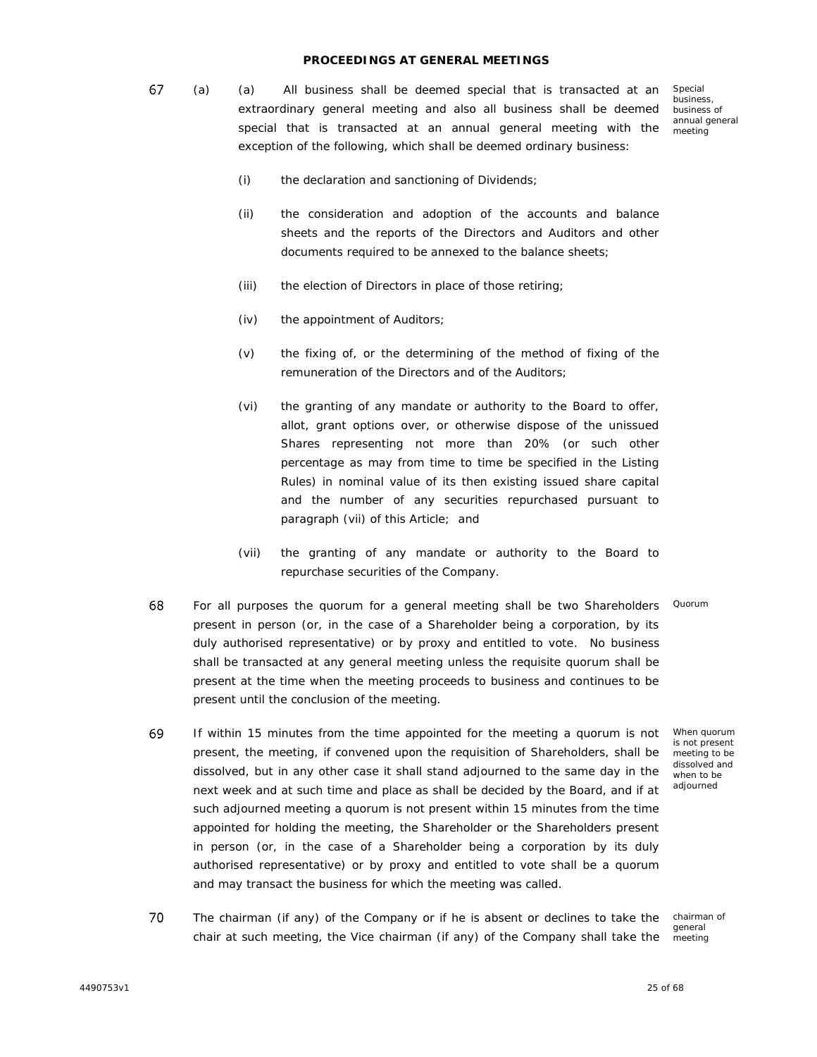## **PROCEEDINGS AT GENERAL MEETINGS**

67 (a) x (a) All business shall be deemed special that is transacted at an Special extraordinary general meeting and also all business shall be deemed special that is transacted at an annual general meeting with the exception of the following, which shall be deemed ordinary business:

business, business of annual general meeting

- (i) the declaration and sanctioning of Dividends;
- (ii) the consideration and adoption of the accounts and balance sheets and the reports of the Directors and Auditors and other documents required to be annexed to the balance sheets;
- (iii) the election of Directors in place of those retiring;
- (iv) the appointment of Auditors;
- (v) the fixing of, or the determining of the method of fixing of the remuneration of the Directors and of the Auditors;
- (vi) the granting of any mandate or authority to the Board to offer, allot, grant options over, or otherwise dispose of the unissued Shares representing not more than 20% (or such other percentage as may from time to time be specified in the Listing Rules) in nominal value of its then existing issued share capital and the number of any securities repurchased pursuant to paragraph (vii) of this Article; and
- (vii) the granting of any mandate or authority to the Board to repurchase securities of the Company.
- 68 For all purposes the quorum for a general meeting shall be two Shareholders Quorum present in person (or, in the case of a Shareholder being a corporation, by its duly authorised representative) or by proxy and entitled to vote. No business shall be transacted at any general meeting unless the requisite quorum shall be present at the time when the meeting proceeds to business and continues to be present until the conclusion of the meeting.
- 69 If within 15 minutes from the time appointed for the meeting a quorum is not present, the meeting, if convened upon the requisition of Shareholders, shall be dissolved, but in any other case it shall stand adjourned to the same day in the next week and at such time and place as shall be decided by the Board, and if at such adjourned meeting a quorum is not present within 15 minutes from the time appointed for holding the meeting, the Shareholder or the Shareholders present in person (or, in the case of a Shareholder being a corporation by its duly authorised representative) or by proxy and entitled to vote shall be a quorum and may transact the business for which the meeting was called.

When quorum is not present meeting to be dissolved and when to be adjourned

70 The chairman (if any) of the Company or if he is absent or declines to take the chair at such meeting, the Vice chairman (if any) of the Company shall take the

chairman of general meeting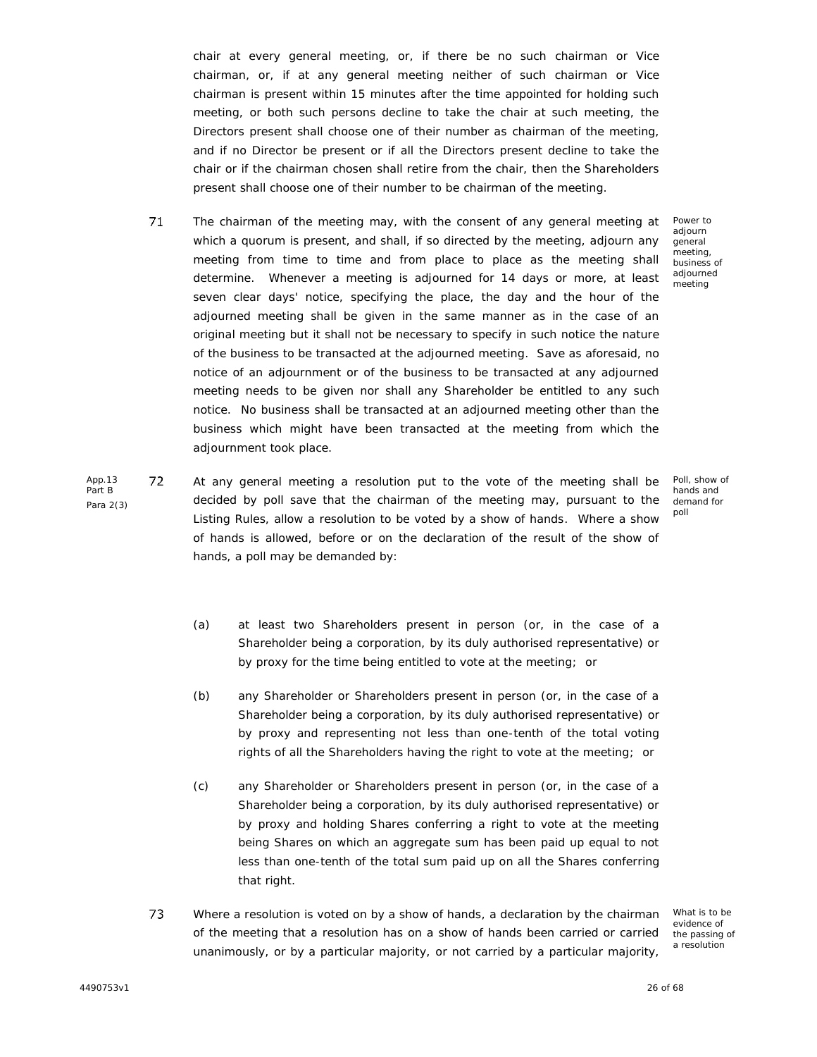chair at every general meeting, or, if there be no such chairman or Vice chairman, or, if at any general meeting neither of such chairman or Vice chairman is present within 15 minutes after the time appointed for holding such meeting, or both such persons decline to take the chair at such meeting, the Directors present shall choose one of their number as chairman of the meeting, and if no Director be present or if all the Directors present decline to take the chair or if the chairman chosen shall retire from the chair, then the Shareholders present shall choose one of their number to be chairman of the meeting.

- 71 The chairman of the meeting may, with the consent of any general meeting at which a quorum is present, and shall, if so directed by the meeting, adjourn any meeting from time to time and from place to place as the meeting shall determine. Whenever a meeting is adjourned for 14 days or more, at least seven clear days' notice, specifying the place, the day and the hour of the adjourned meeting shall be given in the same manner as in the case of an original meeting but it shall not be necessary to specify in such notice the nature of the business to be transacted at the adjourned meeting. Save as aforesaid, no notice of an adjournment or of the business to be transacted at any adjourned meeting needs to be given nor shall any Shareholder be entitled to any such notice. No business shall be transacted at an adjourned meeting other than the business which might have been transacted at the meeting from which the adjournment took place.
- App.13 72 Part B Para 2(3) At any general meeting a resolution put to the vote of the meeting shall be decided by poll save that the chairman of the meeting may, pursuant to the Listing Rules, allow a resolution to be voted by a show of hands. Where a show of hands is allowed, before or on the declaration of the result of the show of hands, a poll may be demanded by:

Power to adiourn general meeting, business of adjourned meeting

Poll, show of hands and demand for poll

- (a) at least two Shareholders present in person (or, in the case of a Shareholder being a corporation, by its duly authorised representative) or by proxy for the time being entitled to vote at the meeting; or
- (b) any Shareholder or Shareholders present in person (or, in the case of a Shareholder being a corporation, by its duly authorised representative) or by proxy and representing not less than one-tenth of the total voting rights of all the Shareholders having the right to vote at the meeting; or
- (c) any Shareholder or Shareholders present in person (or, in the case of a Shareholder being a corporation, by its duly authorised representative) or by proxy and holding Shares conferring a right to vote at the meeting being Shares on which an aggregate sum has been paid up equal to not less than one-tenth of the total sum paid up on all the Shares conferring that right.
- 73 Where a resolution is voted on by a show of hands, a declaration by the chairman of the meeting that a resolution has on a show of hands been carried or carried unanimously, or by a particular majority, or not carried by a particular majority,

What is to be evidence of the passing of a resolution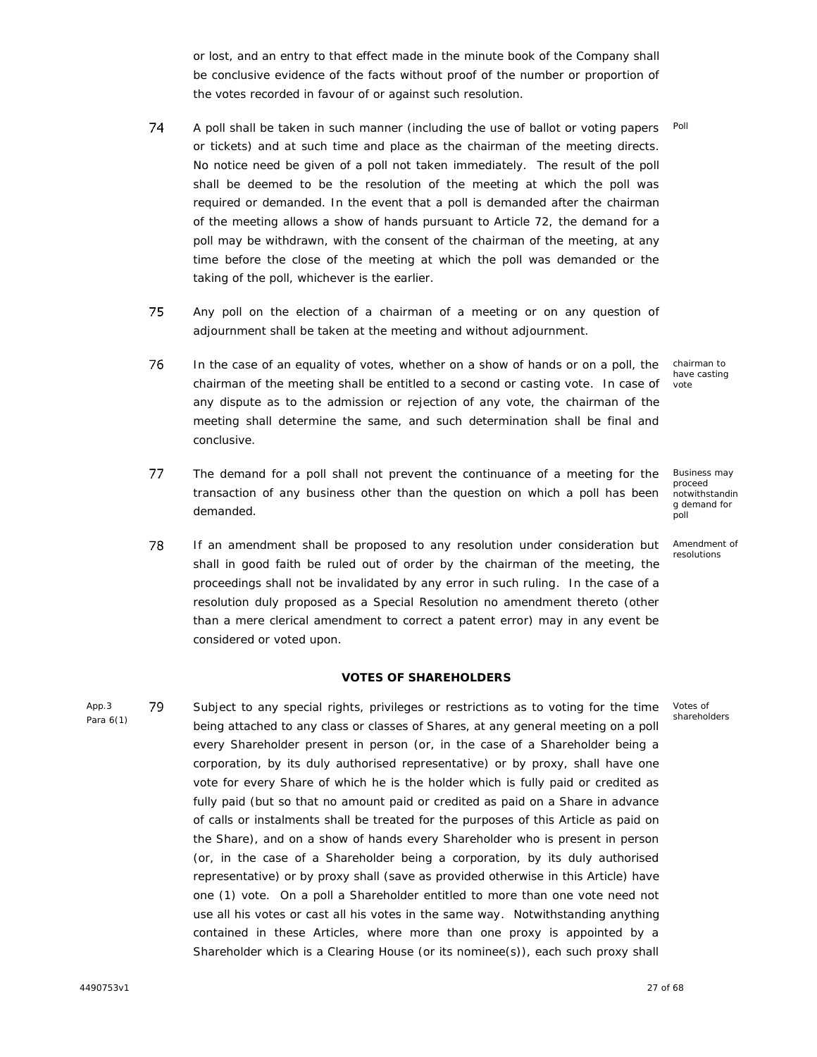or lost, and an entry to that effect made in the minute book of the Company shall be conclusive evidence of the facts without proof of the number or proportion of the votes recorded in favour of or against such resolution.

- 74 Poll A poll shall be taken in such manner (including the use of ballot or voting papers or tickets) and at such time and place as the chairman of the meeting directs. No notice need be given of a poll not taken immediately. The result of the poll shall be deemed to be the resolution of the meeting at which the poll was required or demanded. In the event that a poll is demanded after the chairman of the meeting allows a show of hands pursuant to Article 72, the demand for a poll may be withdrawn, with the consent of the chairman of the meeting, at any time before the close of the meeting at which the poll was demanded or the taking of the poll, whichever is the earlier.
- 75 Any poll on the election of a chairman of a meeting or on any question of adjournment shall be taken at the meeting and without adjournment.

76 In the case of an equality of votes, whether on a show of hands or on a poll, the chairman of the meeting shall be entitled to a second or casting vote. In case of any dispute as to the admission or rejection of any vote, the chairman of the meeting shall determine the same, and such determination shall be final and conclusive.

- 77 The demand for a poll shall not prevent the continuance of a meeting for the transaction of any business other than the question on which a poll has been demanded.
- 78 If an amendment shall be proposed to any resolution under consideration but shall in good faith be ruled out of order by the chairman of the meeting, the proceedings shall not be invalidated by any error in such ruling. In the case of a resolution duly proposed as a Special Resolution no amendment thereto (other than a mere clerical amendment to correct a patent error) may in any event be considered or voted upon.

## **VOTES OF SHAREHOLDERS**

App.3 79 Para 6(1) Subject to any special rights, privileges or restrictions as to voting for the time being attached to any class or classes of Shares, at any general meeting on a poll every Shareholder present in person (or, in the case of a Shareholder being a corporation, by its duly authorised representative) or by proxy, shall have one vote for every Share of which he is the holder which is fully paid or credited as fully paid (but so that no amount paid or credited as paid on a Share in advance of calls or instalments shall be treated for the purposes of this Article as paid on the Share), and on a show of hands every Shareholder who is present in person (or, in the case of a Shareholder being a corporation, by its duly authorised representative) or by proxy shall (save as provided otherwise in this Article) have one (1) vote. On a poll a Shareholder entitled to more than one vote need not use all his votes or cast all his votes in the same way. Notwithstanding anything contained in these Articles, where more than one proxy is appointed by a Shareholder which is a Clearing House (or its nominee(s)), each such proxy shall

chairman to have casting vote

Business may proceed notwithstandin g demand for poll

Amendment of resolutions

Votes of shareholders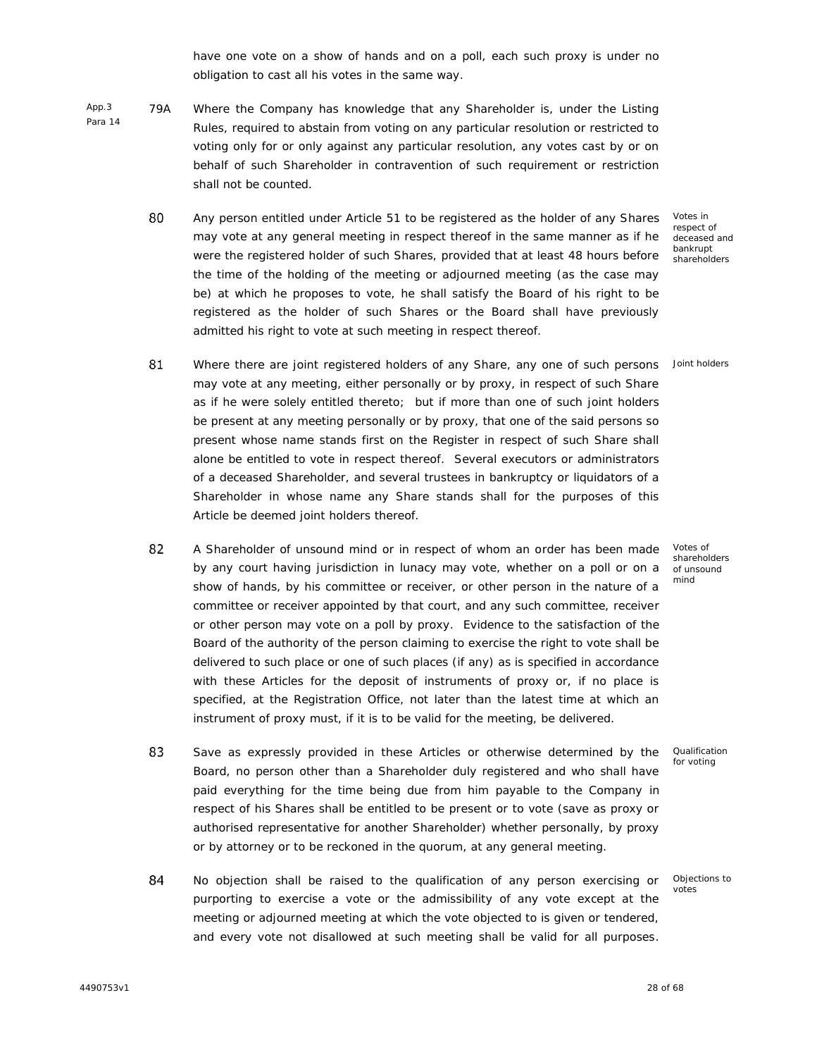have one vote on a show of hands and on a poll, each such proxy is under no obligation to cast all his votes in the same way.

- App.3 79A Para 14 Where the Company has knowledge that any Shareholder is, under the Listing Rules, required to abstain from voting on any particular resolution or restricted to voting only for or only against any particular resolution, any votes cast by or on behalf of such Shareholder in contravention of such requirement or restriction shall not be counted.
	- 80 Any person entitled under Article 51 to be registered as the holder of any Shares may vote at any general meeting in respect thereof in the same manner as if he were the registered holder of such Shares, provided that at least 48 hours before the time of the holding of the meeting or adjourned meeting (as the case may be) at which he proposes to vote, he shall satisfy the Board of his right to be registered as the holder of such Shares or the Board shall have previously admitted his right to vote at such meeting in respect thereof.

Votes in respect of deceased and bankrupt shareholders

Joint holders

- 81 Where there are joint registered holders of any Share, any one of such persons may vote at any meeting, either personally or by proxy, in respect of such Share as if he were solely entitled thereto; but if more than one of such joint holders be present at any meeting personally or by proxy, that one of the said persons so present whose name stands first on the Register in respect of such Share shall alone be entitled to vote in respect thereof. Several executors or administrators of a deceased Shareholder, and several trustees in bankruptcy or liquidators of a Shareholder in whose name any Share stands shall for the purposes of this Article be deemed joint holders thereof.
- 82 A Shareholder of unsound mind or in respect of whom an order has been made by any court having jurisdiction in lunacy may vote, whether on a poll or on a show of hands, by his committee or receiver, or other person in the nature of a committee or receiver appointed by that court, and any such committee, receiver or other person may vote on a poll by proxy. Evidence to the satisfaction of the Board of the authority of the person claiming to exercise the right to vote shall be delivered to such place or one of such places (if any) as is specified in accordance with these Articles for the deposit of instruments of proxy or, if no place is specified, at the Registration Office, not later than the latest time at which an instrument of proxy must, if it is to be valid for the meeting, be delivered.
- 83 Save as expressly provided in these Articles or otherwise determined by the Board, no person other than a Shareholder duly registered and who shall have paid everything for the time being due from him payable to the Company in respect of his Shares shall be entitled to be present or to vote (save as proxy or authorised representative for another Shareholder) whether personally, by proxy or by attorney or to be reckoned in the quorum, at any general meeting.
- 84 No objection shall be raised to the qualification of any person exercising or purporting to exercise a vote or the admissibility of any vote except at the meeting or adjourned meeting at which the vote objected to is given or tendered, and every vote not disallowed at such meeting shall be valid for all purposes.

Votes of shareholders of unsound mind

Qualification for voting

Objections to votes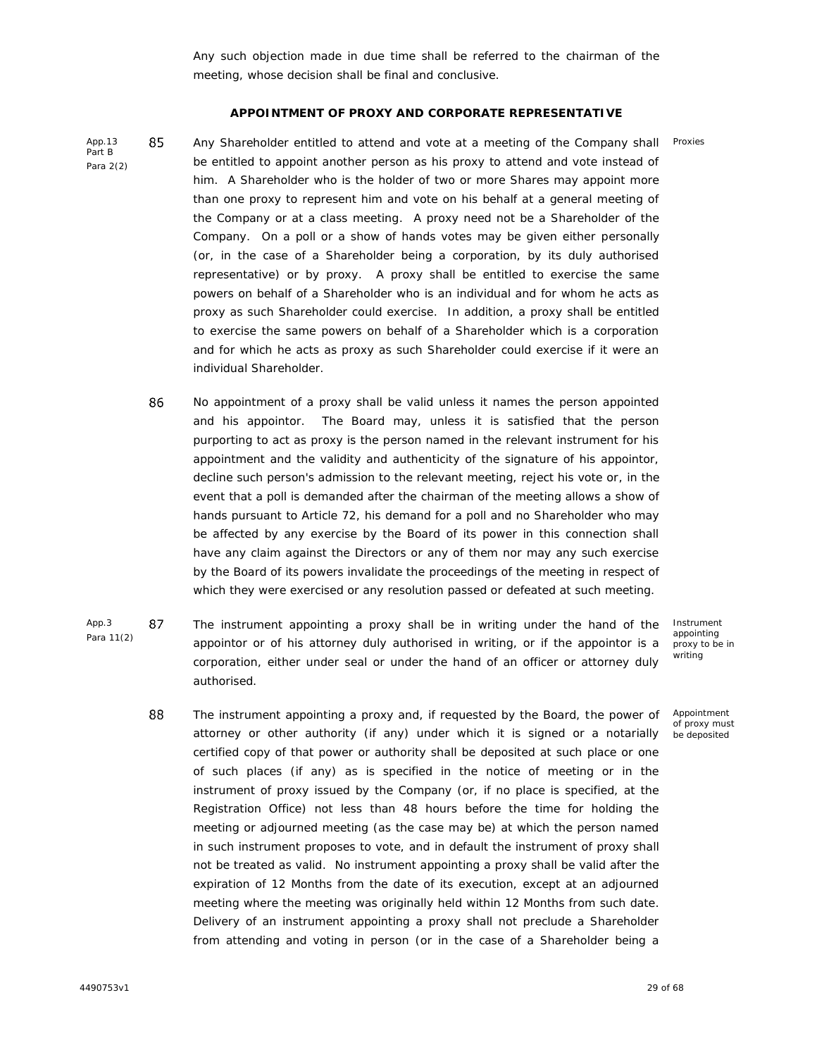Any such objection made in due time shall be referred to the chairman of the meeting, whose decision shall be final and conclusive.

## **APPOINTMENT OF PROXY AND CORPORATE REPRESENTATIVE**

App.13 85 Part B Para 2(2)

Any Shareholder entitled to attend and vote at a meeting of the Company shall be entitled to appoint another person as his proxy to attend and vote instead of him. A Shareholder who is the holder of two or more Shares may appoint more than one proxy to represent him and vote on his behalf at a general meeting of the Company or at a class meeting. A proxy need not be a Shareholder of the Company. On a poll or a show of hands votes may be given either personally (or, in the case of a Shareholder being a corporation, by its duly authorised representative) or by proxy. A proxy shall be entitled to exercise the same powers on behalf of a Shareholder who is an individual and for whom he acts as proxy as such Shareholder could exercise. In addition, a proxy shall be entitled to exercise the same powers on behalf of a Shareholder which is a corporation and for which he acts as proxy as such Shareholder could exercise if it were an individual Shareholder.

- 86 No appointment of a proxy shall be valid unless it names the person appointed and his appointor. The Board may, unless it is satisfied that the person purporting to act as proxy is the person named in the relevant instrument for his appointment and the validity and authenticity of the signature of his appointor, decline such person's admission to the relevant meeting, reject his vote or, in the event that a poll is demanded after the chairman of the meeting allows a show of hands pursuant to Article 72, his demand for a poll and no Shareholder who may be affected by any exercise by the Board of its power in this connection shall have any claim against the Directors or any of them nor may any such exercise by the Board of its powers invalidate the proceedings of the meeting in respect of which they were exercised or any resolution passed or defeated at such meeting.
- App.3 87 Para 11(2) The instrument appointing a proxy shall be in writing under the hand of the appointor or of his attorney duly authorised in writing, or if the appointor is a corporation, either under seal or under the hand of an officer or attorney duly authorised.

Instrument appointing proxy to be in writing

Proxies

88 The instrument appointing a proxy and, if requested by the Board, the power of Appointment of proxy must attorney or other authority (if any) under which it is signed or a notarially be depositedcertified copy of that power or authority shall be deposited at such place or one of such places (if any) as is specified in the notice of meeting or in the instrument of proxy issued by the Company (or, if no place is specified, at the Registration Office) not less than 48 hours before the time for holding the meeting or adjourned meeting (as the case may be) at which the person named in such instrument proposes to vote, and in default the instrument of proxy shall not be treated as valid. No instrument appointing a proxy shall be valid after the expiration of 12 Months from the date of its execution, except at an adjourned meeting where the meeting was originally held within 12 Months from such date. Delivery of an instrument appointing a proxy shall not preclude a Shareholder from attending and voting in person (or in the case of a Shareholder being a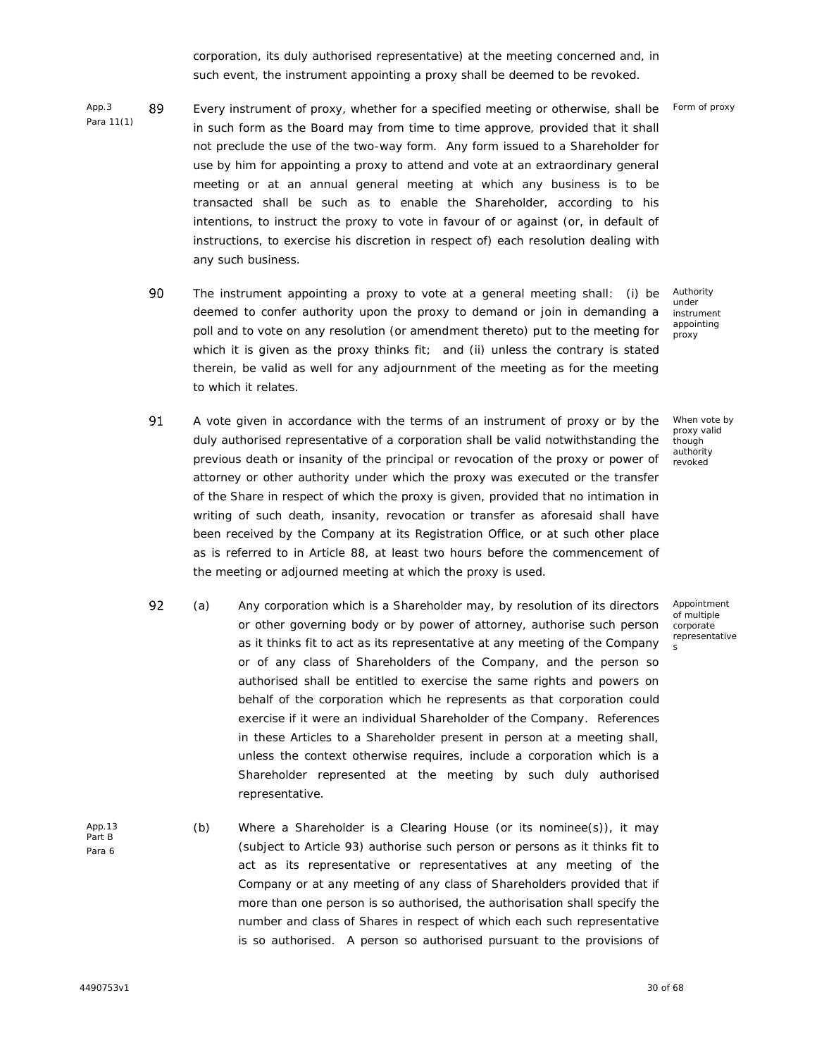corporation, its duly authorised representative) at the meeting concerned and, in such event, the instrument appointing a proxy shall be deemed to be revoked.

- App.3 89 Para 11(1) Every instrument of proxy, whether for a specified meeting or otherwise, shall be x in such form as the Board may from time to time approve, provided that it shall not preclude the use of the two-way form. Any form issued to a Shareholder for use by him for appointing a proxy to attend and vote at an extraordinary general meeting or at an annual general meeting at which any business is to be transacted shall be such as to enable the Shareholder, according to his intentions, to instruct the proxy to vote in favour of or against (or, in default of instructions, to exercise his discretion in respect of) each resolution dealing with any such business.
	- 90 The instrument appointing a proxy to vote at a general meeting shall: (i) be deemed to confer authority upon the proxy to demand or join in demanding a poll and to vote on any resolution (or amendment thereto) put to the meeting for which it is given as the proxy thinks fit; and (ii) unless the contrary is stated therein, be valid as well for any adjournment of the meeting as for the meeting to which it relates.
	- 91 A vote given in accordance with the terms of an instrument of proxy or by the duly authorised representative of a corporation shall be valid notwithstanding the previous death or insanity of the principal or revocation of the proxy or power of attorney or other authority under which the proxy was executed or the transfer of the Share in respect of which the proxy is given, provided that no intimation in writing of such death, insanity, revocation or transfer as aforesaid shall have been received by the Company at its Registration Office, or at such other place as is referred to in Article 88, at least two hours before the commencement of the meeting or adjourned meeting at which the proxy is used.
	- 92 (a) x Any corporation which is a Shareholder may, by resolution of its directors or other governing body or by power of attorney, authorise such person as it thinks fit to act as its representative at any meeting of the Company or of any class of Shareholders of the Company, and the person so authorised shall be entitled to exercise the same rights and powers on behalf of the corporation which he represents as that corporation could exercise if it were an individual Shareholder of the Company. References in these Articles to a Shareholder present in person at a meeting shall, unless the context otherwise requires, include a corporation which is a Shareholder represented at the meeting by such duly authorised representative.
- App.13 Part B Para 6 (b) Where a Shareholder is a Clearing House (or its nominee(s)), it may (subject to Article 93) authorise such person or persons as it thinks fit to act as its representative or representatives at any meeting of the Company or at any meeting of any class of Shareholders provided that if more than one person is so authorised, the authorisation shall specify the number and class of Shares in respect of which each such representative is so authorised. A person so authorised pursuant to the provisions of

When vote by proxy valid

though authority revoked

Authority under instrument appointing proxy

Appointment of multiple corporate representative

s

Form of proxy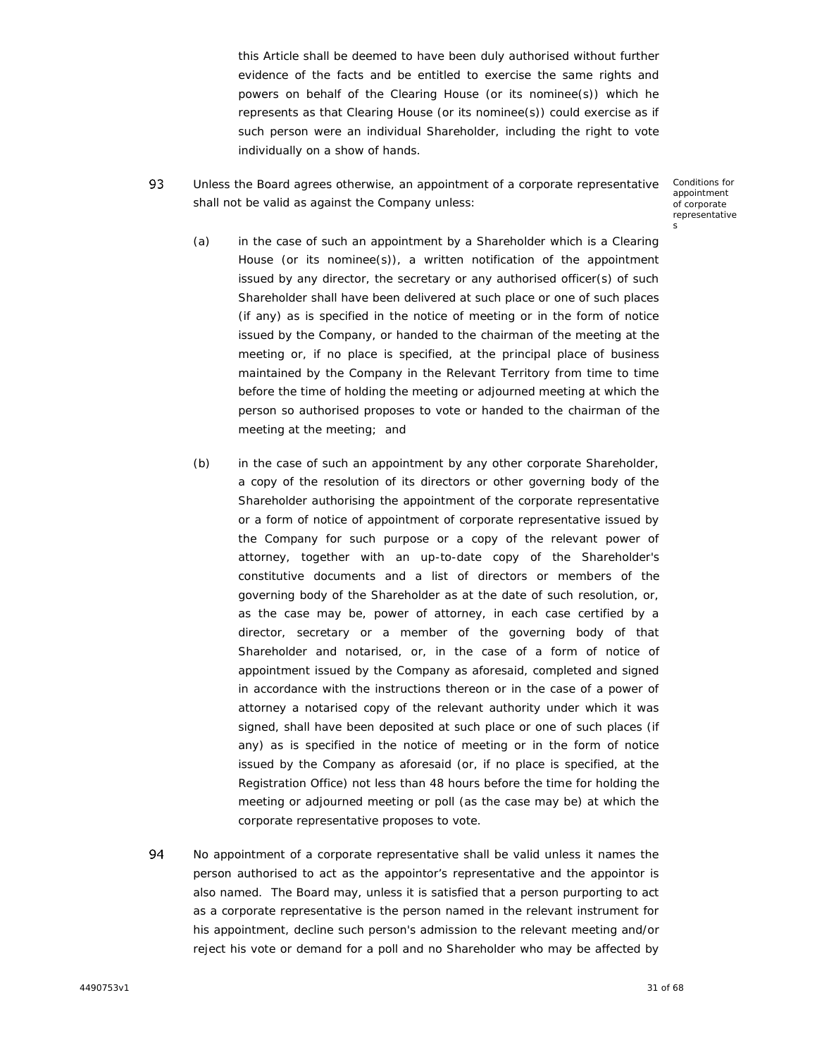this Article shall be deemed to have been duly authorised without further evidence of the facts and be entitled to exercise the same rights and powers on behalf of the Clearing House (or its nominee(s)) which he represents as that Clearing House (or its nominee(s)) could exercise as if such person were an individual Shareholder, including the right to vote individually on a show of hands.

93 Unless the Board agrees otherwise, an appointment of a corporate representative x shall not be valid as against the Company unless:

Conditions for appointment of corporate representative s

- (a) in the case of such an appointment by a Shareholder which is a Clearing House (or its nominee(s)), a written notification of the appointment issued by any director, the secretary or any authorised officer(s) of such Shareholder shall have been delivered at such place or one of such places (if any) as is specified in the notice of meeting or in the form of notice issued by the Company, or handed to the chairman of the meeting at the meeting or, if no place is specified, at the principal place of business maintained by the Company in the Relevant Territory from time to time before the time of holding the meeting or adjourned meeting at which the person so authorised proposes to vote or handed to the chairman of the meeting at the meeting; and
- (b) in the case of such an appointment by any other corporate Shareholder, a copy of the resolution of its directors or other governing body of the Shareholder authorising the appointment of the corporate representative or a form of notice of appointment of corporate representative issued by the Company for such purpose or a copy of the relevant power of attorney, together with an up-to-date copy of the Shareholder's constitutive documents and a list of directors or members of the governing body of the Shareholder as at the date of such resolution, or, as the case may be, power of attorney, in each case certified by a director, secretary or a member of the governing body of that Shareholder and notarised, or, in the case of a form of notice of appointment issued by the Company as aforesaid, completed and signed in accordance with the instructions thereon or in the case of a power of attorney a notarised copy of the relevant authority under which it was signed, shall have been deposited at such place or one of such places (if any) as is specified in the notice of meeting or in the form of notice issued by the Company as aforesaid (or, if no place is specified, at the Registration Office) not less than 48 hours before the time for holding the meeting or adjourned meeting or poll (as the case may be) at which the corporate representative proposes to vote.
- 94 No appointment of a corporate representative shall be valid unless it names the person authorised to act as the appointor's representative and the appointor is also named. The Board may, unless it is satisfied that a person purporting to act as a corporate representative is the person named in the relevant instrument for his appointment, decline such person's admission to the relevant meeting and/or reject his vote or demand for a poll and no Shareholder who may be affected by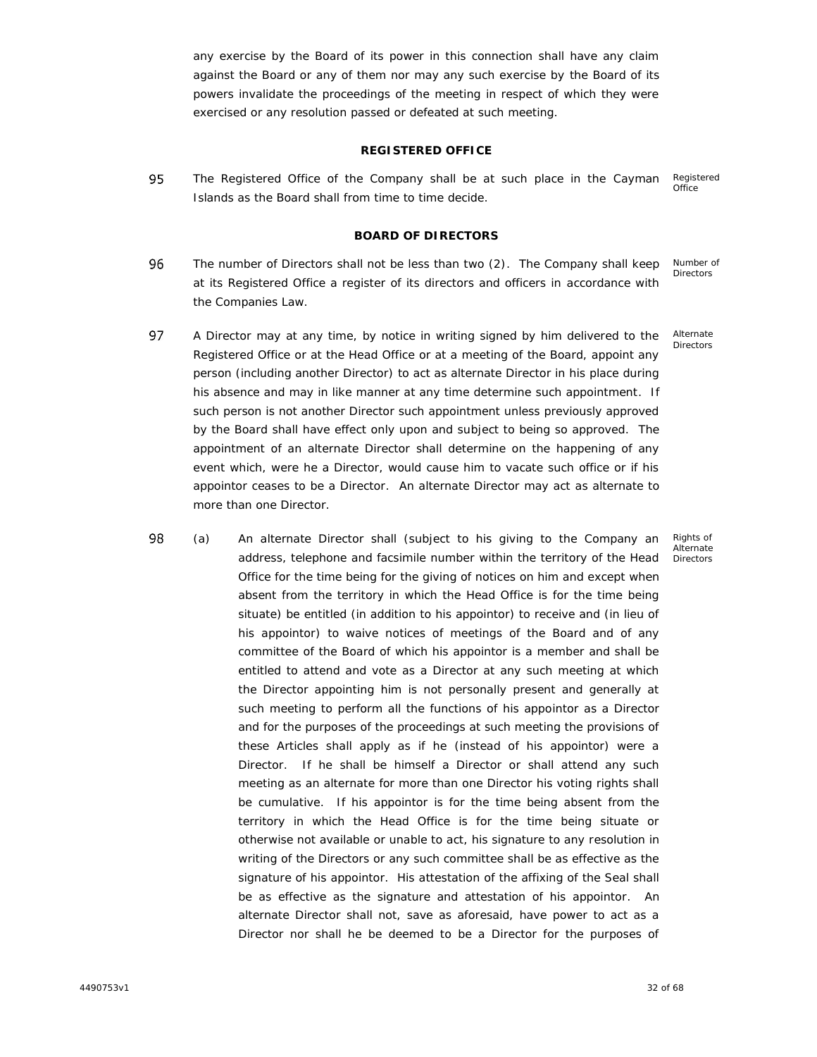any exercise by the Board of its power in this connection shall have any claim against the Board or any of them nor may any such exercise by the Board of its powers invalidate the proceedings of the meeting in respect of which they were exercised or any resolution passed or defeated at such meeting.

#### **REGISTERED OFFICE**

95 Registered The Registered Office of the Company shall be at such place in the Cayman Office Islands as the Board shall from time to time decide.

## **BOARD OF DIRECTORS**

- 96 The number of Directors shall not be less than two (2). The Company shall keep Number of **Directors** at its Registered Office a register of its directors and officers in accordance with the Companies Law.
- 97 A Director may at any time, by notice in writing signed by him delivered to the Registered Office or at the Head Office or at a meeting of the Board, appoint any person (including another Director) to act as alternate Director in his place during his absence and may in like manner at any time determine such appointment. If such person is not another Director such appointment unless previously approved by the Board shall have effect only upon and subject to being so approved. The appointment of an alternate Director shall determine on the happening of any event which, were he a Director, would cause him to vacate such office or if his appointor ceases to be a Director. An alternate Director may act as alternate to more than one Director.
- 98 (a) x An alternate Director shall (subject to his giving to the Company an Rights of Alternate address, telephone and facsimile number within the territory of the Head **Directors** Office for the time being for the giving of notices on him and except when absent from the territory in which the Head Office is for the time being situate) be entitled (in addition to his appointor) to receive and (in lieu of his appointor) to waive notices of meetings of the Board and of any committee of the Board of which his appointor is a member and shall be entitled to attend and vote as a Director at any such meeting at which the Director appointing him is not personally present and generally at such meeting to perform all the functions of his appointor as a Director and for the purposes of the proceedings at such meeting the provisions of these Articles shall apply as if he (instead of his appointor) were a Director. If he shall be himself a Director or shall attend any such meeting as an alternate for more than one Director his voting rights shall be cumulative. If his appointor is for the time being absent from the territory in which the Head Office is for the time being situate or otherwise not available or unable to act, his signature to any resolution in writing of the Directors or any such committee shall be as effective as the signature of his appointor. His attestation of the affixing of the Seal shall be as effective as the signature and attestation of his appointor. An alternate Director shall not, save as aforesaid, have power to act as a Director nor shall he be deemed to be a Director for the purposes of

Alternate

Directors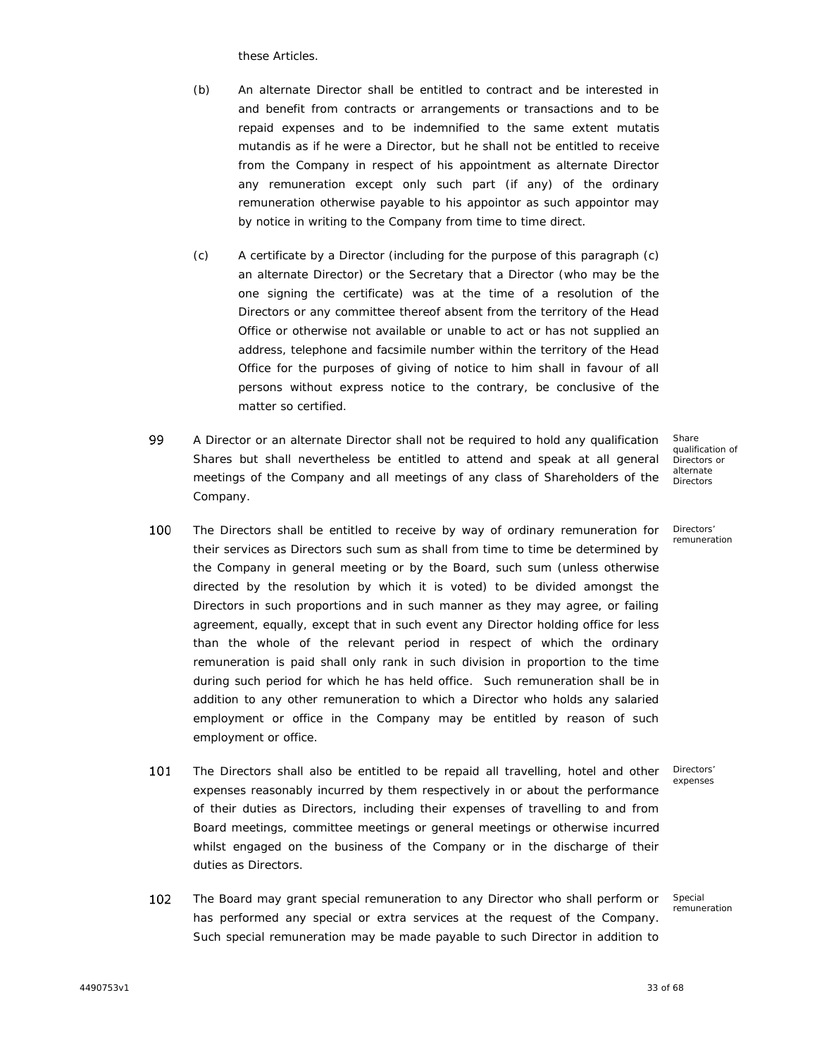these Articles.

- (b) An alternate Director shall be entitled to contract and be interested in and benefit from contracts or arrangements or transactions and to be repaid expenses and to be indemnified to the same extent *mutatis mutandis* as if he were a Director, but he shall not be entitled to receive from the Company in respect of his appointment as alternate Director any remuneration except only such part (if any) of the ordinary remuneration otherwise payable to his appointor as such appointor may by notice in writing to the Company from time to time direct.
- (c) A certificate by a Director (including for the purpose of this paragraph (c) an alternate Director) or the Secretary that a Director (who may be the one signing the certificate) was at the time of a resolution of the Directors or any committee thereof absent from the territory of the Head Office or otherwise not available or unable to act or has not supplied an address, telephone and facsimile number within the territory of the Head Office for the purposes of giving of notice to him shall in favour of all persons without express notice to the contrary, be conclusive of the matter so certified.
- 99 A Director or an alternate Director shall not be required to hold any qualification<br>Shares but shall nevertheless be entitled to attend and speak at all general meetings of the Company and all meetings of any class of Shareholders of the Company.

Share qualification of Directors or alternate Directors

Directors' remuneration

- 100 The Directors shall be entitled to receive by way of ordinary remuneration for x their services as Directors such sum as shall from time to time be determined by the Company in general meeting or by the Board, such sum (unless otherwise directed by the resolution by which it is voted) to be divided amongst the Directors in such proportions and in such manner as they may agree, or failing agreement, equally, except that in such event any Director holding office for less than the whole of the relevant period in respect of which the ordinary remuneration is paid shall only rank in such division in proportion to the time during such period for which he has held office. Such remuneration shall be in addition to any other remuneration to which a Director who holds any salaried employment or office in the Company may be entitled by reason of such employment or office.
- 101 The Directors shall also be entitled to be repaid all travelling, hotel and other expenses reasonably incurred by them respectively in or about the performance of their duties as Directors, including their expenses of travelling to and from Board meetings, committee meetings or general meetings or otherwise incurred whilst engaged on the business of the Company or in the discharge of their duties as Directors.
- 102 The Board may grant special remuneration to any Director who shall perform or has performed any special or extra services at the request of the Company. Such special remuneration may be made payable to such Director in addition to

Special remuneration

Directors' expenses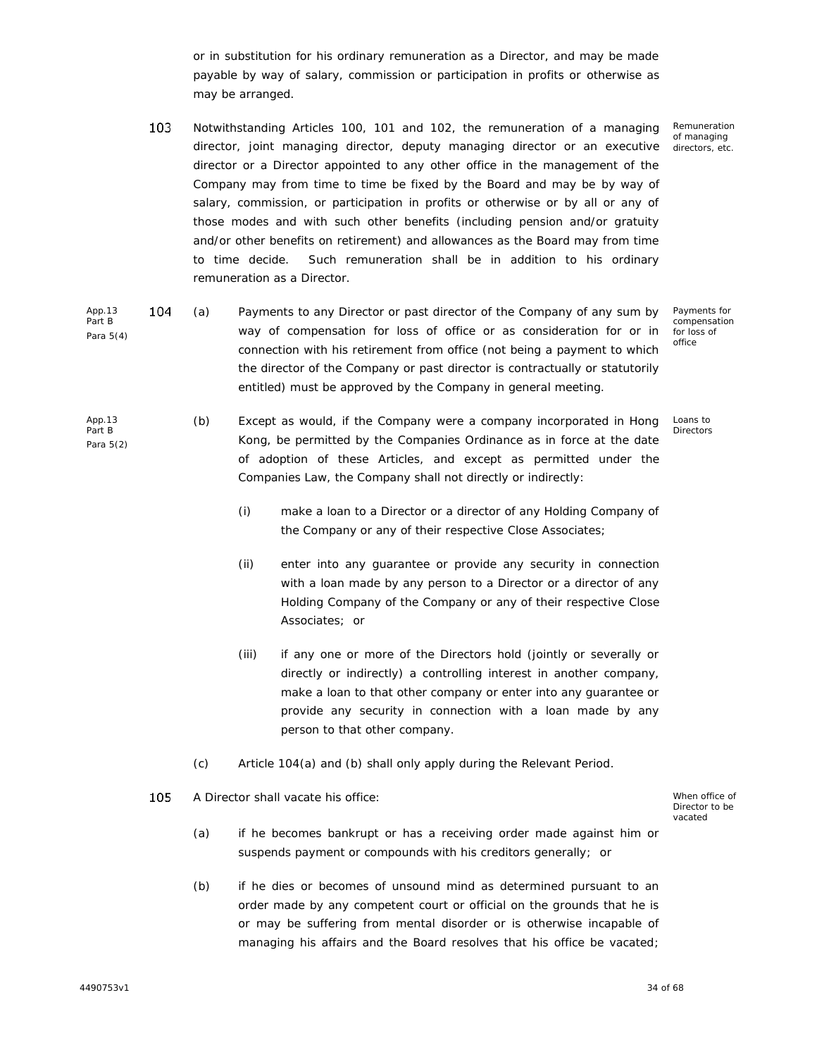or in substitution for his ordinary remuneration as a Director, and may be made payable by way of salary, commission or participation in profits or otherwise as may be arranged.

- 103 Notwithstanding Articles 100, 101 and 102, the remuneration of a managing director, joint managing director, deputy managing director or an executive director or a Director appointed to any other office in the management of the Company may from time to time be fixed by the Board and may be by way of salary, commission, or participation in profits or otherwise or by all or any of those modes and with such other benefits (including pension and/or gratuity and/or other benefits on retirement) and allowances as the Board may from time to time decide. Such remuneration shall be in addition to his ordinary remuneration as a Director.
- App.13 1 ( Part B Para 5(4) (a) x Payments to any Director or past director of the Company of any sum by way of compensation for loss of office or as consideration for or in connection with his retirement from office (not being a payment to which the director of the Company or past director is contractually or statutorily entitled) must be approved by the Company in general meeting.
- App.13 Part B Para 5(2) (b) Except as would, if the Company were a company incorporated in Hong Kong, be permitted by the Companies Ordinance as in force at the date of adoption of these Articles, and except as permitted under the Companies Law, the Company shall not directly or indirectly:
	- (i) make a loan to a Director or a director of any Holding Company of the Company or any of their respective Close Associates;
	- (ii) enter into any guarantee or provide any security in connection with a loan made by any person to a Director or a director of any Holding Company of the Company or any of their respective Close Associates; or
	- (iii) if any one or more of the Directors hold (jointly or severally or directly or indirectly) a controlling interest in another company, make a loan to that other company or enter into any guarantee or provide any security in connection with a loan made by any person to that other company.
	- (c) Article 104(a) and (b) shall only apply during the Relevant Period.
	- A Director shall vacate his office: x When office of When office of 105

Director to be vacated

- (a) if he becomes bankrupt or has a receiving order made against him or suspends payment or compounds with his creditors generally; or
- (b) if he dies or becomes of unsound mind as determined pursuant to an order made by any competent court or official on the grounds that he is or may be suffering from mental disorder or is otherwise incapable of managing his affairs and the Board resolves that his office be vacated;

Remuneration of managing directors, etc.

Payments for compensation for loss of office

Loans to Directors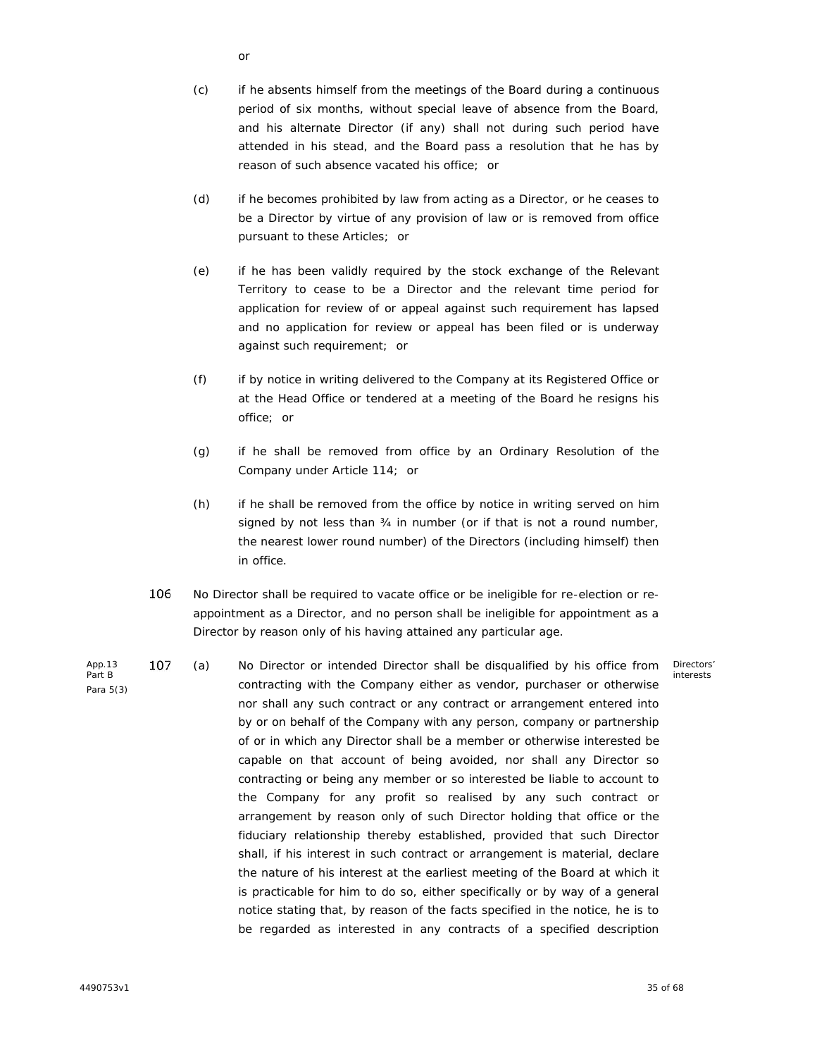- or
- (c) if he absents himself from the meetings of the Board during a continuous period of six months, without special leave of absence from the Board, and his alternate Director (if any) shall not during such period have attended in his stead, and the Board pass a resolution that he has by reason of such absence vacated his office; or
- (d) if he becomes prohibited by law from acting as a Director, or he ceases to be a Director by virtue of any provision of law or is removed from office pursuant to these Articles; or
- (e) if he has been validly required by the stock exchange of the Relevant Territory to cease to be a Director and the relevant time period for application for review of or appeal against such requirement has lapsed and no application for review or appeal has been filed or is underway against such requirement; or
- (f) if by notice in writing delivered to the Company at its Registered Office or at the Head Office or tendered at a meeting of the Board he resigns his office; or
- (g) if he shall be removed from office by an Ordinary Resolution of the Company under Article 114; or
- (h) if he shall be removed from the office by notice in writing served on him signed by not less than 34 in number (or if that is not a round number, the nearest lower round number) of the Directors (including himself) then in office.
- 106 No Director shall be required to vacate office or be ineligible for re-election or reappointment as a Director, and no person shall be ineligible for appointment as a Director by reason only of his having attained any particular age.
- App.13 107 Part B Para 5(3) (a) x No Director or intended Director shall be disqualified by his office from contracting with the Company either as vendor, purchaser or otherwise nor shall any such contract or any contract or arrangement entered into by or on behalf of the Company with any person, company or partnership of or in which any Director shall be a member or otherwise interested be capable on that account of being avoided, nor shall any Director so contracting or being any member or so interested be liable to account to the Company for any profit so realised by any such contract or arrangement by reason only of such Director holding that office or the fiduciary relationship thereby established, provided that such Director shall, if his interest in such contract or arrangement is material, declare the nature of his interest at the earliest meeting of the Board at which it is practicable for him to do so, either specifically or by way of a general notice stating that, by reason of the facts specified in the notice, he is to be regarded as interested in any contracts of a specified description

Directors' interests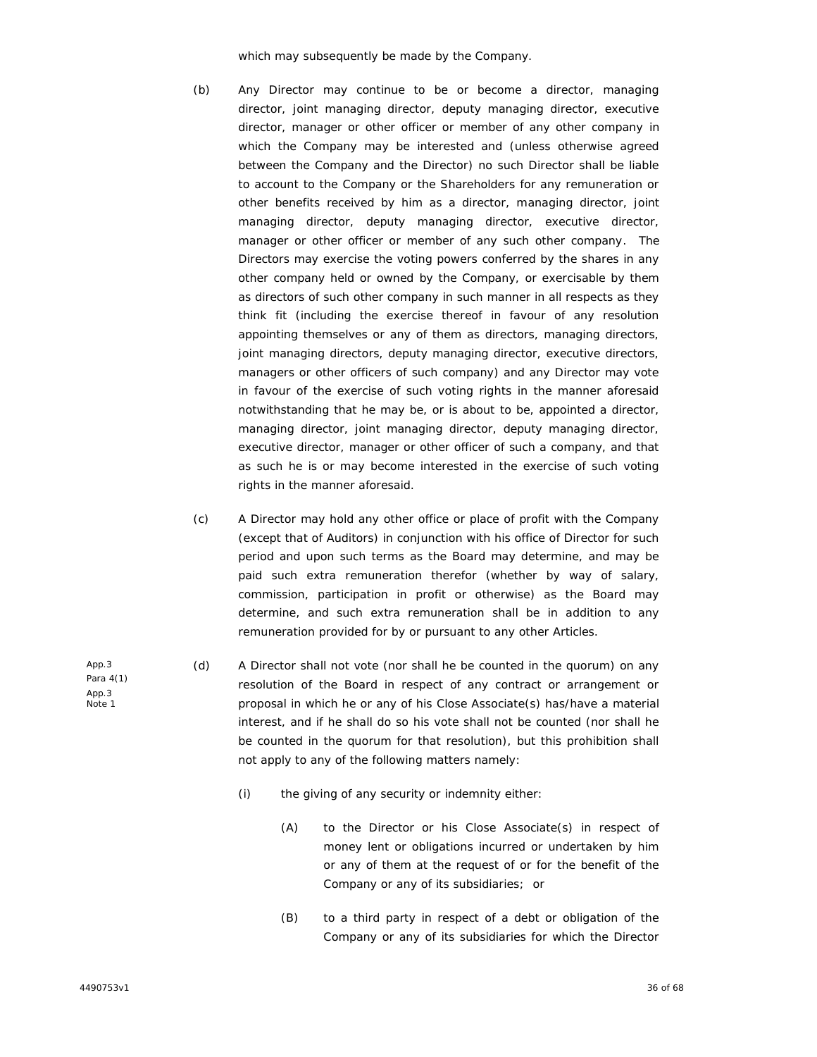which may subsequently be made by the Company.

- (b) Any Director may continue to be or become a director, managing director, joint managing director, deputy managing director, executive director, manager or other officer or member of any other company in which the Company may be interested and (unless otherwise agreed between the Company and the Director) no such Director shall be liable to account to the Company or the Shareholders for any remuneration or other benefits received by him as a director, managing director, joint managing director, deputy managing director, executive director, manager or other officer or member of any such other company. The Directors may exercise the voting powers conferred by the shares in any other company held or owned by the Company, or exercisable by them as directors of such other company in such manner in all respects as they think fit (including the exercise thereof in favour of any resolution appointing themselves or any of them as directors, managing directors, joint managing directors, deputy managing director, executive directors, managers or other officers of such company) and any Director may vote in favour of the exercise of such voting rights in the manner aforesaid notwithstanding that he may be, or is about to be, appointed a director, managing director, joint managing director, deputy managing director, executive director, manager or other officer of such a company, and that as such he is or may become interested in the exercise of such voting rights in the manner aforesaid.
- (c) A Director may hold any other office or place of profit with the Company (except that of Auditors) in conjunction with his office of Director for such period and upon such terms as the Board may determine, and may be paid such extra remuneration therefor (whether by way of salary, commission, participation in profit or otherwise) as the Board may determine, and such extra remuneration shall be in addition to any remuneration provided for by or pursuant to any other Articles.
- (d) A Director shall not vote (nor shall he be counted in the quorum) on any resolution of the Board in respect of any contract or arrangement or proposal in which he or any of his Close Associate(s) has/have a material interest, and if he shall do so his vote shall not be counted (nor shall he be counted in the quorum for that resolution), but this prohibition shall not apply to any of the following matters namely:
	- (i) the giving of any security or indemnity either:
		- (A) to the Director or his Close Associate(s) in respect of money lent or obligations incurred or undertaken by him or any of them at the request of or for the benefit of the Company or any of its subsidiaries; or
		- (B) to a third party in respect of a debt or obligation of the Company or any of its subsidiaries for which the Director

App.3 Para 4(1) App.3 Note 1

4490753v1 36 of 68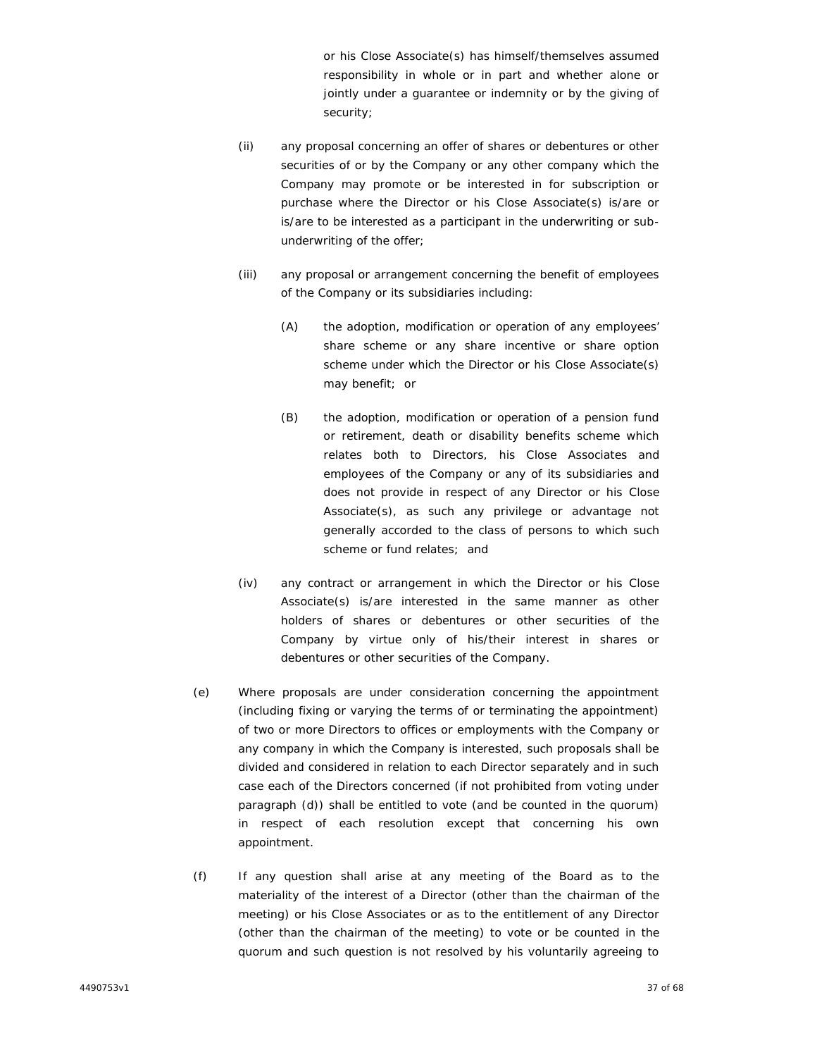or his Close Associate(s) has himself/themselves assumed responsibility in whole or in part and whether alone or jointly under a guarantee or indemnity or by the giving of security;

- (ii) any proposal concerning an offer of shares or debentures or other securities of or by the Company or any other company which the Company may promote or be interested in for subscription or purchase where the Director or his Close Associate(s) is/are or is/are to be interested as a participant in the underwriting or sub underwriting of the offer;
- (iii) any proposal or arrangement concerning the benefit of employees of the Company or its subsidiaries including:
	- (A) the adoption, modification or operation of any employees' share scheme or any share incentive or share option scheme under which the Director or his Close Associate(s) may benefit; or
	- (B) the adoption, modification or operation of a pension fund or retirement, death or disability benefits scheme which relates both to Directors, his Close Associates and employees of the Company or any of its subsidiaries and does not provide in respect of any Director or his Close Associate(s), as such any privilege or advantage not generally accorded to the class of persons to which such scheme or fund relates; and
- (iv) any contract or arrangement in which the Director or his Close Associate(s) is/are interested in the same manner as other holders of shares or debentures or other securities of the Company by virtue only of his/their interest in shares or debentures or other securities of the Company.
- (e) Where proposals are under consideration concerning the appointment (including fixing or varying the terms of or terminating the appointment) of two or more Directors to offices or employments with the Company or any company in which the Company is interested, such proposals shall be divided and considered in relation to each Director separately and in such case each of the Directors concerned (if not prohibited from voting under paragraph (d)) shall be entitled to vote (and be counted in the quorum) in respect of each resolution except that concerning his own appointment.
- (f) If any question shall arise at any meeting of the Board as to the materiality of the interest of a Director (other than the chairman of the meeting) or his Close Associates or as to the entitlement of any Director (other than the chairman of the meeting) to vote or be counted in the quorum and such question is not resolved by his voluntarily agreeing to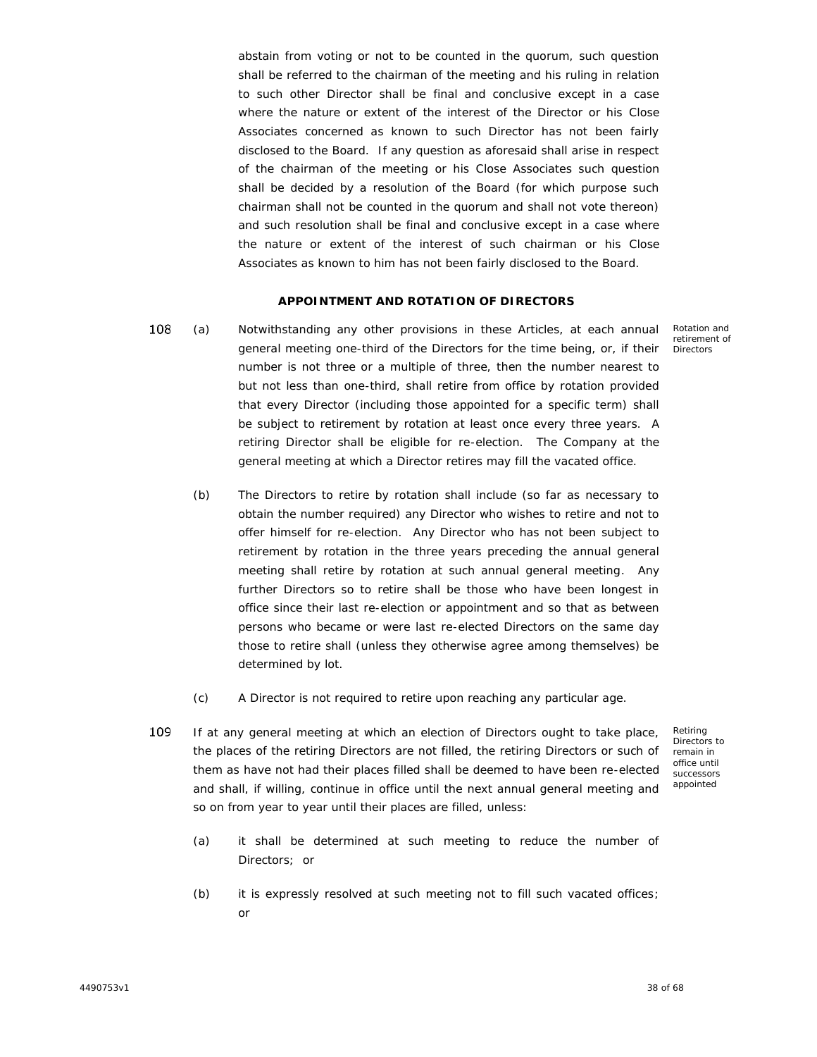abstain from voting or not to be counted in the quorum, such question shall be referred to the chairman of the meeting and his ruling in relation to such other Director shall be final and conclusive except in a case where the nature or extent of the interest of the Director or his Close Associates concerned as known to such Director has not been fairly disclosed to the Board. If any question as aforesaid shall arise in respect of the chairman of the meeting or his Close Associates such question shall be decided by a resolution of the Board (for which purpose such chairman shall not be counted in the quorum and shall not vote thereon) and such resolution shall be final and conclusive except in a case where the nature or extent of the interest of such chairman or his Close Associates as known to him has not been fairly disclosed to the Board.

# **APPOINTMENT AND ROTATION OF DIRECTORS**

108 (a) x Notwithstanding any other provisions in these Articles, at each annual general meeting one-third of the Directors for the time being, or, if their number is not three or a multiple of three, then the number nearest to but not less than one-third, shall retire from office by rotation provided that every Director (including those appointed for a specific term) shall be subject to retirement by rotation at least once every three years. A retiring Director shall be eligible for re-election. The Company at the general meeting at which a Director retires may fill the vacated office.

Rotation and retirement of Directors

- (b) The Directors to retire by rotation shall include (so far as necessary to obtain the number required) any Director who wishes to retire and not to offer himself for re-election. Any Director who has not been subject to retirement by rotation in the three years preceding the annual general meeting shall retire by rotation at such annual general meeting. Any further Directors so to retire shall be those who have been longest in office since their last re-election or appointment and so that as between persons who became or were last re-elected Directors on the same day those to retire shall (unless they otherwise agree among themselves) be determined by lot.
- (c) A Director is not required to retire upon reaching any particular age.
- 109 If at any general meeting at which an election of Directors ought to take place, the places of the retiring Directors are not filled, the retiring Directors or such of them as have not had their places filled shall be deemed to have been re-elected and shall, if willing, continue in office until the next annual general meeting and so on from year to year until their places are filled, unless:

Retiring Directors to remain in office until successors appointed

- (a) it shall be determined at such meeting to reduce the number of Directors; or
- (b) it is expressly resolved at such meeting not to fill such vacated offices; or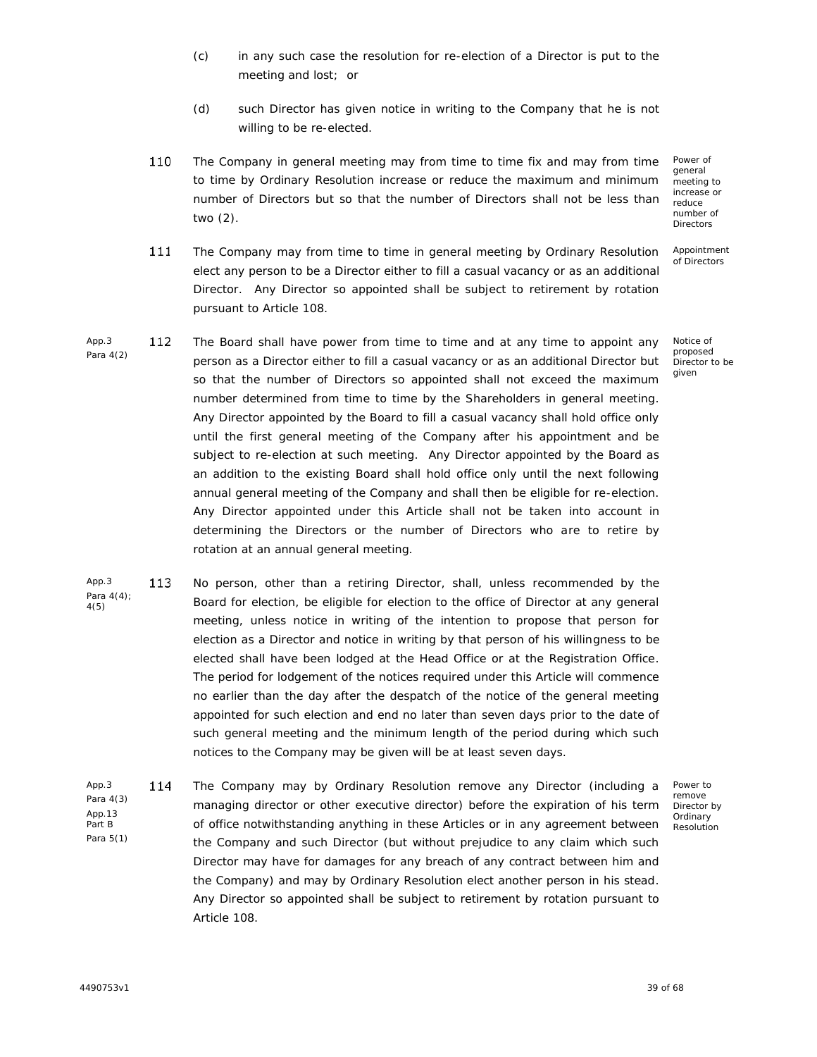- (c) in any such case the resolution for re-election of a Director is put to the meeting and lost; or
- (d) such Director has given notice in writing to the Company that he is not willing to be re-elected.
- 110 The Company in general meeting may from time to time fix and may from time to time by Ordinary Resolution increase or reduce the maximum and minimum number of Directors but so that the number of Directors shall not be less than two (2).

The Company may from time to time in general meeting by Ordinary Resolution elect any person to be a Director either to fill a casual vacancy or as an additional

Director. Any Director so appointed shall be subject to retirement by rotation

Power of general meeting to increase or reduce number of **Directors** 

Appointment of Directors

App.3 112 Para 4(2) The Board shall have power from time to time and at any time to appoint any person as a Director either to fill a casual vacancy or as an additional Director but so that the number of Directors so appointed shall not exceed the maximum number determined from time to time by the Shareholders in general meeting. Any Director appointed by the Board to fill a casual vacancy shall hold office only until the first general meeting of the Company after his appointment and be subject to re-election at such meeting. Any Director appointed by the Board as an addition to the existing Board shall hold office only until the next following annual general meeting of the Company and shall then be eligible for re-election. Any Director appointed under this Article shall not be taken into account in determining the Directors or the number of Directors who are to retire by rotation at an annual general meeting. Notice of proposed Director to be given

pursuant to Article 108.

111

- App.3 113 Para 4(4); 4(5) No person, other than a retiring Director, shall, unless recommended by the Board for election, be eligible for election to the office of Director at any general meeting, unless notice in writing of the intention to propose that person for election as a Director and notice in writing by that person of his willingness to be elected shall have been lodged at the Head Office or at the Registration Office. The period for lodgement of the notices required under this Article will commence no earlier than the day after the despatch of the notice of the general meeting appointed for such election and end no later than seven days prior to the date of such general meeting and the minimum length of the period during which such notices to the Company may be given will be at least seven days.
- App.3 114 Para 4(3) App.13 Part B Para 5(1) The Company may by Ordinary Resolution remove any Director (including a managing director or other executive director) before the expiration of his term of office notwithstanding anything in these Articles or in any agreement between the Company and such Director (but without prejudice to any claim which such Director may have for damages for any breach of any contract between him and the Company) and may by Ordinary Resolution elect another person in his stead. Any Director so appointed shall be subject to retirement by rotation pursuant to Article 108.

Power to remove Director by **Ordinary** Resolution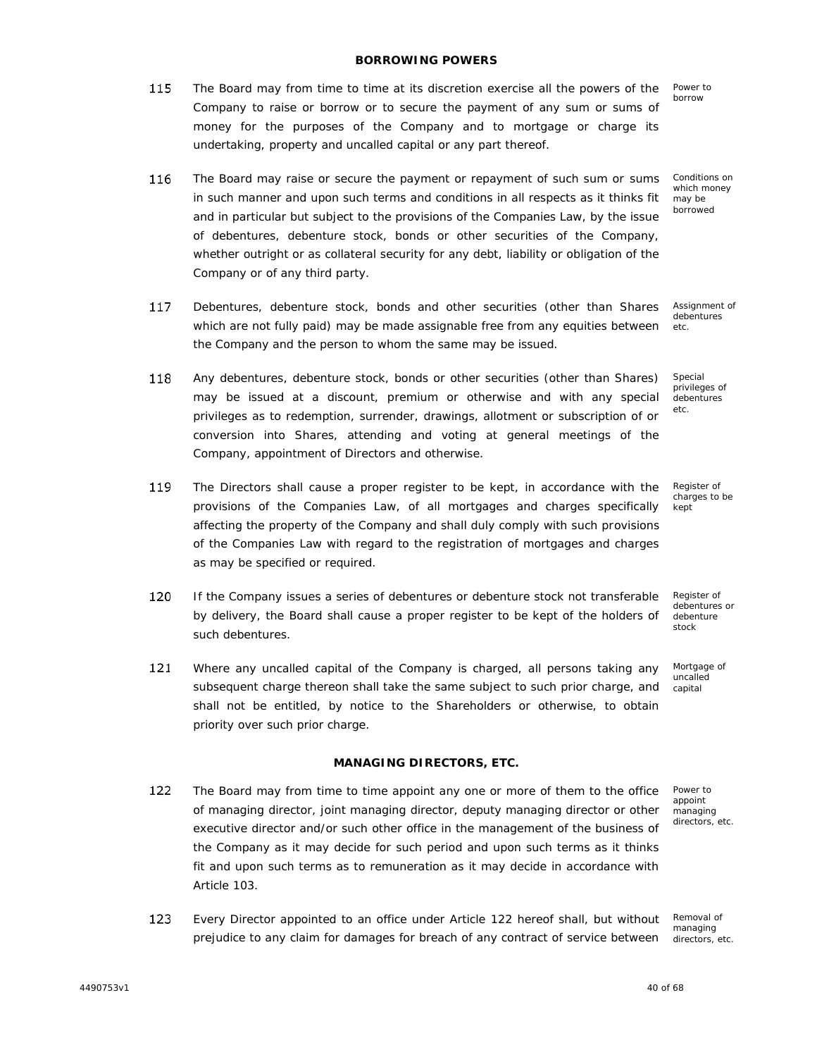115

116 The Board may raise or secure the payment or repayment of such sum or sums in such manner and upon such terms and conditions in all respects as it thinks fit and in particular but subject to the provisions of the Companies Law, by the issue of debentures, debenture stock, bonds or other securities of the Company, whether outright or as collateral security for any debt, liability or obligation of the Company or of any third party.

undertaking, property and uncalled capital or any part thereof.

- 117 Assignment of Debentures, debenture stock, bonds and other securities (other than Shares which are not fully paid) may be made assignable free from any equities between debentures etc.the Company and the person to whom the same may be issued.
- 118 Any debentures, debenture stock, bonds or other securities (other than Shares) may be issued at a discount, premium or otherwise and with any special privileges as to redemption, surrender, drawings, allotment or subscription of or conversion into Shares, attending and voting at general meetings of the Company, appointment of Directors and otherwise.
- 119 The Directors shall cause a proper register to be kept, in accordance with the provisions of the Companies Law, of all mortgages and charges specifically affecting the property of the Company and shall duly comply with such provisions of the Companies Law with regard to the registration of mortgages and charges as may be specified or required.
- 120 If the Company issues a series of debentures or debenture stock not transferable by delivery, the Board shall cause a proper register to be kept of the holders of such debentures.
- 121 Where any uncalled capital of the Company is charged, all persons taking any subsequent charge thereon shall take the same subject to such prior charge, and shall not be entitled, by notice to the Shareholders or otherwise, to obtain priority over such prior charge.

#### **MANAGING DIRECTORS, ETC.**

- 122 The Board may from time to time appoint any one or more of them to the office of managing director, joint managing director, deputy managing director or other executive director and/or such other office in the management of the business of the Company as it may decide for such period and upon such terms as it thinks fit and upon such terms as to remuneration as it may decide in accordance with Article 103.
- 123 Every Director appointed to an office under Article 122 hereof shall, but without Removal of prejudice to any claim for damages for breach of any contract of service between

managing directors, etc.

## **BORROWING POWERS**

The Board may from time to time at its discretion exercise all the powers of the Company to raise or borrow or to secure the payment of any sum or sums of

money for the purposes of the Company and to mortgage or charge its

Conditions on which money may be borrowed

Power to borrow

Special privileges of debentures etc.

Register of charges to be kept

Register of debentures or debenture stock

Mortgage of uncalled capital

Power to appoint managing directors, etc.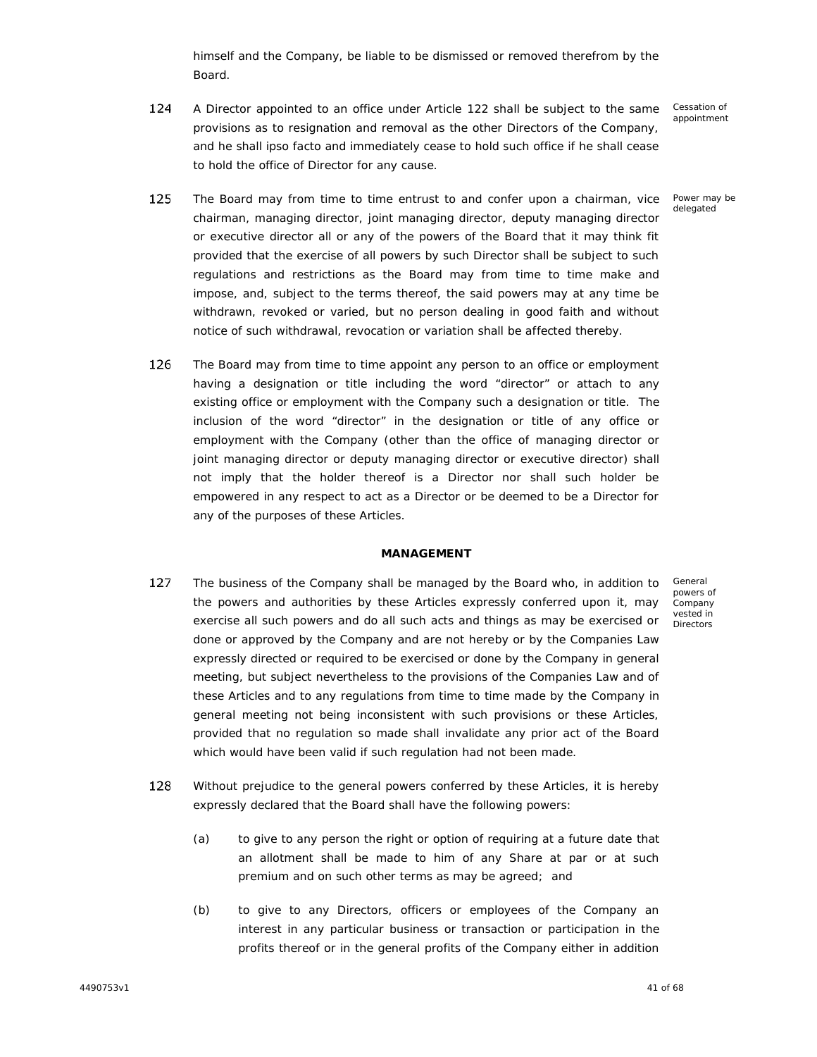himself and the Company, be liable to be dismissed or removed therefrom by the Board.

124 A Director appointed to an office under Article 122 shall be subject to the same provisions as to resignation and removal as the other Directors of the Company, and he shall ipso facto and immediately cease to hold such office if he shall cease to hold the office of Director for any cause.

Cessation of appointment

#### Power may be delegated

General powers of Company vested in Directors

- 125 The Board may from time to time entrust to and confer upon a chairman, vice chairman, managing director, joint managing director, deputy managing director or executive director all or any of the powers of the Board that it may think fit provided that the exercise of all powers by such Director shall be subject to such regulations and restrictions as the Board may from time to time make and impose, and, subject to the terms thereof, the said powers may at any time be withdrawn, revoked or varied, but no person dealing in good faith and without notice of such withdrawal, revocation or variation shall be affected thereby.
- 126 The Board may from time to time appoint any person to an office or employment having a designation or title including the word "director" or attach to any existing office or employment with the Company such a designation or title. The inclusion of the word "director" in the designation or title of any office or employment with the Company (other than the office of managing director or joint managing director or deputy managing director or executive director) shall not imply that the holder thereof is a Director nor shall such holder be empowered in any respect to act as a Director or be deemed to be a Director for any of the purposes of these Articles.

# **MANAGEMENT**

- 127 The business of the Company shall be managed by the Board who, in addition to the powers and authorities by these Articles expressly conferred upon it, may exercise all such powers and do all such acts and things as may be exercised or done or approved by the Company and are not hereby or by the Companies Law expressly directed or required to be exercised or done by the Company in general meeting, but subject nevertheless to the provisions of the Companies Law and of these Articles and to any regulations from time to time made by the Company in general meeting not being inconsistent with such provisions or these Articles, provided that no regulation so made shall invalidate any prior act of the Board which would have been valid if such regulation had not been made.
- 128 Without prejudice to the general powers conferred by these Articles, it is hereby expressly declared that the Board shall have the following powers:
	- (a) to give to any person the right or option of requiring at a future date that an allotment shall be made to him of any Share at par or at such premium and on such other terms as may be agreed; and
	- (b) to give to any Directors, officers or employees of the Company an interest in any particular business or transaction or participation in the profits thereof or in the general profits of the Company either in addition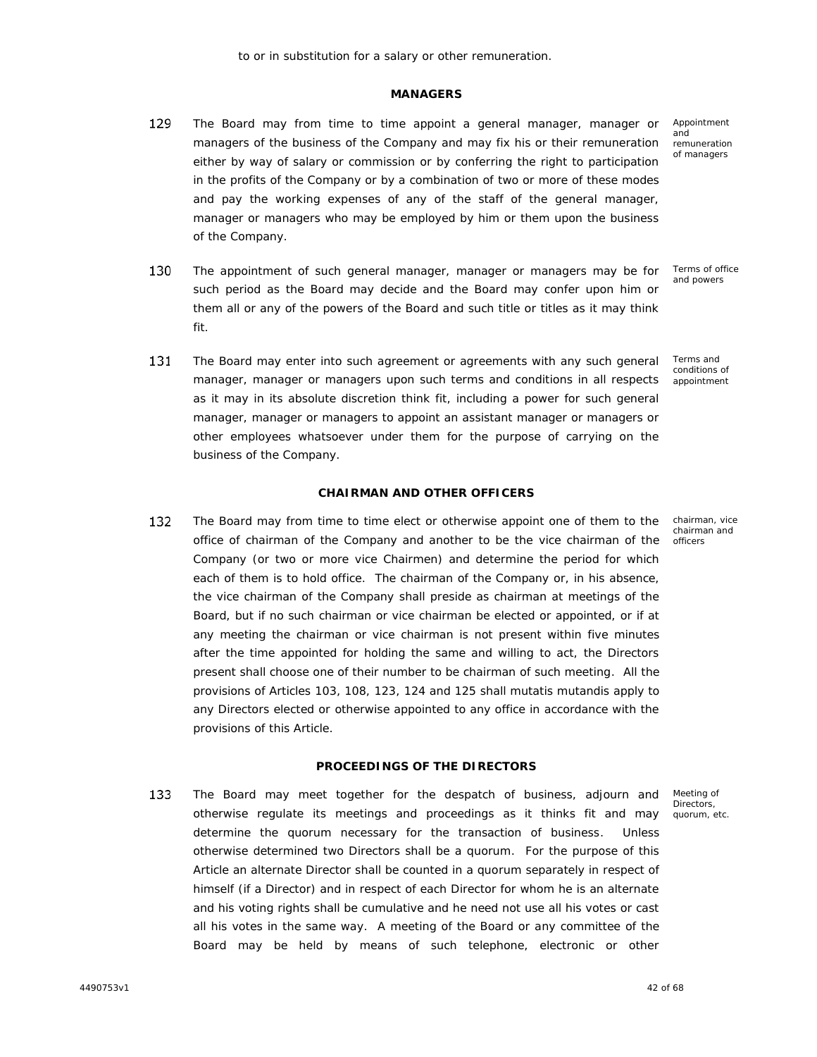## **MANAGERS**

- 129 The Board may from time to time appoint a general manager, manager or managers of the business of the Company and may fix his or their remuneration either by way of salary or commission or by conferring the right to participation in the profits of the Company or by a combination of two or more of these modes and pay the working expenses of any of the staff of the general manager, manager or managers who may be employed by him or them upon the business of the Company.
- 130 The appointment of such general manager, manager or managers may be for such period as the Board may decide and the Board may confer upon him or them all or any of the powers of the Board and such title or titles as it may think fit.
- 131 The Board may enter into such agreement or agreements with any such general manager, manager or managers upon such terms and conditions in all respects as it may in its absolute discretion think fit, including a power for such general manager, manager or managers to appoint an assistant manager or managers or other employees whatsoever under them for the purpose of carrying on the business of the Company.

# **CHAIRMAN AND OTHER OFFICERS**

132 The Board may from time to time elect or otherwise appoint one of them to the office of chairman of the Company and another to be the vice chairman of the Company (or two or more vice Chairmen) and determine the period for which each of them is to hold office. The chairman of the Company or, in his absence, the vice chairman of the Company shall preside as chairman at meetings of the Board, but if no such chairman or vice chairman be elected or appointed, or if at any meeting the chairman or vice chairman is not present within five minutes after the time appointed for holding the same and willing to act, the Directors present shall choose one of their number to be chairman of such meeting. All the provisions of Articles 103, 108, 123, 124 and 125 shall *mutatis mutandis* apply to any Directors elected or otherwise appointed to any office in accordance with the provisions of this Article.

# **PROCEEDINGS OF THE DIRECTORS**

133 The Board may meet together for the despatch of business, adjourn and otherwise regulate its meetings and proceedings as it thinks fit and may determine the quorum necessary for the transaction of business. Unless otherwise determined two Directors shall be a quorum. For the purpose of this Article an alternate Director shall be counted in a quorum separately in respect of himself (if a Director) and in respect of each Director for whom he is an alternate and his voting rights shall be cumulative and he need not use all his votes or cast all his votes in the same way. A meeting of the Board or any committee of the Board may be held by means of such telephone, electronic or other

Meeting of Directors, quorum, etc.

Appointment and remuneration of managers

Terms of office and powers

Terms and conditions of appointment

chairman, vice chairman and officers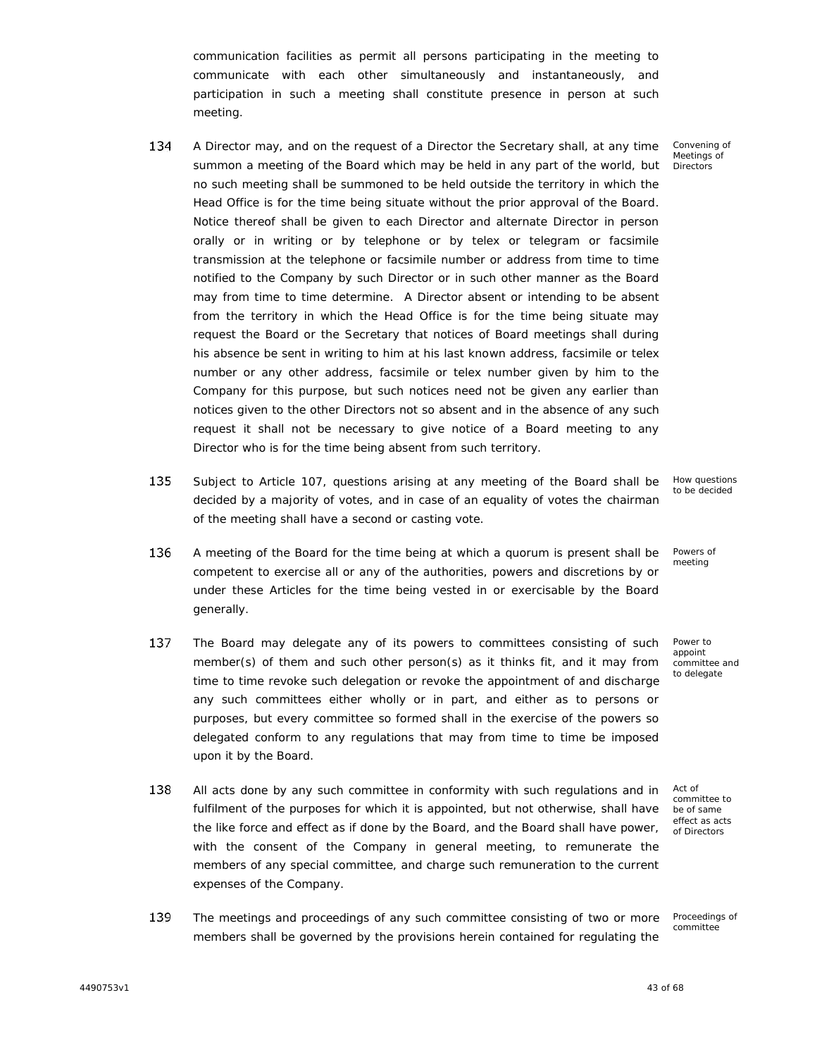communication facilities as permit all persons participating in the meeting to communicate with each other simultaneously and instantaneously, and participation in such a meeting shall constitute presence in person at such meeting.

- 134 A Director may, and on the request of a Director the Secretary shall, at any time summon a meeting of the Board which may be held in any part of the world, but no such meeting shall be summoned to be held outside the territory in which the Head Office is for the time being situate without the prior approval of the Board. Notice thereof shall be given to each Director and alternate Director in person orally or in writing or by telephone or by telex or telegram or facsimile transmission at the telephone or facsimile number or address from time to time notified to the Company by such Director or in such other manner as the Board may from time to time determine. A Director absent or intending to be absent from the territory in which the Head Office is for the time being situate may request the Board or the Secretary that notices of Board meetings shall during his absence be sent in writing to him at his last known address, facsimile or telex number or any other address, facsimile or telex number given by him to the Company for this purpose, but such notices need not be given any earlier than notices given to the other Directors not so absent and in the absence of any such request it shall not be necessary to give notice of a Board meeting to any Director who is for the time being absent from such territory.
- 135 Subject to Article 107, questions arising at any meeting of the Board shall be decided by a majority of votes, and in case of an equality of votes the chairman of the meeting shall have a second or casting vote.
- 136 A meeting of the Board for the time being at which a quorum is present shall be competent to exercise all or any of the authorities, powers and discretions by or under these Articles for the time being vested in or exercisable by the Board generally.
- 137 The Board may delegate any of its powers to committees consisting of such member(s) of them and such other person(s) as it thinks fit, and it may from time to time revoke such delegation or revoke the appointment of and discharge any such committees either wholly or in part, and either as to persons or purposes, but every committee so formed shall in the exercise of the powers so delegated conform to any regulations that may from time to time be imposed upon it by the Board.
- 138 All acts done by any such committee in conformity with such regulations and in fulfilment of the purposes for which it is appointed, but not otherwise, shall have the like force and effect as if done by the Board, and the Board shall have power, with the consent of the Company in general meeting, to remunerate the members of any special committee, and charge such remuneration to the current expenses of the Company.
- 139 The meetings and proceedings of any such committee consisting of two or more members shall be governed by the provisions herein contained for regulating the

Convening of Meetings of **Directors** 

How questions to be decided

Powers of meeting

Power to appoint committee and to delegate

Act of committee to be of same effect as acts of Directors

Proceedings of committee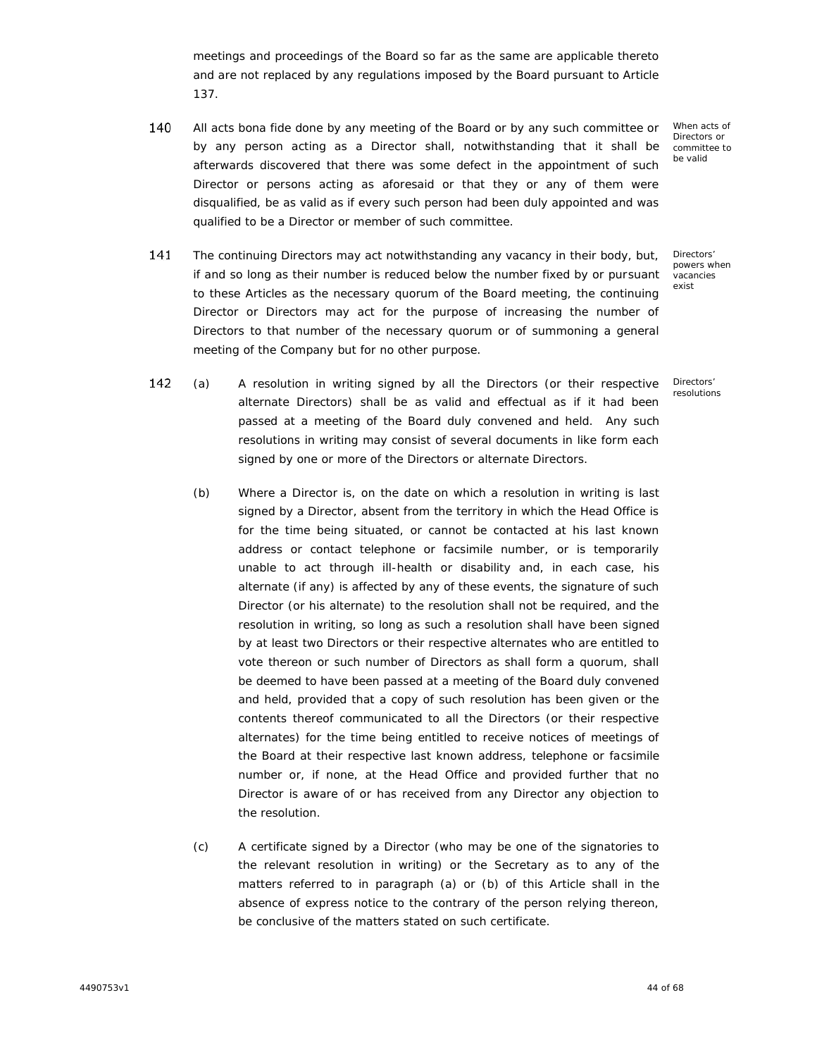meetings and proceedings of the Board so far as the same are applicable thereto and are not replaced by any regulations imposed by the Board pursuant to Article 137.

- 140 All acts bona fide done by any meeting of the Board or by any such committee or by any person acting as a Director shall, notwithstanding that it shall be afterwards discovered that there was some defect in the appointment of such Director or persons acting as aforesaid or that they or any of them were disqualified, be as valid as if every such person had been duly appointed and was qualified to be a Director or member of such committee.
- 141 The continuing Directors may act notwithstanding any vacancy in their body, but, if and so long as their number is reduced below the number fixed by or pursuant to these Articles as the necessary quorum of the Board meeting, the continuing Director or Directors may act for the purpose of increasing the number of Directors to that number of the necessary quorum or of summoning a general meeting of the Company but for no other purpose.

When acts of Directors or committee to be valid

Directors' powers when .<br>vacancies exist

Directors' resolutions

- 142 (a) x A resolution in writing signed by all the Directors (or their respective alternate Directors) shall be as valid and effectual as if it had been passed at a meeting of the Board duly convened and held. Any such resolutions in writing may consist of several documents in like form each signed by one or more of the Directors or alternate Directors.
	- (b) Where a Director is, on the date on which a resolution in writing is last signed by a Director, absent from the territory in which the Head Office is for the time being situated, or cannot be contacted at his last known address or contact telephone or facsimile number, or is temporarily unable to act through ill-health or disability and, in each case, his alternate (if any) is affected by any of these events, the signature of such Director (or his alternate) to the resolution shall not be required, and the resolution in writing, so long as such a resolution shall have been signed by at least two Directors or their respective alternates who are entitled to vote thereon or such number of Directors as shall form a quorum, shall be deemed to have been passed at a meeting of the Board duly convened and held, provided that a copy of such resolution has been given or the contents thereof communicated to all the Directors (or their respective alternates) for the time being entitled to receive notices of meetings of the Board at their respective last known address, telephone or facsimile number or, if none, at the Head Office and provided further that no Director is aware of or has received from any Director any objection to the resolution.
	- (c) A certificate signed by a Director (who may be one of the signatories to the relevant resolution in writing) or the Secretary as to any of the matters referred to in paragraph (a) or (b) of this Article shall in the absence of express notice to the contrary of the person relying thereon, be conclusive of the matters stated on such certificate.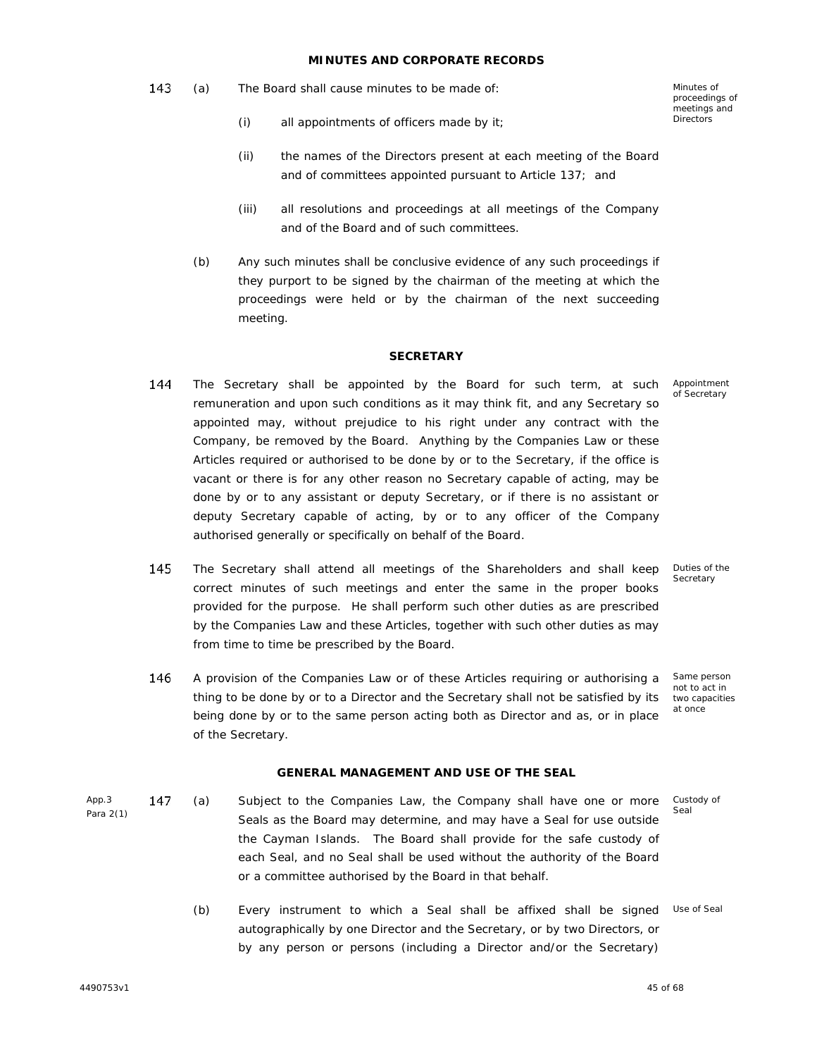## **MINUTES AND CORPORATE RECORDS**

- 143 (a) The Board shall cause minutes to be made of:
	- (i) all appointments of officers made by it;

Minutes of proceedings of meetings and **Directors** 

- (ii) the names of the Directors present at each meeting of the Board and of committees appointed pursuant to Article 137; and
- (iii) all resolutions and proceedings at all meetings of the Company and of the Board and of such committees.
- (b) Any such minutes shall be conclusive evidence of any such proceedings if they purport to be signed by the chairman of the meeting at which the proceedings were held or by the chairman of the next succeeding meeting.

## **SECRETARY**

- 144 The Secretary shall be appointed by the Board for such term, at such remuneration and upon such conditions as it may think fit, and any Secretary so appointed may, without prejudice to his right under any contract with the Company, be removed by the Board. Anything by the Companies Law or these Articles required or authorised to be done by or to the Secretary, if the office is vacant or there is for any other reason no Secretary capable of acting, may be done by or to any assistant or deputy Secretary, or if there is no assistant or deputy Secretary capable of acting, by or to any officer of the Company authorised generally or specifically on behalf of the Board.
- 145 The Secretary shall attend all meetings of the Shareholders and shall keep correct minutes of such meetings and enter the same in the proper books provided for the purpose. He shall perform such other duties as are prescribed by the Companies Law and these Articles, together with such other duties as may from time to time be prescribed by the Board.
- 146 Same person A provision of the Companies Law or of these Articles requiring or authorising a thing to be done by or to a Director and the Secretary shall not be satisfied by its being done by or to the same person acting both as Director and as, or in place of the Secretary.

# **GENERAL MANAGEMENT AND USE OF THE SEAL**

- App.3 147 Para 2(1) (a) Subject to the Companies Law, the Company shall have one or more Seals as the Board may determine, and may have a Seal for use outside the Cayman Islands. The Board shall provide for the safe custody of each Seal, and no Seal shall be used without the authority of the Board or a committee authorised by the Board in that behalf. Custody of Seal
	- (b) Every instrument to which a Seal shall be affixed shall be signed Use of Seal autographically by one Director and the Secretary, or by two Directors, or by any person or persons (including a Director and/or the Secretary)

4490753v1 45 of 68

Appointment of Secretary

Duties of the Secretary

not to act in two capacities at once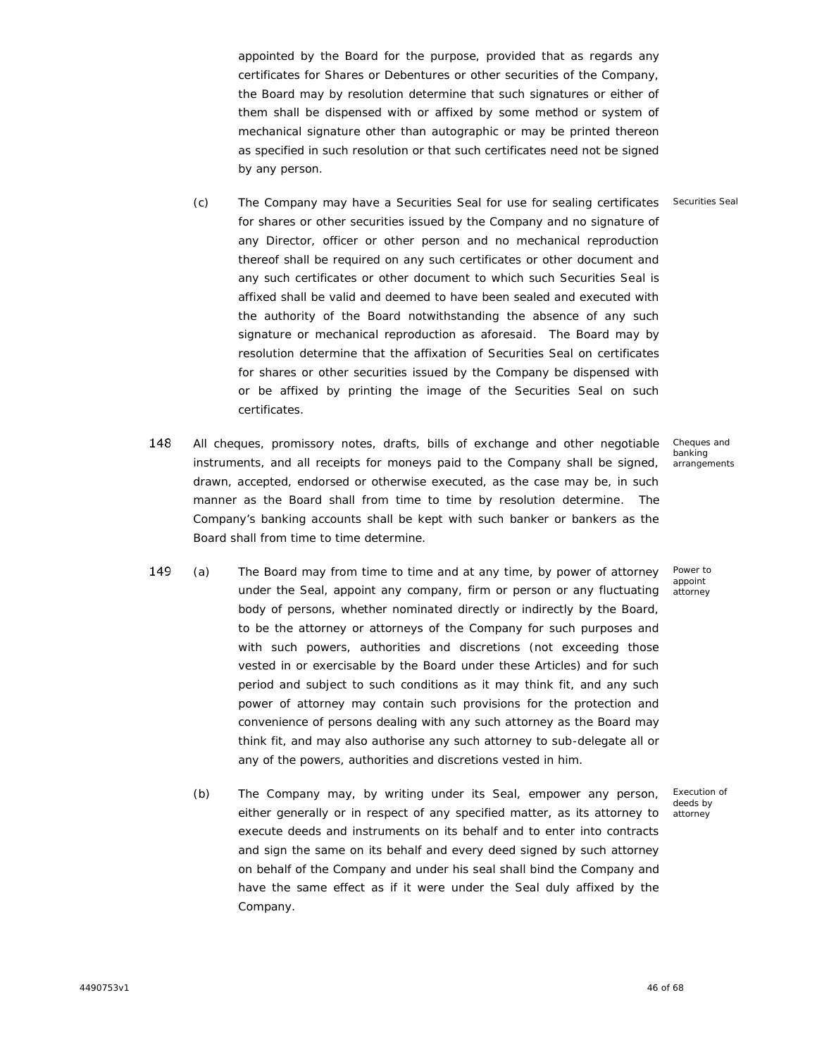appointed by the Board for the purpose, provided that as regards any certificates for Shares or Debentures or other securities of the Company, the Board may by resolution determine that such signatures or either of them shall be dispensed with or affixed by some method or system of mechanical signature other than autographic or may be printed thereon as specified in such resolution or that such certificates need not be signed by any person.

- (c) The Company may have a Securities Seal for use for sealing certificates Securities Seal for shares or other securities issued by the Company and no signature of any Director, officer or other person and no mechanical reproduction thereof shall be required on any such certificates or other document and any such certificates or other document to which such Securities Seal is affixed shall be valid and deemed to have been sealed and executed with the authority of the Board notwithstanding the absence of any such signature or mechanical reproduction as aforesaid. The Board may by resolution determine that the affixation of Securities Seal on certificates for shares or other securities issued by the Company be dispensed with or be affixed by printing the image of the Securities Seal on such certificates.
- 148 Cheques and All cheques, promissory notes, drafts, bills of exchange and other negotiable banking instruments, and all receipts for moneys paid to the Company shall be signed, drawn, accepted, endorsed or otherwise executed, as the case may be, in such manner as the Board shall from time to time by resolution determine. The Company's banking accounts shall be kept with such banker or bankers as the Board shall from time to time determine.
	- arrangements

Power to appoint attorney

- 149 (a) x The Board may from time to time and at any time, by power of attorney under the Seal, appoint any company, firm or person or any fluctuating body of persons, whether nominated directly or indirectly by the Board, to be the attorney or attorneys of the Company for such purposes and with such powers, authorities and discretions (not exceeding those vested in or exercisable by the Board under these Articles) and for such period and subject to such conditions as it may think fit, and any such power of attorney may contain such provisions for the protection and convenience of persons dealing with any such attorney as the Board may think fit, and may also authorise any such attorney to sub-delegate all or any of the powers, authorities and discretions vested in him.
	- (b) The Company may, by writing under its Seal, empower any person, either generally or in respect of any specified matter, as its attorney to execute deeds and instruments on its behalf and to enter into contracts and sign the same on its behalf and every deed signed by such attorney on behalf of the Company and under his seal shall bind the Company and have the same effect as if it were under the Seal duly affixed by the Company.

Execution of deeds by attorney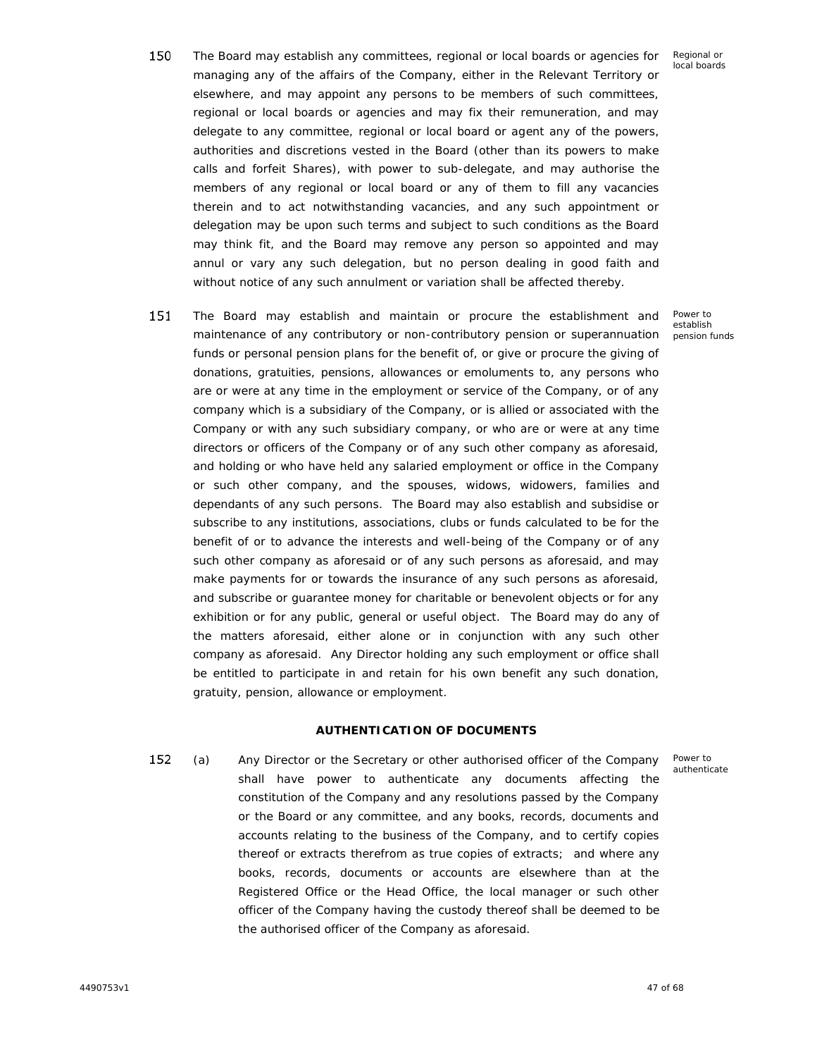Power to establish pension funds

- 150 The Board may establish any committees, regional or local boards or agencies for managing any of the affairs of the Company, either in the Relevant Territory or elsewhere, and may appoint any persons to be members of such committees, regional or local boards or agencies and may fix their remuneration, and may delegate to any committee, regional or local board or agent any of the powers, authorities and discretions vested in the Board (other than its powers to make calls and forfeit Shares), with power to sub-delegate, and may authorise the members of any regional or local board or any of them to fill any vacancies therein and to act notwithstanding vacancies, and any such appointment or delegation may be upon such terms and subject to such conditions as the Board may think fit, and the Board may remove any person so appointed and may annul or vary any such delegation, but no person dealing in good faith and without notice of any such annulment or variation shall be affected thereby.
- 151 The Board may establish and maintain or procure the establishment and maintenance of any contributory or non-contributory pension or superannuation funds or personal pension plans for the benefit of, or give or procure the giving of donations, gratuities, pensions, allowances or emoluments to, any persons who are or were at any time in the employment or service of the Company, or of any company which is a subsidiary of the Company, or is allied or associated with the Company or with any such subsidiary company, or who are or were at any time directors or officers of the Company or of any such other company as aforesaid, and holding or who have held any salaried employment or office in the Company or such other company, and the spouses, widows, widowers, families and dependants of any such persons. The Board may also establish and subsidise or subscribe to any institutions, associations, clubs or funds calculated to be for the benefit of or to advance the interests and well-being of the Company or of any such other company as aforesaid or of any such persons as aforesaid, and may make payments for or towards the insurance of any such persons as aforesaid, and subscribe or guarantee money for charitable or benevolent objects or for any exhibition or for any public, general or useful object. The Board may do any of the matters aforesaid, either alone or in conjunction with any such other company as aforesaid. Any Director holding any such employment or office shall be entitled to participate in and retain for his own benefit any such donation, gratuity, pension, allowance or employment.

# **AUTHENTICATION OF DOCUMENTS**

Power to authenticate

152 (a) x Any Director or the Secretary or other authorised officer of the Company shall have power to authenticate any documents affecting the constitution of the Company and any resolutions passed by the Company or the Board or any committee, and any books, records, documents and accounts relating to the business of the Company, and to certify copies thereof or extracts therefrom as true copies of extracts; and where any books, records, documents or accounts are elsewhere than at the Registered Office or the Head Office, the local manager or such other officer of the Company having the custody thereof shall be deemed to be the authorised officer of the Company as aforesaid.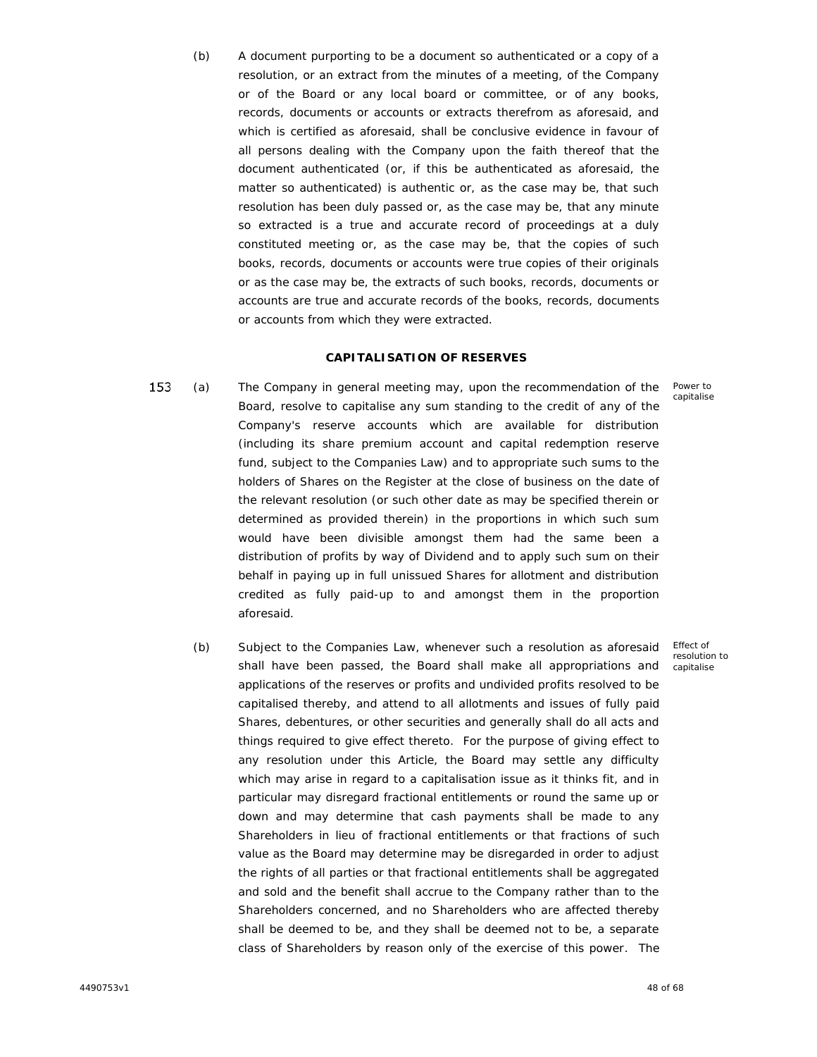(b) A document purporting to be a document so authenticated or a copy of a resolution, or an extract from the minutes of a meeting, of the Company or of the Board or any local board or committee, or of any books, records, documents or accounts or extracts therefrom as aforesaid, and which is certified as aforesaid, shall be conclusive evidence in favour of all persons dealing with the Company upon the faith thereof that the document authenticated (or, if this be authenticated as aforesaid, the matter so authenticated) is authentic or, as the case may be, that such resolution has been duly passed or, as the case may be, that any minute so extracted is a true and accurate record of proceedings at a duly constituted meeting or, as the case may be, that the copies of such books, records, documents or accounts were true copies of their originals or as the case may be, the extracts of such books, records, documents or accounts are true and accurate records of the books, records, documents or accounts from which they were extracted.

## **CAPITALISATION OF RESERVES**

- 153 (a) x The Company in general meeting may, upon the recommendation of the Board, resolve to capitalise any sum standing to the credit of any of the Company's reserve accounts which are available for distribution (including its share premium account and capital redemption reserve fund, subject to the Companies Law) and to appropriate such sums to the holders of Shares on the Register at the close of business on the date of the relevant resolution (or such other date as may be specified therein or determined as provided therein) in the proportions in which such sum would have been divisible amongst them had the same been a distribution of profits by way of Dividend and to apply such sum on their behalf in paying up in full unissued Shares for allotment and distribution credited as fully paid-up to and amongst them in the proportion aforesaid.
	- (b) Subject to the Companies Law, whenever such a resolution as aforesaid shall have been passed, the Board shall make all appropriations and applications of the reserves or profits and undivided profits resolved to be capitalised thereby, and attend to all allotments and issues of fully paid Shares, debentures, or other securities and generally shall do all acts and things required to give effect thereto. For the purpose of giving effect to any resolution under this Article, the Board may settle any difficulty which may arise in regard to a capitalisation issue as it thinks fit, and in particular may disregard fractional entitlements or round the same up or down and may determine that cash payments shall be made to any Shareholders in lieu of fractional entitlements or that fractions of such value as the Board may determine may be disregarded in order to adjust the rights of all parties or that fractional entitlements shall be aggregated and sold and the benefit shall accrue to the Company rather than to the Shareholders concerned, and no Shareholders who are affected thereby shall be deemed to be, and they shall be deemed not to be, a separate class of Shareholders by reason only of the exercise of this power. The

Effect of resolution to capitalise

Power to capitalise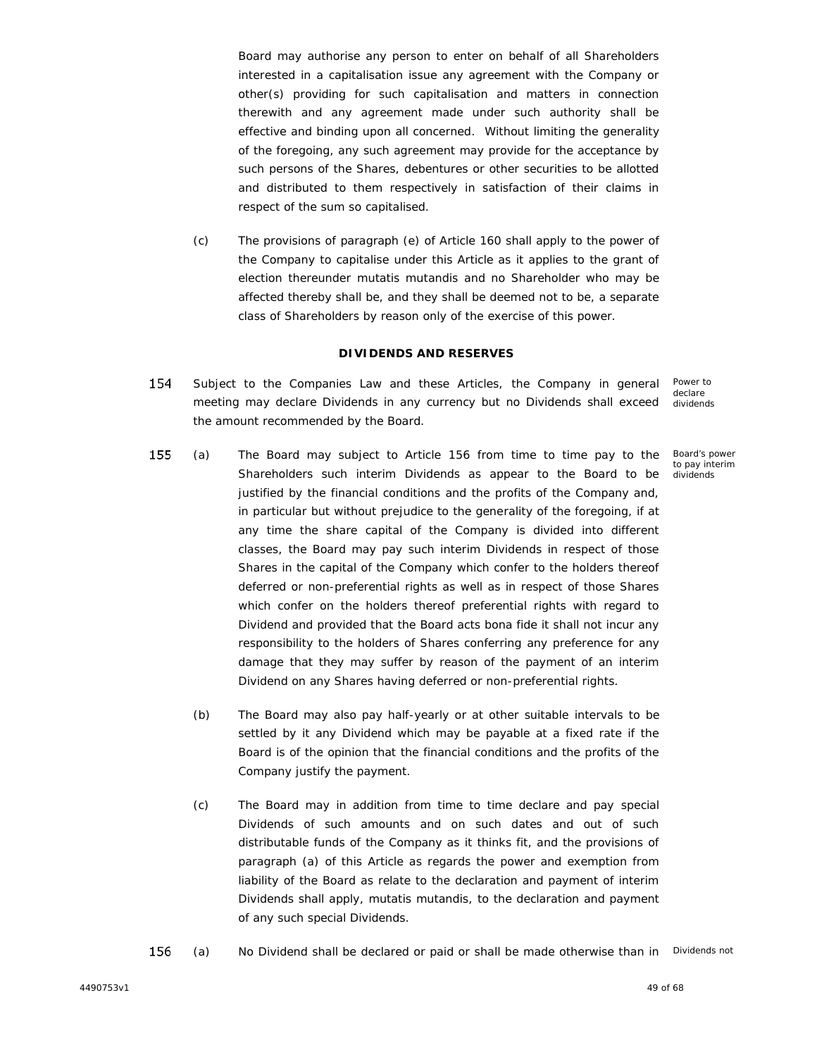Board may authorise any person to enter on behalf of all Shareholders interested in a capitalisation issue any agreement with the Company or other(s) providing for such capitalisation and matters in connection therewith and any agreement made under such authority shall be effective and binding upon all concerned. Without limiting the generality of the foregoing, any such agreement may provide for the acceptance by such persons of the Shares, debentures or other securities to be allotted and distributed to them respectively in satisfaction of their claims in respect of the sum so capitalised.

(c) The provisions of paragraph (e) of Article 160 shall apply to the power of the Company to capitalise under this Article as it applies to the grant of election thereunder *mutatis mutandis* and no Shareholder who may be affected thereby shall be, and they shall be deemed not to be, a separate class of Shareholders by reason only of the exercise of this power.

## **DIVIDENDS AND RESERVES**

- 154 Subject to the Companies Law and these Articles, the Company in general Power to declare meeting may declare Dividends in any currency but no Dividends shall exceed dividends the amount recommended by the Board.
- 155 (a) x The Board may subject to Article 156 from time to time pay to the Shareholders such interim Dividends as appear to the Board to be justified by the financial conditions and the profits of the Company and, in particular but without prejudice to the generality of the foregoing, if at any time the share capital of the Company is divided into different classes, the Board may pay such interim Dividends in respect of those Shares in the capital of the Company which confer to the holders thereof deferred or non-preferential rights as well as in respect of those Shares which confer on the holders thereof preferential rights with regard to Dividend and provided that the Board acts bona fide it shall not incur any responsibility to the holders of Shares conferring any preference for any damage that they may suffer by reason of the payment of an interim Dividend on any Shares having deferred or non-preferential rights.
	- (b) The Board may also pay half-yearly or at other suitable intervals to be settled by it any Dividend which may be payable at a fixed rate if the Board is of the opinion that the financial conditions and the profits of the Company justify the payment.
	- (c) The Board may in addition from time to time declare and pay special Dividends of such amounts and on such dates and out of such distributable funds of the Company as it thinks fit, and the provisions of paragraph (a) of this Article as regards the power and exemption from liability of the Board as relate to the declaration and payment of interim Dividends shall apply, *mutatis mutandis*, to the declaration and payment of any such special Dividends.
- 156 (a) No Dividend shall be declared or paid or shall be made otherwise than in Dividends not

Board's power to pay interim dividends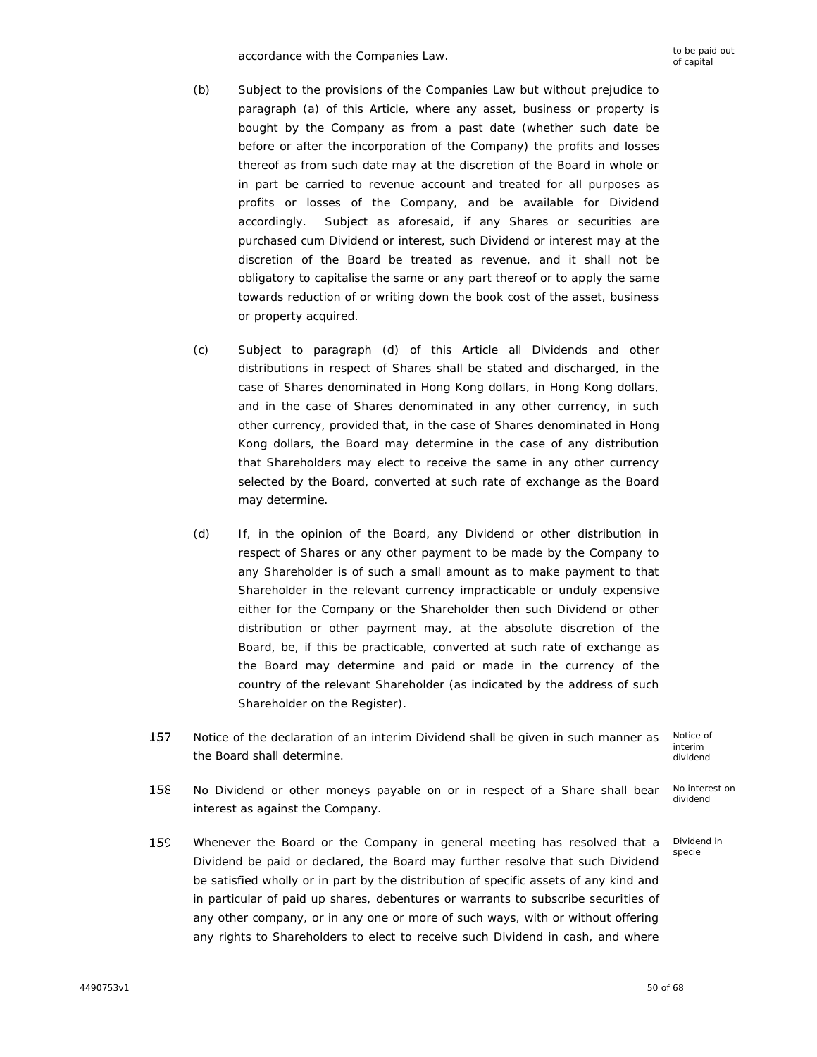accordance with the Companies Law. to be paid out accordance with the Companies Law.

- (b) Subject to the provisions of the Companies Law but without prejudice to paragraph (a) of this Article, where any asset, business or property is bought by the Company as from a past date (whether such date be before or after the incorporation of the Company) the profits and losses thereof as from such date may at the discretion of the Board in whole or in part be carried to revenue account and treated for all purposes as profits or losses of the Company, and be available for Dividend accordingly. Subject as aforesaid, if any Shares or securities are purchased cum Dividend or interest, such Dividend or interest may at the discretion of the Board be treated as revenue, and it shall not be obligatory to capitalise the same or any part thereof or to apply the same towards reduction of or writing down the book cost of the asset, business or property acquired.
- (c) Subject to paragraph (d) of this Article all Dividends and other distributions in respect of Shares shall be stated and discharged, in the case of Shares denominated in Hong Kong dollars, in Hong Kong dollars, and in the case of Shares denominated in any other currency, in such other currency, provided that, in the case of Shares denominated in Hong Kong dollars, the Board may determine in the case of any distribution that Shareholders may elect to receive the same in any other currency selected by the Board, converted at such rate of exchange as the Board may determine.
- (d) If, in the opinion of the Board, any Dividend or other distribution in respect of Shares or any other payment to be made by the Company to any Shareholder is of such a small amount as to make payment to that Shareholder in the relevant currency impracticable or unduly expensive either for the Company or the Shareholder then such Dividend or other distribution or other payment may, at the absolute discretion of the Board, be, if this be practicable, converted at such rate of exchange as the Board may determine and paid or made in the currency of the country of the relevant Shareholder (as indicated by the address of such Shareholder on the Register).
- 157 Notice of the declaration of an interim Dividend shall be given in such manner as solutice<br>interim<br>dividen the Board shall determine.

Notice of interim dividend

Dividend in specie

- 158 No interest on No Dividend or other moneys payable on or in respect of a Share shall bear dividend interest as against the Company.
- 159 Whenever the Board or the Company in general meeting has resolved that a Dividend be paid or declared, the Board may further resolve that such Dividend be satisfied wholly or in part by the distribution of specific assets of any kind and in particular of paid up shares, debentures or warrants to subscribe securities of any other company, or in any one or more of such ways, with or without offering any rights to Shareholders to elect to receive such Dividend in cash, and where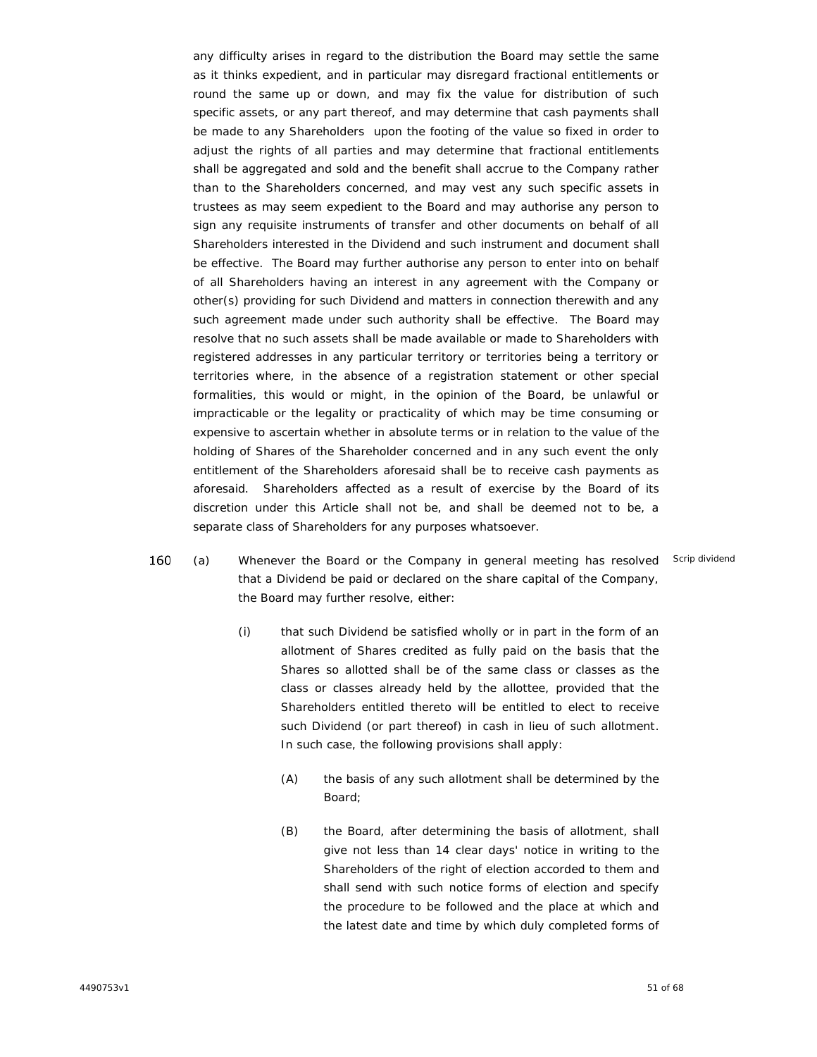any difficulty arises in regard to the distribution the Board may settle the same as it thinks expedient, and in particular may disregard fractional entitlements or round the same up or down, and may fix the value for distribution of such specific assets, or any part thereof, and may determine that cash payments shall be made to any Shareholders upon the footing of the value so fixed in order to adjust the rights of all parties and may determine that fractional entitlements shall be aggregated and sold and the benefit shall accrue to the Company rather than to the Shareholders concerned, and may vest any such specific assets in trustees as may seem expedient to the Board and may authorise any person to sign any requisite instruments of transfer and other documents on behalf of all Shareholders interested in the Dividend and such instrument and document shall be effective. The Board may further authorise any person to enter into on behalf of all Shareholders having an interest in any agreement with the Company or other(s) providing for such Dividend and matters in connection therewith and any such agreement made under such authority shall be effective. The Board may resolve that no such assets shall be made available or made to Shareholders with registered addresses in any particular territory or territories being a territory or territories where, in the absence of a registration statement or other special formalities, this would or might, in the opinion of the Board, be unlawful or impracticable or the legality or practicality of which may be time consuming or expensive to ascertain whether in absolute terms or in relation to the value of the holding of Shares of the Shareholder concerned and in any such event the only entitlement of the Shareholders aforesaid shall be to receive cash payments as aforesaid. Shareholders affected as a result of exercise by the Board of its discretion under this Article shall not be, and shall be deemed not to be, a separate class of Shareholders for any purposes whatsoever.

- 160 (a) x Whenever the Board or the Company in general meeting has resolved Scrip dividendthat a Dividend be paid or declared on the share capital of the Company, the Board may further resolve, either:
	- (i) that such Dividend be satisfied wholly or in part in the form of an allotment of Shares credited as fully paid on the basis that the Shares so allotted shall be of the same class or classes as the class or classes already held by the allottee, provided that the Shareholders entitled thereto will be entitled to elect to receive such Dividend (or part thereof) in cash in lieu of such allotment. In such case, the following provisions shall apply:
		- (A) the basis of any such allotment shall be determined by the Board;
		- (B) the Board, after determining the basis of allotment, shall give not less than 14 clear days' notice in writing to the Shareholders of the right of election accorded to them and shall send with such notice forms of election and specify the procedure to be followed and the place at which and the latest date and time by which duly completed forms of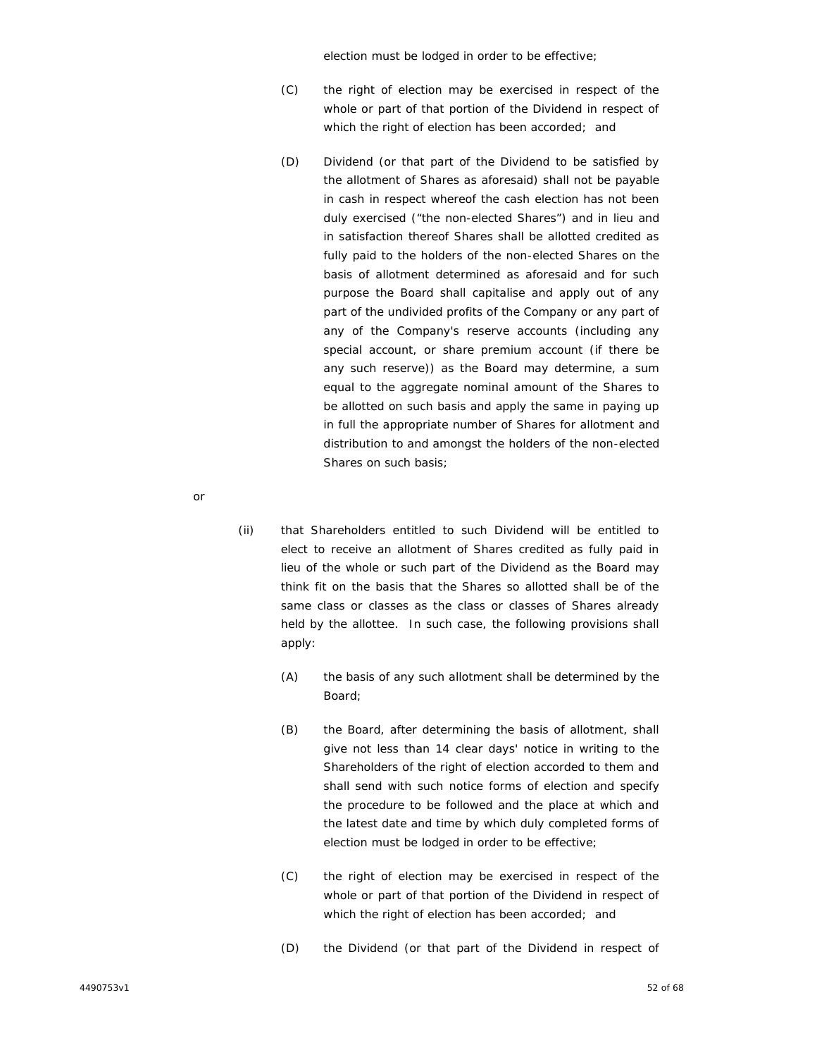election must be lodged in order to be effective;

- (C) the right of election may be exercised in respect of the whole or part of that portion of the Dividend in respect of which the right of election has been accorded; and
- (D) Dividend (or that part of the Dividend to be satisfied by the allotment of Shares as aforesaid) shall not be payable in cash in respect whereof the cash election has not been duly exercised ("the non-elected Shares") and in lieu and in satisfaction thereof Shares shall be allotted credited as fully paid to the holders of the non-elected Shares on the basis of allotment determined as aforesaid and for such purpose the Board shall capitalise and apply out of any part of the undivided profits of the Company or any part of any of the Company's reserve accounts (including any special account, or share premium account (if there be any such reserve)) as the Board may determine, a sum equal to the aggregate nominal amount of the Shares to be allotted on such basis and apply the same in paying up in full the appropriate number of Shares for allotment and distribution to and amongst the holders of the non-elected Shares on such basis;
- or
- (ii) that Shareholders entitled to such Dividend will be entitled to elect to receive an allotment of Shares credited as fully paid in lieu of the whole or such part of the Dividend as the Board may think fit on the basis that the Shares so allotted shall be of the same class or classes as the class or classes of Shares already held by the allottee. In such case, the following provisions shall apply:
	- (A) the basis of any such allotment shall be determined by the Board;
	- (B) the Board, after determining the basis of allotment, shall give not less than 14 clear days' notice in writing to the Shareholders of the right of election accorded to them and shall send with such notice forms of election and specify the procedure to be followed and the place at which and the latest date and time by which duly completed forms of election must be lodged in order to be effective;
	- (C) the right of election may be exercised in respect of the whole or part of that portion of the Dividend in respect of which the right of election has been accorded; and
	- (D) the Dividend (or that part of the Dividend in respect of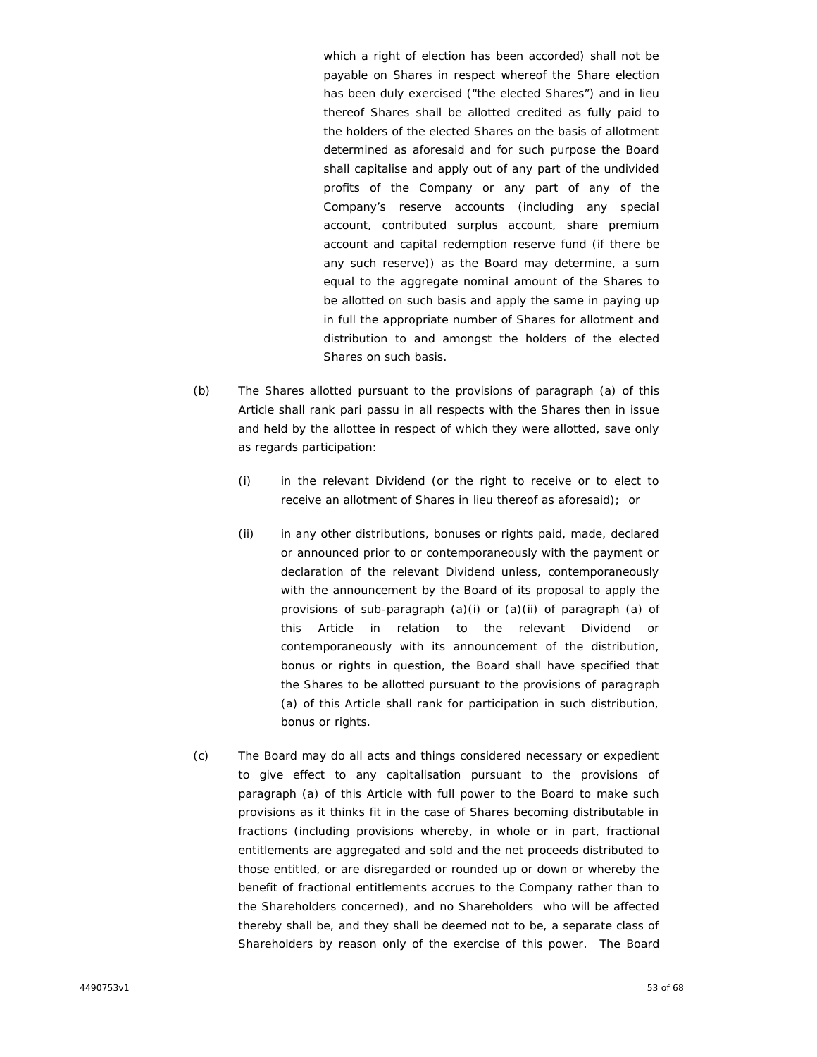which a right of election has been accorded) shall not be payable on Shares in respect whereof the Share election has been duly exercised ("the elected Shares") and in lieu thereof Shares shall be allotted credited as fully paid to the holders of the elected Shares on the basis of allotment determined as aforesaid and for such purpose the Board shall capitalise and apply out of any part of the undivided profits of the Company or any part of any of the Company's reserve accounts (including any special account, contributed surplus account, share premium account and capital redemption reserve fund (if there be any such reserve)) as the Board may determine, a sum equal to the aggregate nominal amount of the Shares to be allotted on such basis and apply the same in paying up in full the appropriate number of Shares for allotment and distribution to and amongst the holders of the elected Shares on such basis.

- (b) The Shares allotted pursuant to the provisions of paragraph (a) of this Article shall rank *pari passu* in all respects with the Shares then in issue and held by the allottee in respect of which they were allotted, save only as regards participation:
	- (i) in the relevant Dividend (or the right to receive or to elect to receive an allotment of Shares in lieu thereof as aforesaid); or
	- (ii) in any other distributions, bonuses or rights paid, made, declared or announced prior to or contemporaneously with the payment or declaration of the relevant Dividend unless, contemporaneously with the announcement by the Board of its proposal to apply the provisions of sub-paragraph (a)(i) or (a)(ii) of paragraph (a) of this Article in relation to the relevant Dividend or contemporaneously with its announcement of the distribution, bonus or rights in question, the Board shall have specified that the Shares to be allotted pursuant to the provisions of paragraph (a) of this Article shall rank for participation in such distribution, bonus or rights.
- (c) The Board may do all acts and things considered necessary or expedient to give effect to any capitalisation pursuant to the provisions of paragraph (a) of this Article with full power to the Board to make such provisions as it thinks fit in the case of Shares becoming distributable in fractions (including provisions whereby, in whole or in part, fractional entitlements are aggregated and sold and the net proceeds distributed to those entitled, or are disregarded or rounded up or down or whereby the benefit of fractional entitlements accrues to the Company rather than to the Shareholders concerned), and no Shareholders who will be affected thereby shall be, and they shall be deemed not to be, a separate class of Shareholders by reason only of the exercise of this power. The Board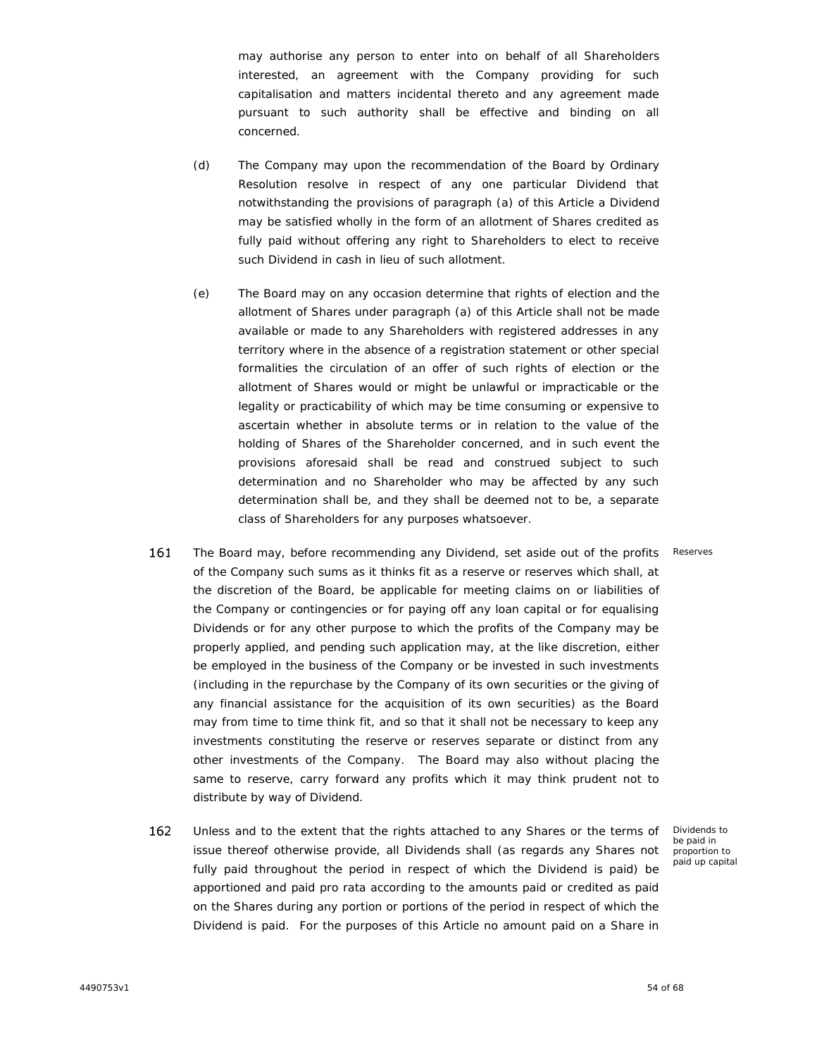may authorise any person to enter into on behalf of all Shareholders interested, an agreement with the Company providing for such capitalisation and matters incidental thereto and any agreement made pursuant to such authority shall be effective and binding on all concerned.

- (d) The Company may upon the recommendation of the Board by Ordinary Resolution resolve in respect of any one particular Dividend that notwithstanding the provisions of paragraph (a) of this Article a Dividend may be satisfied wholly in the form of an allotment of Shares credited as fully paid without offering any right to Shareholders to elect to receive such Dividend in cash in lieu of such allotment.
- (e) The Board may on any occasion determine that rights of election and the allotment of Shares under paragraph (a) of this Article shall not be made available or made to any Shareholders with registered addresses in any territory where in the absence of a registration statement or other special formalities the circulation of an offer of such rights of election or the allotment of Shares would or might be unlawful or impracticable or the legality or practicability of which may be time consuming or expensive to ascertain whether in absolute terms or in relation to the value of the holding of Shares of the Shareholder concerned, and in such event the provisions aforesaid shall be read and construed subject to such determination and no Shareholder who may be affected by any such determination shall be, and they shall be deemed not to be, a separate class of Shareholders for any purposes whatsoever.
- 161 The Board may, before recommending any Dividend, set aside out of the profits of the Company such sums as it thinks fit as a reserve or reserves which shall, at Reserves the discretion of the Board, be applicable for meeting claims on or liabilities of the Company or contingencies or for paying off any loan capital or for equalising Dividends or for any other purpose to which the profits of the Company may be properly applied, and pending such application may, at the like discretion, either be employed in the business of the Company or be invested in such investments (including in the repurchase by the Company of its own securities or the giving of any financial assistance for the acquisition of its own securities) as the Board may from time to time think fit, and so that it shall not be necessary to keep any investments constituting the reserve or reserves separate or distinct from any other investments of the Company. The Board may also without placing the same to reserve, carry forward any profits which it may think prudent not to distribute by way of Dividend.
- 162 Unless and to the extent that the rights attached to any Shares or the terms of issue thereof otherwise provide, all Dividends shall (as regards any Shares not fully paid throughout the period in respect of which the Dividend is paid) be apportioned and paid pro rata according to the amounts paid or credited as paid on the Shares during any portion or portions of the period in respect of which the Dividend is paid. For the purposes of this Article no amount paid on a Share in

Dividends to be paid in proportion to paid up capital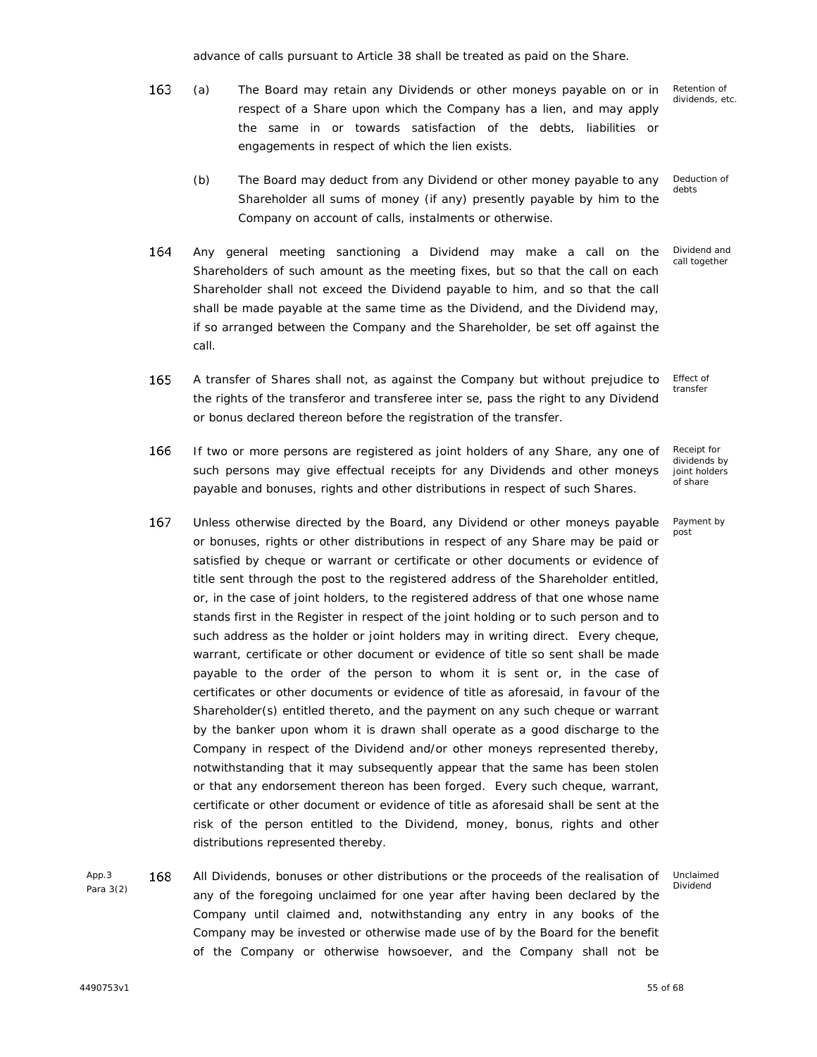advance of calls pursuant to Article 38 shall be treated as paid on the Share.

- 163 Retention of (a) x The Board may retain any Dividends or other moneys payable on or in dividends, etc. respect of a Share upon which the Company has a lien, and may apply the same in or towards satisfaction of the debts, liabilities or engagements in respect of which the lien exists.
	- (b) The Board may deduct from any Dividend or other money payable to any Shareholder all sums of money (if any) presently payable by him to the Company on account of calls, instalments or otherwise. Deduction of debts
- 164 Any general meeting sanctioning a Dividend may make a call on the Shareholders of such amount as the meeting fixes, but so that the call on each Shareholder shall not exceed the Dividend payable to him, and so that the call shall be made payable at the same time as the Dividend, and the Dividend may, if so arranged between the Company and the Shareholder, be set off against the call.
- 165 Effect of A transfer of Shares shall not, as against the Company but without prejudice to transfer the rights of the transferor and transferee inter se, pass the right to any Dividend or bonus declared thereon before the registration of the transfer.
- 166 If two or more persons are registered as joint holders of any Share, any one of such persons may give effectual receipts for any Dividends and other moneys payable and bonuses, rights and other distributions in respect of such Shares.
- 167 Unless otherwise directed by the Board, any Dividend or other moneys payable or bonuses, rights or other distributions in respect of any Share may be paid or satisfied by cheque or warrant or certificate or other documents or evidence of title sent through the post to the registered address of the Shareholder entitled, or, in the case of joint holders, to the registered address of that one whose name stands first in the Register in respect of the joint holding or to such person and to such address as the holder or joint holders may in writing direct. Every cheque, warrant, certificate or other document or evidence of title so sent shall be made payable to the order of the person to whom it is sent or, in the case of certificates or other documents or evidence of title as aforesaid, in favour of the Shareholder(s) entitled thereto, and the payment on any such cheque or warrant by the banker upon whom it is drawn shall operate as a good discharge to the Company in respect of the Dividend and/or other moneys represented thereby, notwithstanding that it may subsequently appear that the same has been stolen or that any endorsement thereon has been forged. Every such cheque, warrant, certificate or other document or evidence of title as aforesaid shall be sent at the risk of the person entitled to the Dividend, money, bonus, rights and other distributions represented thereby.
- App.3 168 Para 3(2) All Dividends, bonuses or other distributions or the proceeds of the realisation of any of the foregoing unclaimed for one year after having been declared by the Company until claimed and, notwithstanding any entry in any books of the Company may be invested or otherwise made use of by the Board for the benefit of the Company or otherwise howsoever, and the Company shall not be Unclaimed Dividend

Receipt for dividends by joint holders of share

Dividend and call together

Payment by post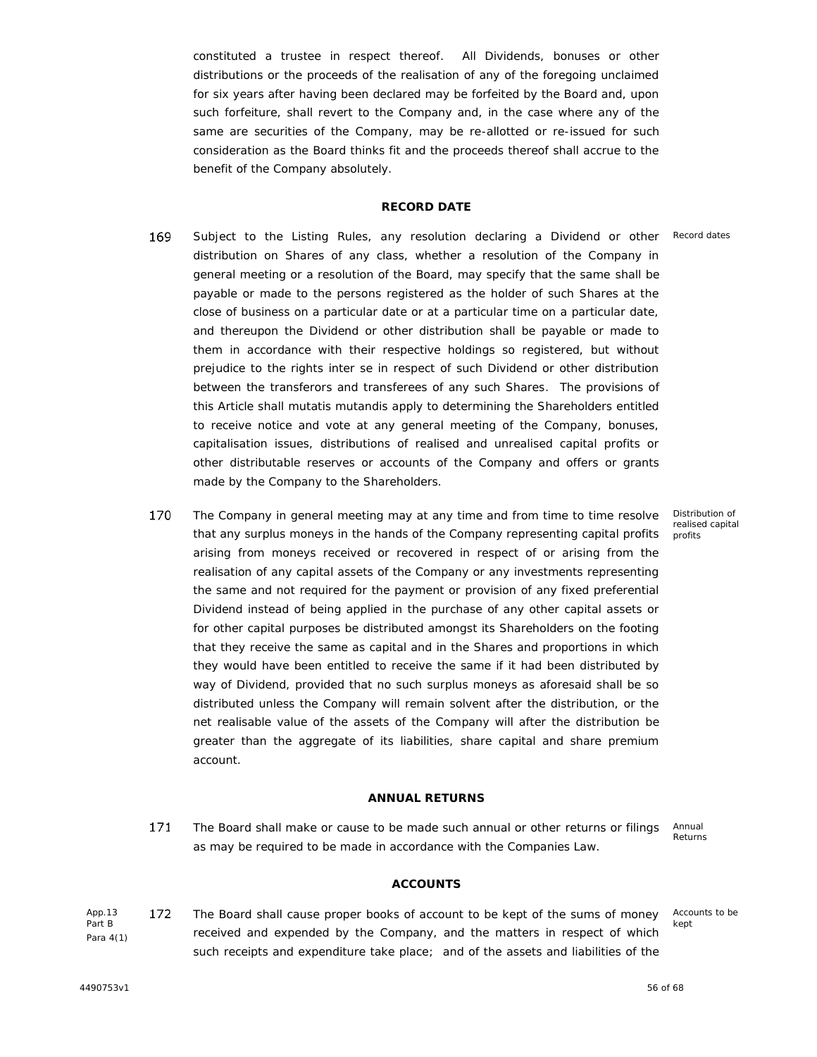constituted a trustee in respect thereof. All Dividends, bonuses or other distributions or the proceeds of the realisation of any of the foregoing unclaimed for six years after having been declared may be forfeited by the Board and, upon such forfeiture, shall revert to the Company and, in the case where any of the same are securities of the Company, may be re-allotted or re-issued for such consideration as the Board thinks fit and the proceeds thereof shall accrue to the benefit of the Company absolutely.

## **RECORD DATE**

- 169 Subject to the Listing Rules, any resolution declaring a Dividend or other distribution on Shares of any class, whether a resolution of the Company in general meeting or a resolution of the Board, may specify that the same shall be payable or made to the persons registered as the holder of such Shares at the close of business on a particular date or at a particular time on a particular date, and thereupon the Dividend or other distribution shall be payable or made to them in accordance with their respective holdings so registered, but without prejudice to the rights inter se in respect of such Dividend or other distribution between the transferors and transferees of any such Shares. The provisions of this Article shall *mutatis mutandis* apply to determining the Shareholders entitled to receive notice and vote at any general meeting of the Company, bonuses, capitalisation issues, distributions of realised and unrealised capital profits or other distributable reserves or accounts of the Company and offers or grants made by the Company to the Shareholders.
- 170 The Company in general meeting may at any time and from time to time resolve x that any surplus moneys in the hands of the Company representing capital profits arising from moneys received or recovered in respect of or arising from the realisation of any capital assets of the Company or any investments representing the same and not required for the payment or provision of any fixed preferential Dividend instead of being applied in the purchase of any other capital assets or for other capital purposes be distributed amongst its Shareholders on the footing that they receive the same as capital and in the Shares and proportions in which they would have been entitled to receive the same if it had been distributed by way of Dividend, provided that no such surplus moneys as aforesaid shall be so distributed unless the Company will remain solvent after the distribution, or the net realisable value of the assets of the Company will after the distribution be greater than the aggregate of its liabilities, share capital and share premium account.

## **ANNUAL RETURNS**

171 The Board shall make or cause to be made such annual or other returns or filings as may be required to be made in accordance with the Companies Law.

Annual Returns

## **ACCOUNTS**

App.13 172 Part B App.13 **172** The Board shall cause proper books of account to be kept of the sums of money Accounts<br>Part B<br>Para 4(1) Para 4(1) such receipts and expenditure take place; and of the assets and liabilities of the

Accounts to be kept

Distribution of realised capital profits

Record dates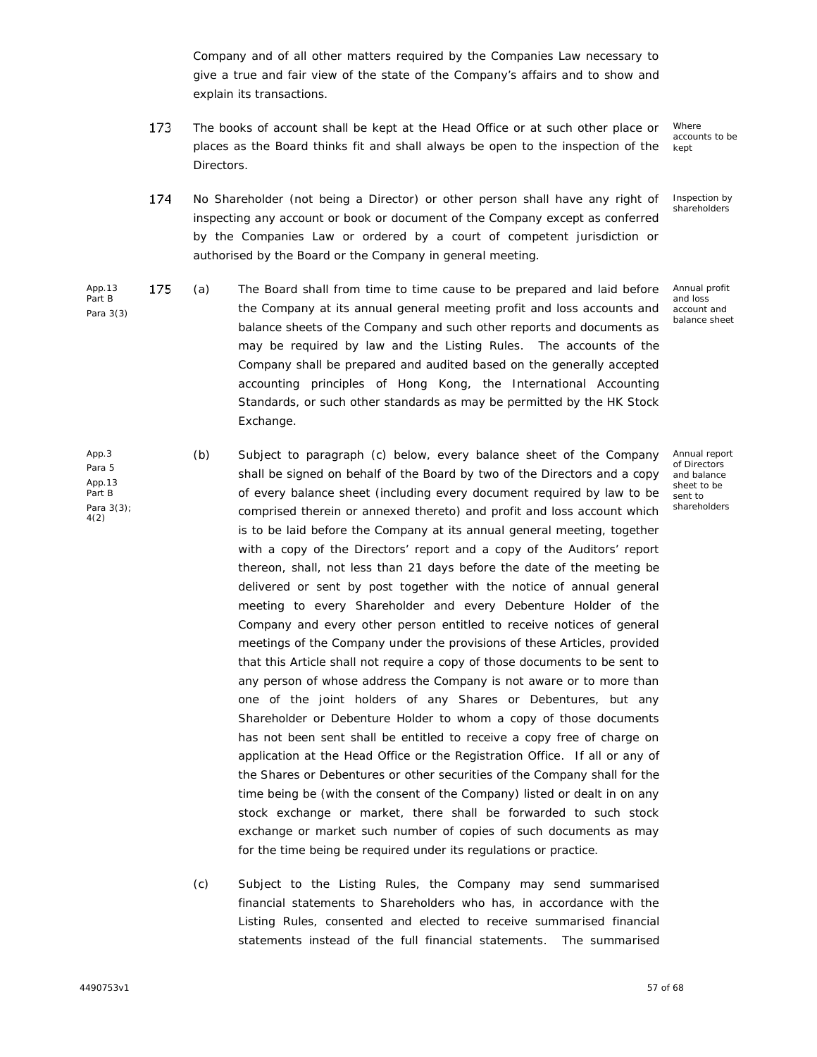Company and of all other matters required by the Companies Law necessary to give a true and fair view of the state of the Company's affairs and to show and explain its transactions.

173 The books of account shall be kept at the Head Office or at such other place or places as the Board thinks fit and shall always be open to the inspection of the Directors.

**Where** accounts to be kept

Inspection by shareholders

- 174 No Shareholder (not being a Director) or other person shall have any right of inspecting any account or book or document of the Company except as conferred by the Companies Law or ordered by a court of competent jurisdiction or authorised by the Board or the Company in general meeting.
- App.13 175 Part B Para 3(3) (a) x The Board shall from time to time cause to be prepared and laid before the Company at its annual general meeting profit and loss accounts and balance sheets of the Company and such other reports and documents as may be required by law and the Listing Rules. The accounts of the Company shall be prepared and audited based on the generally accepted accounting principles of Hong Kong, the International Accounting Standards, or such other standards as may be permitted by the HK Stock Exchange. Annual profit and loss account and balance sheet
- App.3 Para 5 App.13 Part B Para 3(3); 4(2) (b) Subject to paragraph (c) below, every balance sheet of the Company shall be signed on behalf of the Board by two of the Directors and a copy of every balance sheet (including every document required by law to be comprised therein or annexed thereto) and profit and loss account which is to be laid before the Company at its annual general meeting, together with a copy of the Directors' report and a copy of the Auditors' report thereon, shall, not less than 21 days before the date of the meeting be delivered or sent by post together with the notice of annual general meeting to every Shareholder and every Debenture Holder of the Company and every other person entitled to receive notices of general meetings of the Company under the provisions of these Articles, provided that this Article shall not require a copy of those documents to be sent to any person of whose address the Company is not aware or to more than one of the joint holders of any Shares or Debentures, but any Shareholder or Debenture Holder to whom a copy of those documents has not been sent shall be entitled to receive a copy free of charge on application at the Head Office or the Registration Office. If all or any of the Shares or Debentures or other securities of the Company shall for the time being be (with the consent of the Company) listed or dealt in on any stock exchange or market, there shall be forwarded to such stock exchange or market such number of copies of such documents as may for the time being be required under its regulations or practice. Annual report of Directors and balance sheet to be sent to shareholders
	- (c) Subject to the Listing Rules, the Company may send summarised financial statements to Shareholders who has, in accordance with the Listing Rules, consented and elected to receive summarised financial statements instead of the full financial statements. The summarised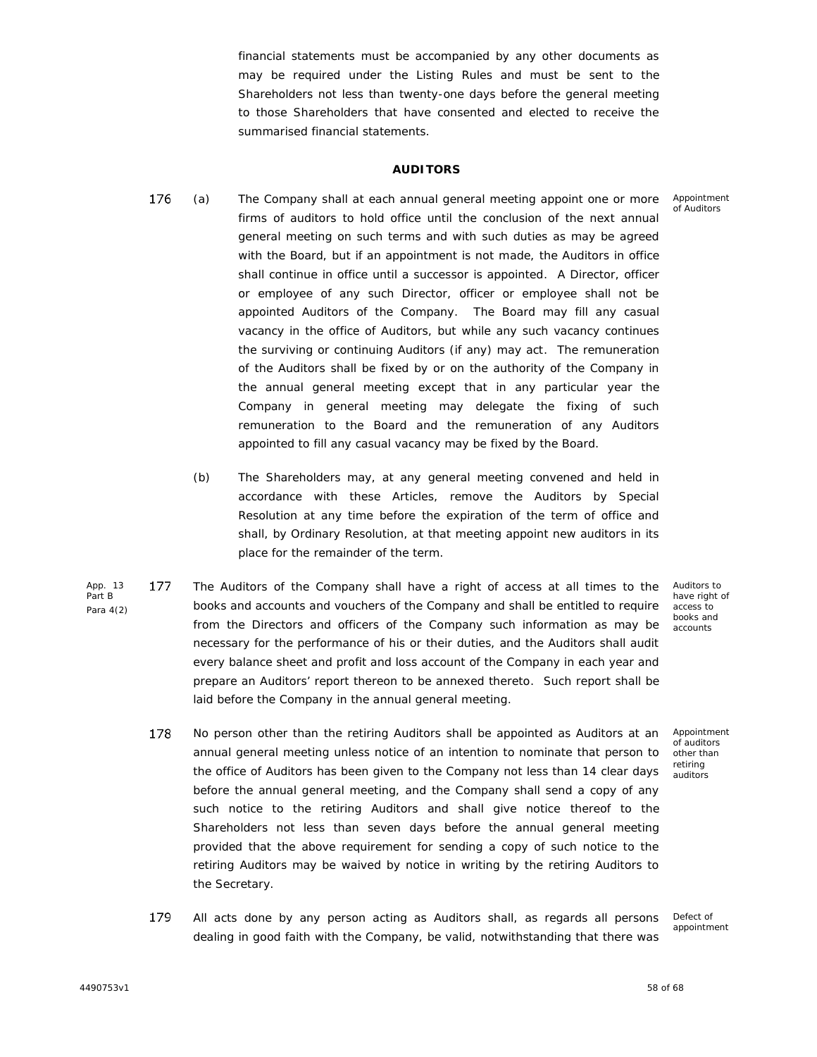financial statements must be accompanied by any other documents as may be required under the Listing Rules and must be sent to the Shareholders not less than twenty-one days before the general meeting to those Shareholders that have consented and elected to receive the summarised financial statements.

## **AUDITORS**

- Appointment of Auditors
- 176 (a) x The Company shall at each annual general meeting appoint one or more firms of auditors to hold office until the conclusion of the next annual general meeting on such terms and with such duties as may be agreed with the Board, but if an appointment is not made, the Auditors in office shall continue in office until a successor is appointed. A Director, officer or employee of any such Director, officer or employee shall not be appointed Auditors of the Company. The Board may fill any casual vacancy in the office of Auditors, but while any such vacancy continues the surviving or continuing Auditors (if any) may act. The remuneration of the Auditors shall be fixed by or on the authority of the Company in the annual general meeting except that in any particular year the Company in general meeting may delegate the fixing of such remuneration to the Board and the remuneration of any Auditors appointed to fill any casual vacancy may be fixed by the Board.
	- (b) The Shareholders may, at any general meeting convened and held in accordance with these Articles, remove the Auditors by Special Resolution at any time before the expiration of the term of office and shall, by Ordinary Resolution, at that meeting appoint new auditors in its place for the remainder of the term.
- App. 13 177 Part B Para 4(2) The Auditors of the Company shall have a right of access at all times to the books and accounts and vouchers of the Company and shall be entitled to require from the Directors and officers of the Company such information as may be necessary for the performance of his or their duties, and the Auditors shall audit every balance sheet and profit and loss account of the Company in each year and prepare an Auditors' report thereon to be annexed thereto. Such report shall be laid before the Company in the annual general meeting.
- Auditors to have right of access to books and accounts

Appointment of auditors other than retiring auditors

- 178 No person other than the retiring Auditors shall be appointed as Auditors at an annual general meeting unless notice of an intention to nominate that person to the office of Auditors has been given to the Company not less than 14 clear days before the annual general meeting, and the Company shall send a copy of any such notice to the retiring Auditors and shall give notice thereof to the Shareholders not less than seven days before the annual general meeting provided that the above requirement for sending a copy of such notice to the retiring Auditors may be waived by notice in writing by the retiring Auditors to the Secretary.
- 179 All acts done by any person acting as Auditors shall, as regards all persons dealing in good faith with the Company, be valid, notwithstanding that there was

Defect of appointment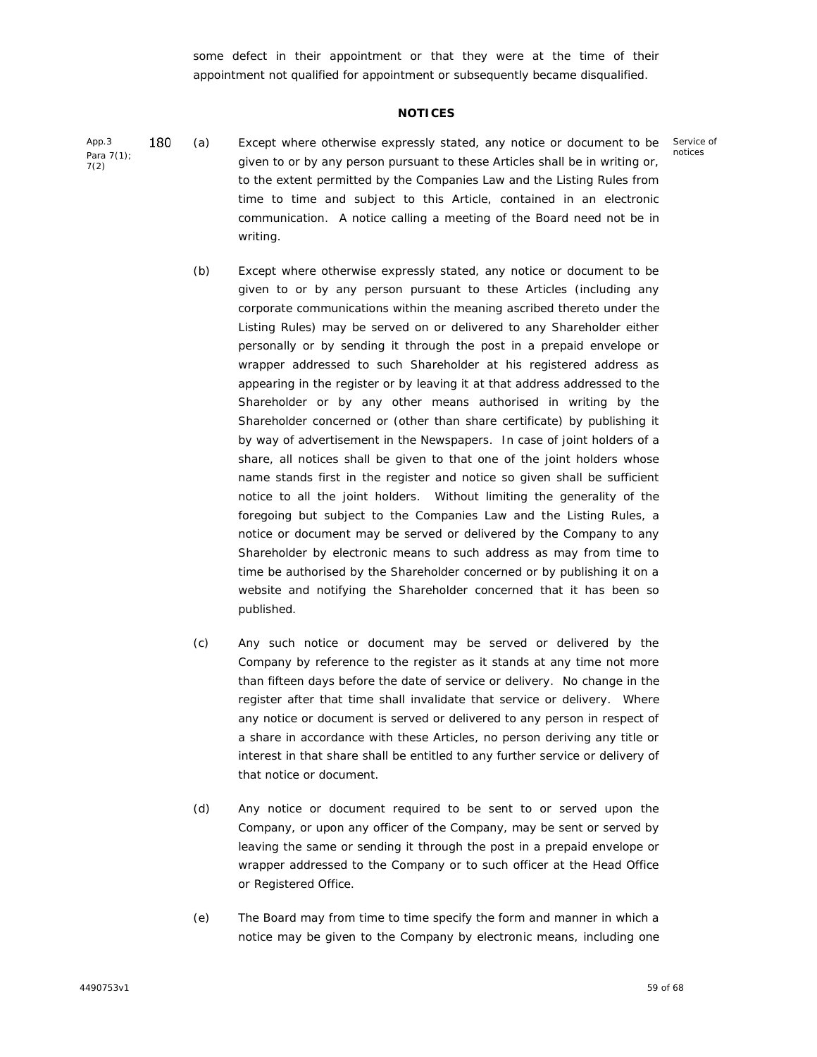some defect in their appointment or that they were at the time of their appointment not qualified for appointment or subsequently became disqualified.

#### **NOTICES**

- App.3 180 Para 7(1); 7(2) (a) x Except where otherwise expressly stated, any notice or document to be given to or by any person pursuant to these Articles shall be in writing or, to the extent permitted by the Companies Law and the Listing Rules from time to time and subject to this Article, contained in an electronic communication. A notice calling a meeting of the Board need not be in writing.
	- (b) Except where otherwise expressly stated, any notice or document to be given to or by any person pursuant to these Articles (including any corporate communications within the meaning ascribed thereto under the Listing Rules) may be served on or delivered to any Shareholder either personally or by sending it through the post in a prepaid envelope or wrapper addressed to such Shareholder at his registered address as appearing in the register or by leaving it at that address addressed to the Shareholder or by any other means authorised in writing by the Shareholder concerned or (other than share certificate) by publishing it by way of advertisement in the Newspapers. In case of joint holders of a share, all notices shall be given to that one of the joint holders whose name stands first in the register and notice so given shall be sufficient notice to all the joint holders. Without limiting the generality of the foregoing but subject to the Companies Law and the Listing Rules, a notice or document may be served or delivered by the Company to any Shareholder by electronic means to such address as may from time to time be authorised by the Shareholder concerned or by publishing it on a website and notifying the Shareholder concerned that it has been so published.
	- (c) Any such notice or document may be served or delivered by the Company by reference to the register as it stands at any time not more than fifteen days before the date of service or delivery. No change in the register after that time shall invalidate that service or delivery. Where any notice or document is served or delivered to any person in respect of a share in accordance with these Articles, no person deriving any title or interest in that share shall be entitled to any further service or delivery of that notice or document.
	- (d) Any notice or document required to be sent to or served upon the Company, or upon any officer of the Company, may be sent or served by leaving the same or sending it through the post in a prepaid envelope or wrapper addressed to the Company or to such officer at the Head Office or Registered Office.
	- (e) The Board may from time to time specify the form and manner in which a notice may be given to the Company by electronic means, including one

Service of notices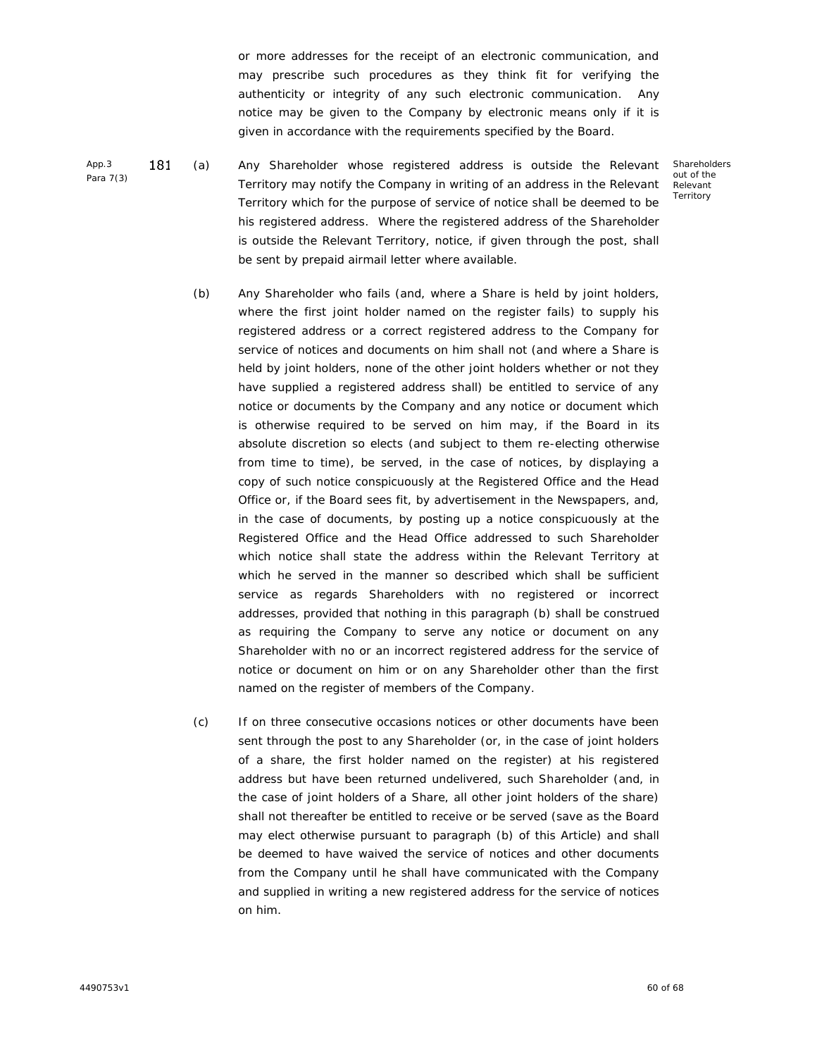or more addresses for the receipt of an electronic communication, and may prescribe such procedures as they think fit for verifying the authenticity or integrity of any such electronic communication. Any notice may be given to the Company by electronic means only if it is given in accordance with the requirements specified by the Board.

App.3 181 Para 7(3) (a) x Any Shareholder whose registered address is outside the Relevant Territory may notify the Company in writing of an address in the Relevant Territory which for the purpose of service of notice shall be deemed to be his registered address. Where the registered address of the Shareholder is outside the Relevant Territory, notice, if given through the post, shall be sent by prepaid airmail letter where available.

**Shareholders** out of the Relevant **Territory** 

- (b) Any Shareholder who fails (and, where a Share is held by joint holders, where the first joint holder named on the register fails) to supply his registered address or a correct registered address to the Company for service of notices and documents on him shall not (and where a Share is held by joint holders, none of the other joint holders whether or not they have supplied a registered address shall) be entitled to service of any notice or documents by the Company and any notice or document which is otherwise required to be served on him may, if the Board in its absolute discretion so elects (and subject to them re-electing otherwise from time to time), be served, in the case of notices, by displaying a copy of such notice conspicuously at the Registered Office and the Head Office or, if the Board sees fit, by advertisement in the Newspapers, and, in the case of documents, by posting up a notice conspicuously at the Registered Office and the Head Office addressed to such Shareholder which notice shall state the address within the Relevant Territory at which he served in the manner so described which shall be sufficient service as regards Shareholders with no registered or incorrect addresses, provided that nothing in this paragraph (b) shall be construed as requiring the Company to serve any notice or document on any Shareholder with no or an incorrect registered address for the service of notice or document on him or on any Shareholder other than the first named on the register of members of the Company.
- (c) If on three consecutive occasions notices or other documents have been sent through the post to any Shareholder (or, in the case of joint holders of a share, the first holder named on the register) at his registered address but have been returned undelivered, such Shareholder (and, in the case of joint holders of a Share, all other joint holders of the share) shall not thereafter be entitled to receive or be served (save as the Board may elect otherwise pursuant to paragraph (b) of this Article) and shall be deemed to have waived the service of notices and other documents from the Company until he shall have communicated with the Company and supplied in writing a new registered address for the service of notices on him.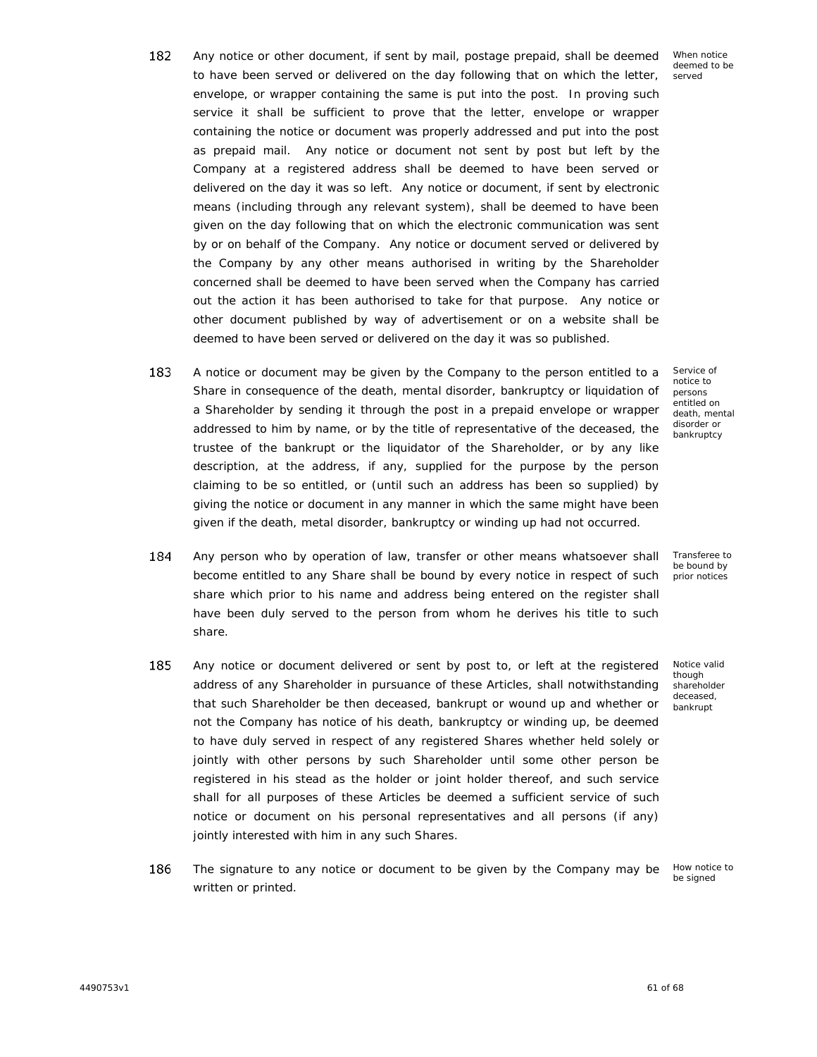- 182 Any notice or other document, if sent by mail, postage prepaid, shall be deemed x to have been served or delivered on the day following that on which the letter, envelope, or wrapper containing the same is put into the post. In proving such service it shall be sufficient to prove that the letter, envelope or wrapper containing the notice or document was properly addressed and put into the post as prepaid mail. Any notice or document not sent by post but left by the Company at a registered address shall be deemed to have been served or delivered on the day it was so left. Any notice or document, if sent by electronic means (including through any relevant system), shall be deemed to have been given on the day following that on which the electronic communication was sent by or on behalf of the Company. Any notice or document served or delivered by the Company by any other means authorised in writing by the Shareholder concerned shall be deemed to have been served when the Company has carried out the action it has been authorised to take for that purpose. Any notice or other document published by way of advertisement or on a website shall be deemed to have been served or delivered on the day it was so published.
- 183 A notice or document may be given by the Company to the person entitled to a <br>Share in consequence of the death, mental disorder, bankruptcy or liquidation of a Shareholder by sending it through the post in a prepaid envelope or wrapper addressed to him by name, or by the title of representative of the deceased, the trustee of the bankrupt or the liquidator of the Shareholder, or by any like description, at the address, if any, supplied for the purpose by the person claiming to be so entitled, or (until such an address has been so supplied) by giving the notice or document in any manner in which the same might have been given if the death, metal disorder, bankruptcy or winding up had not occurred.
- 184 Any person who by operation of law, transfer or other means whatsoever shall become entitled to any Share shall be bound by every notice in respect of such share which prior to his name and address being entered on the register shall have been duly served to the person from whom he derives his title to such share.
- 185 Any notice or document delivered or sent by post to, or left at the registered address of any Shareholder in pursuance of these Articles, shall notwithstanding that such Shareholder be then deceased, bankrupt or wound up and whether or not the Company has notice of his death, bankruptcy or winding up, be deemed to have duly served in respect of any registered Shares whether held solely or jointly with other persons by such Shareholder until some other person be registered in his stead as the holder or joint holder thereof, and such service shall for all purposes of these Articles be deemed a sufficient service of such notice or document on his personal representatives and all persons (if any) jointly interested with him in any such Shares.
- 186 The signature to any notice or document to be given by the Company may be written or printed.

Service of notice to persons entitled on death, mental disorder or bankruptcy

Transferee to be bound by prior notices

though shareholder deceased, bankrupt

Notice valid

How notice to be signed

When notice deemed to be served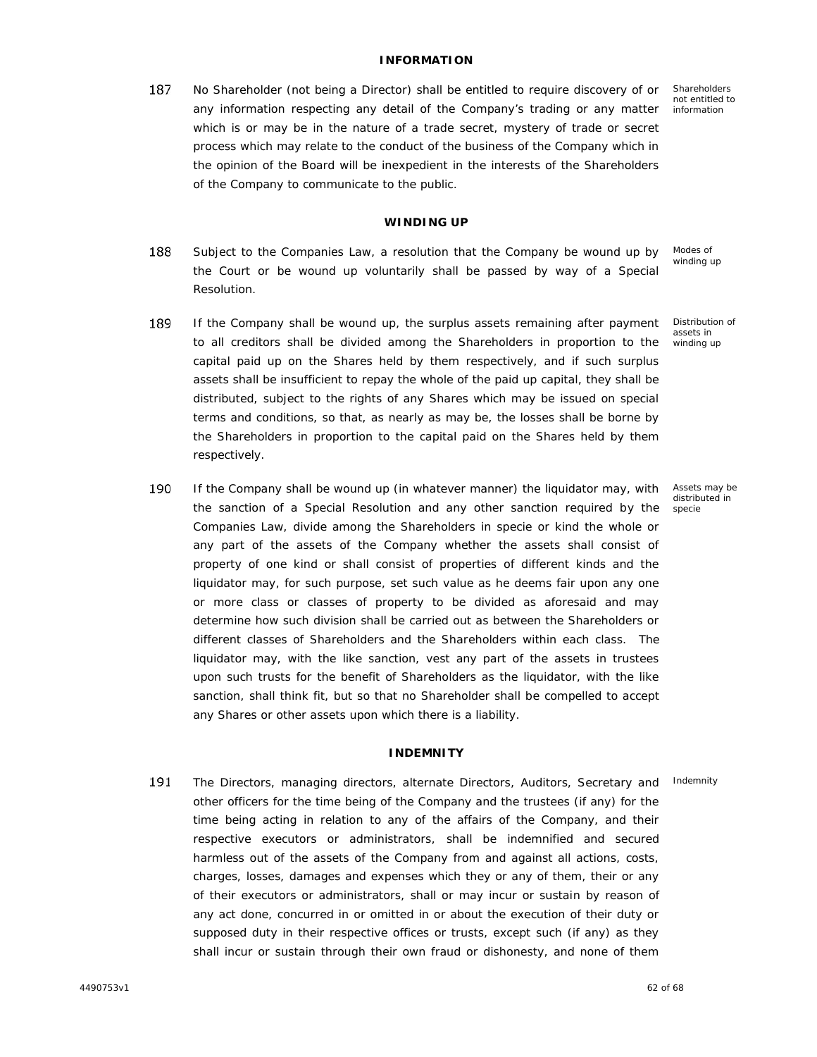## **INFORMATION**

187 No Shareholder (not being a Director) shall be entitled to require discovery of or any information respecting any detail of the Company's trading or any matter which is or may be in the nature of a trade secret, mystery of trade or secret process which may relate to the conduct of the business of the Company which in the opinion of the Board will be inexpedient in the interests of the Shareholders of the Company to communicate to the public.

Shareholders not entitled to information

#### **WINDING UP**

- 188 Modes of Subject to the Companies Law, a resolution that the Company be wound up by winding up the Court or be wound up voluntarily shall be passed by way of a Special Resolution.
- Distribution of 189 If the Company shall be wound up, the surplus assets remaining after payment assets in to all creditors shall be divided among the Shareholders in proportion to the winding up capital paid up on the Shares held by them respectively, and if such surplus assets shall be insufficient to repay the whole of the paid up capital, they shall be distributed, subject to the rights of any Shares which may be issued on special terms and conditions, so that, as nearly as may be, the losses shall be borne by the Shareholders in proportion to the capital paid on the Shares held by them respectively.
- 190 If the Company shall be wound up (in whatever manner) the liquidator may, with the sanction of a Special Resolution and any other sanction required by the Companies Law, divide among the Shareholders in specie or kind the whole or any part of the assets of the Company whether the assets shall consist of property of one kind or shall consist of properties of different kinds and the liquidator may, for such purpose, set such value as he deems fair upon any one or more class or classes of property to be divided as aforesaid and may determine how such division shall be carried out as between the Shareholders or different classes of Shareholders and the Shareholders within each class. The liquidator may, with the like sanction, vest any part of the assets in trustees upon such trusts for the benefit of Shareholders as the liquidator, with the like sanction, shall think fit, but so that no Shareholder shall be compelled to accept any Shares or other assets upon which there is a liability.

#### **INDEMNITY**

191 The Directors, managing directors, alternate Directors, Auditors, Secretary and Indemnityother officers for the time being of the Company and the trustees (if any) for the time being acting in relation to any of the affairs of the Company, and their respective executors or administrators, shall be indemnified and secured harmless out of the assets of the Company from and against all actions, costs, charges, losses, damages and expenses which they or any of them, their or any of their executors or administrators, shall or may incur or sustain by reason of any act done, concurred in or omitted in or about the execution of their duty or supposed duty in their respective offices or trusts, except such (if any) as they shall incur or sustain through their own fraud or dishonesty, and none of them

Assets may be distributed in specie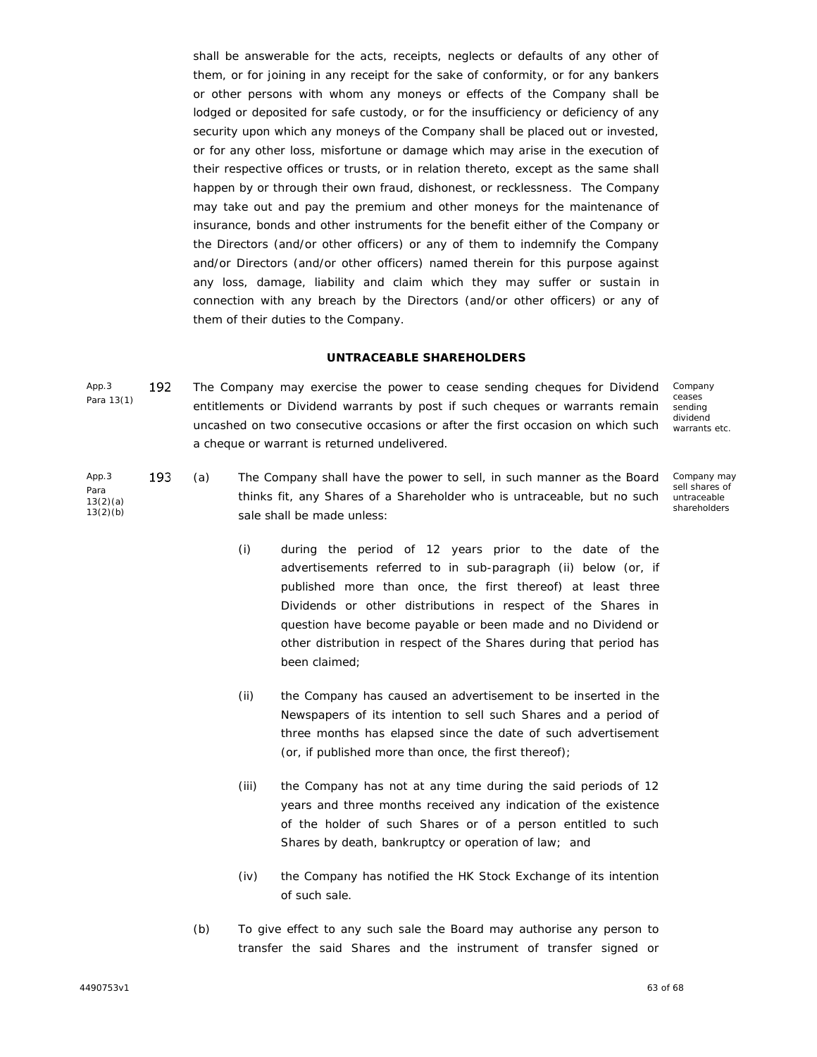shall be answerable for the acts, receipts, neglects or defaults of any other of them, or for joining in any receipt for the sake of conformity, or for any bankers or other persons with whom any moneys or effects of the Company shall be lodged or deposited for safe custody, or for the insufficiency or deficiency of any security upon which any moneys of the Company shall be placed out or invested, or for any other loss, misfortune or damage which may arise in the execution of their respective offices or trusts, or in relation thereto, except as the same shall happen by or through their own fraud, dishonest, or recklessness. The Company may take out and pay the premium and other moneys for the maintenance of insurance, bonds and other instruments for the benefit either of the Company or the Directors (and/or other officers) or any of them to indemnify the Company and/or Directors (and/or other officers) named therein for this purpose against any loss, damage, liability and claim which they may suffer or sustain in connection with any breach by the Directors (and/or other officers) or any of them of their duties to the Company.

#### **UNTRACEABLE SHAREHOLDERS**

App.3 192 Para 13(1) The Company may exercise the power to cease sending cheques for Dividend entitlements or Dividend warrants by post if such cheques or warrants remain uncashed on two consecutive occasions or after the first occasion on which such a cheque or warrant is returned undelivered. Company

ceases sending dividend warrants etc.

- App.3 193 Para 13(2)(a) 13(2)(b) (a) x The Company shall have the power to sell, in such manner as the Board thinks fit, any Shares of a Shareholder who is untraceable, but no such sale shall be made unless: Company may sell shares of untraceable shareholders
	- (i) during the period of 12 years prior to the date of the advertisements referred to in sub-paragraph (ii) below (or, if published more than once, the first thereof) at least three Dividends or other distributions in respect of the Shares in question have become payable or been made and no Dividend or other distribution in respect of the Shares during that period has been claimed;
	- (ii) the Company has caused an advertisement to be inserted in the Newspapers of its intention to sell such Shares and a period of three months has elapsed since the date of such advertisement (or, if published more than once, the first thereof);
	- (iii) the Company has not at any time during the said periods of 12 years and three months received any indication of the existence of the holder of such Shares or of a person entitled to such Shares by death, bankruptcy or operation of law; and
	- (iv) the Company has notified the HK Stock Exchange of its intention of such sale.
	- (b) To give effect to any such sale the Board may authorise any person to transfer the said Shares and the instrument of transfer signed or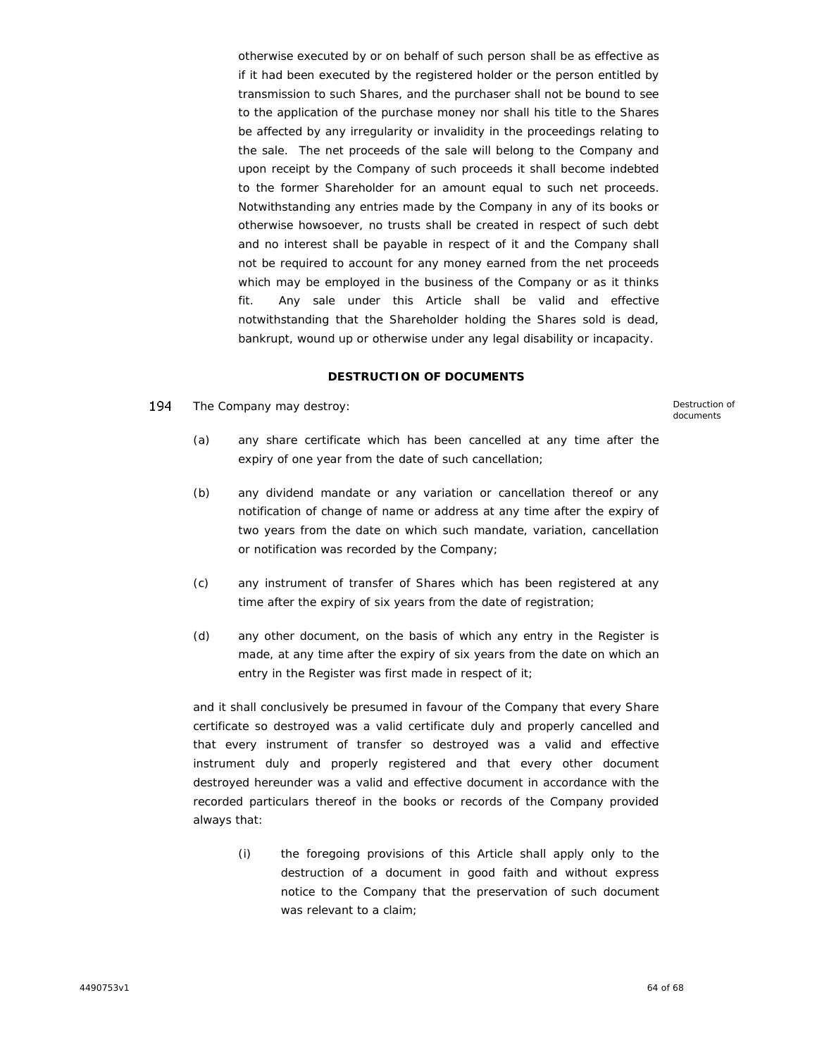otherwise executed by or on behalf of such person shall be as effective as if it had been executed by the registered holder or the person entitled by transmission to such Shares, and the purchaser shall not be bound to see to the application of the purchase money nor shall his title to the Shares be affected by any irregularity or invalidity in the proceedings relating to the sale. The net proceeds of the sale will belong to the Company and upon receipt by the Company of such proceeds it shall become indebted to the former Shareholder for an amount equal to such net proceeds. Notwithstanding any entries made by the Company in any of its books or otherwise howsoever, no trusts shall be created in respect of such debt and no interest shall be payable in respect of it and the Company shall not be required to account for any money earned from the net proceeds which may be employed in the business of the Company or as it thinks fit. Any sale under this Article shall be valid and effective notwithstanding that the Shareholder holding the Shares sold is dead, bankrupt, wound up or otherwise under any legal disability or incapacity.

#### **DESTRUCTION OF DOCUMENTS**

194 The Company may destroy: The Company may destroy:

documents

- (a) any share certificate which has been cancelled at any time after the expiry of one year from the date of such cancellation;
- (b) any dividend mandate or any variation or cancellation thereof or any notification of change of name or address at any time after the expiry of two years from the date on which such mandate, variation, cancellation or notification was recorded by the Company;
- (c) any instrument of transfer of Shares which has been registered at any time after the expiry of six years from the date of registration;
- (d) any other document, on the basis of which any entry in the Register is made, at any time after the expiry of six years from the date on which an entry in the Register was first made in respect of it;

and it shall conclusively be presumed in favour of the Company that every Share certificate so destroyed was a valid certificate duly and properly cancelled and that every instrument of transfer so destroyed was a valid and effective instrument duly and properly registered and that every other document destroyed hereunder was a valid and effective document in accordance with the recorded particulars thereof in the books or records of the Company provided always that:

(i) the foregoing provisions of this Article shall apply only to the destruction of a document in good faith and without express notice to the Company that the preservation of such document was relevant to a claim: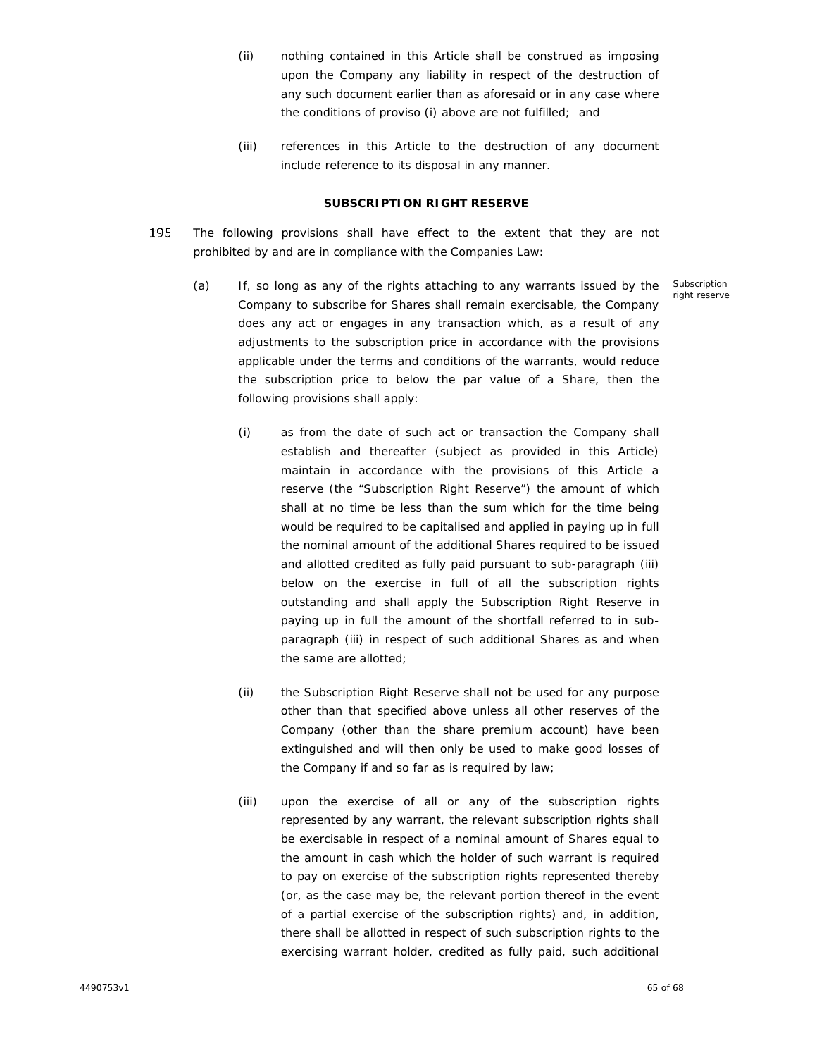- (ii) nothing contained in this Article shall be construed as imposing upon the Company any liability in respect of the destruction of any such document earlier than as aforesaid or in any case where the conditions of proviso (i) above are not fulfilled; and
- (iii) references in this Article to the destruction of any document include reference to its disposal in any manner.

## **SUBSCRIPTION RIGHT RESERVE**

- 195 The following provisions shall have effect to the extent that they are not prohibited by and are in compliance with the Companies Law:
	- (a) If, so long as any of the rights attaching to any warrants issued by the Company to subscribe for Shares shall remain exercisable, the Company does any act or engages in any transaction which, as a result of any adjustments to the subscription price in accordance with the provisions applicable under the terms and conditions of the warrants, would reduce the subscription price to below the par value of a Share, then the following provisions shall apply:
		- (i) as from the date of such act or transaction the Company shall establish and thereafter (subject as provided in this Article) maintain in accordance with the provisions of this Article a reserve (the "Subscription Right Reserve") the amount of which shall at no time be less than the sum which for the time being would be required to be capitalised and applied in paying up in full the nominal amount of the additional Shares required to be issued and allotted credited as fully paid pursuant to sub-paragraph (iii) below on the exercise in full of all the subscription rights outstanding and shall apply the Subscription Right Reserve in paying up in full the amount of the shortfall referred to in sub paragraph (iii) in respect of such additional Shares as and when the same are allotted;
		- (ii) the Subscription Right Reserve shall not be used for any purpose other than that specified above unless all other reserves of the Company (other than the share premium account) have been extinguished and will then only be used to make good losses of the Company if and so far as is required by law;
		- (iii) upon the exercise of all or any of the subscription rights represented by any warrant, the relevant subscription rights shall be exercisable in respect of a nominal amount of Shares equal to the amount in cash which the holder of such warrant is required to pay on exercise of the subscription rights represented thereby (or, as the case may be, the relevant portion thereof in the event of a partial exercise of the subscription rights) and, in addition, there shall be allotted in respect of such subscription rights to the exercising warrant holder, credited as fully paid, such additional

Subscription right reserve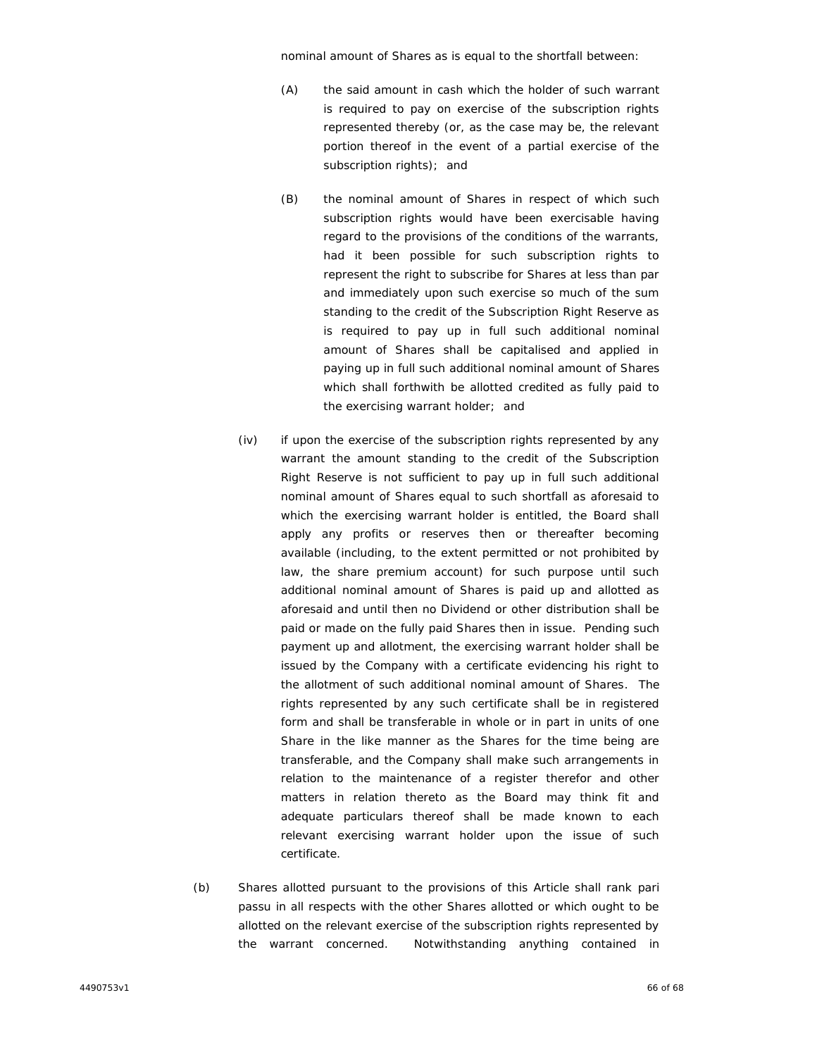nominal amount of Shares as is equal to the shortfall between:

- (A) the said amount in cash which the holder of such warrant is required to pay on exercise of the subscription rights represented thereby (or, as the case may be, the relevant portion thereof in the event of a partial exercise of the subscription rights); and
- (B) the nominal amount of Shares in respect of which such subscription rights would have been exercisable having regard to the provisions of the conditions of the warrants, had it been possible for such subscription rights to represent the right to subscribe for Shares at less than par and immediately upon such exercise so much of the sum standing to the credit of the Subscription Right Reserve as is required to pay up in full such additional nominal amount of Shares shall be capitalised and applied in paying up in full such additional nominal amount of Shares which shall forthwith be allotted credited as fully paid to the exercising warrant holder; and
- (iv) if upon the exercise of the subscription rights represented by any warrant the amount standing to the credit of the Subscription Right Reserve is not sufficient to pay up in full such additional nominal amount of Shares equal to such shortfall as aforesaid to which the exercising warrant holder is entitled, the Board shall apply any profits or reserves then or thereafter becoming available (including, to the extent permitted or not prohibited by law, the share premium account) for such purpose until such additional nominal amount of Shares is paid up and allotted as aforesaid and until then no Dividend or other distribution shall be paid or made on the fully paid Shares then in issue. Pending such payment up and allotment, the exercising warrant holder shall be issued by the Company with a certificate evidencing his right to the allotment of such additional nominal amount of Shares. The rights represented by any such certificate shall be in registered form and shall be transferable in whole or in part in units of one Share in the like manner as the Shares for the time being are transferable, and the Company shall make such arrangements in relation to the maintenance of a register therefor and other matters in relation thereto as the Board may think fit and adequate particulars thereof shall be made known to each relevant exercising warrant holder upon the issue of such certificate.
- (b) Shares allotted pursuant to the provisions of this Article shall rank *pari passu* in all respects with the other Shares allotted or which ought to be allotted on the relevant exercise of the subscription rights represented by the warrant concerned. Notwithstanding anything contained in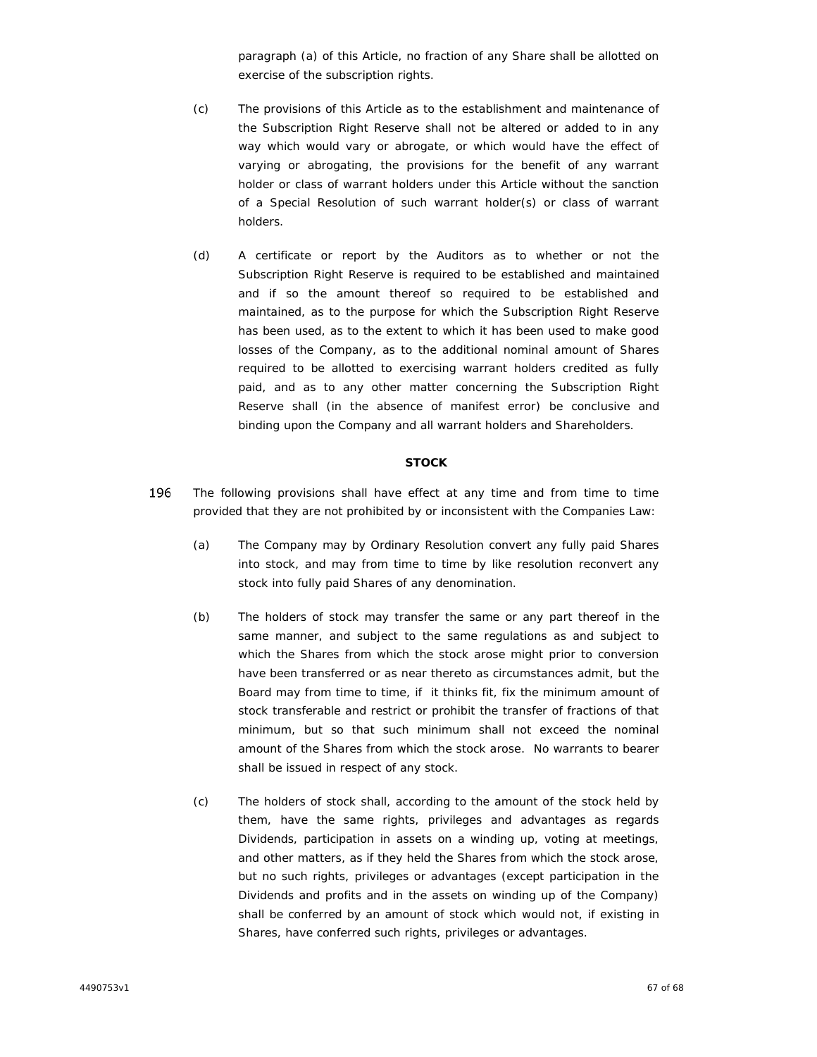paragraph (a) of this Article, no fraction of any Share shall be allotted on exercise of the subscription rights.

- (c) The provisions of this Article as to the establishment and maintenance of the Subscription Right Reserve shall not be altered or added to in any way which would vary or abrogate, or which would have the effect of varying or abrogating, the provisions for the benefit of any warrant holder or class of warrant holders under this Article without the sanction of a Special Resolution of such warrant holder(s) or class of warrant holders.
- (d) A certificate or report by the Auditors as to whether or not the Subscription Right Reserve is required to be established and maintained and if so the amount thereof so required to be established and maintained, as to the purpose for which the Subscription Right Reserve has been used, as to the extent to which it has been used to make good losses of the Company, as to the additional nominal amount of Shares required to be allotted to exercising warrant holders credited as fully paid, and as to any other matter concerning the Subscription Right Reserve shall (in the absence of manifest error) be conclusive and binding upon the Company and all warrant holders and Shareholders.

# **STOCK**

- 196 The following provisions shall have effect at any time and from time to time provided that they are not prohibited by or inconsistent with the Companies Law:
	- (a) The Company may by Ordinary Resolution convert any fully paid Shares into stock, and may from time to time by like resolution reconvert any stock into fully paid Shares of any denomination.
	- (b) The holders of stock may transfer the same or any part thereof in the same manner, and subject to the same regulations as and subject to which the Shares from which the stock arose might prior to conversion have been transferred or as near thereto as circumstances admit, but the Board may from time to time, if it thinks fit, fix the minimum amount of stock transferable and restrict or prohibit the transfer of fractions of that minimum, but so that such minimum shall not exceed the nominal amount of the Shares from which the stock arose. No warrants to bearer shall be issued in respect of any stock.
	- (c) The holders of stock shall, according to the amount of the stock held by them, have the same rights, privileges and advantages as regards Dividends, participation in assets on a winding up, voting at meetings, and other matters, as if they held the Shares from which the stock arose, but no such rights, privileges or advantages (except participation in the Dividends and profits and in the assets on winding up of the Company) shall be conferred by an amount of stock which would not, if existing in Shares, have conferred such rights, privileges or advantages.